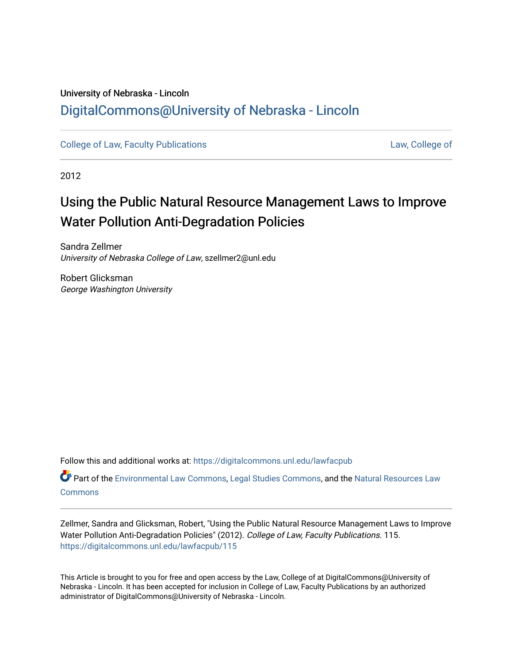## University of Nebraska - Lincoln [DigitalCommons@University of Nebraska - Lincoln](https://digitalcommons.unl.edu/)

[College of Law, Faculty Publications](https://digitalcommons.unl.edu/lawfacpub) [Law, College of](https://digitalcommons.unl.edu/law) Law, College of

2012

# Using the Public Natural Resource Management Laws to Improve Water Pollution Anti-Degradation Policies

Sandra Zellmer University of Nebraska College of Law, szellmer2@unl.edu

Robert Glicksman George Washington University

Follow this and additional works at: [https://digitalcommons.unl.edu/lawfacpub](https://digitalcommons.unl.edu/lawfacpub?utm_source=digitalcommons.unl.edu%2Flawfacpub%2F115&utm_medium=PDF&utm_campaign=PDFCoverPages) 

Part of the [Environmental Law Commons](http://network.bepress.com/hgg/discipline/599?utm_source=digitalcommons.unl.edu%2Flawfacpub%2F115&utm_medium=PDF&utm_campaign=PDFCoverPages), [Legal Studies Commons](http://network.bepress.com/hgg/discipline/366?utm_source=digitalcommons.unl.edu%2Flawfacpub%2F115&utm_medium=PDF&utm_campaign=PDFCoverPages), and the [Natural Resources Law](http://network.bepress.com/hgg/discipline/863?utm_source=digitalcommons.unl.edu%2Flawfacpub%2F115&utm_medium=PDF&utm_campaign=PDFCoverPages)  **[Commons](http://network.bepress.com/hgg/discipline/863?utm_source=digitalcommons.unl.edu%2Flawfacpub%2F115&utm_medium=PDF&utm_campaign=PDFCoverPages)** 

Zellmer, Sandra and Glicksman, Robert, "Using the Public Natural Resource Management Laws to Improve Water Pollution Anti-Degradation Policies" (2012). College of Law, Faculty Publications. 115. [https://digitalcommons.unl.edu/lawfacpub/115](https://digitalcommons.unl.edu/lawfacpub/115?utm_source=digitalcommons.unl.edu%2Flawfacpub%2F115&utm_medium=PDF&utm_campaign=PDFCoverPages) 

This Article is brought to you for free and open access by the Law, College of at DigitalCommons@University of Nebraska - Lincoln. It has been accepted for inclusion in College of Law, Faculty Publications by an authorized administrator of DigitalCommons@University of Nebraska - Lincoln.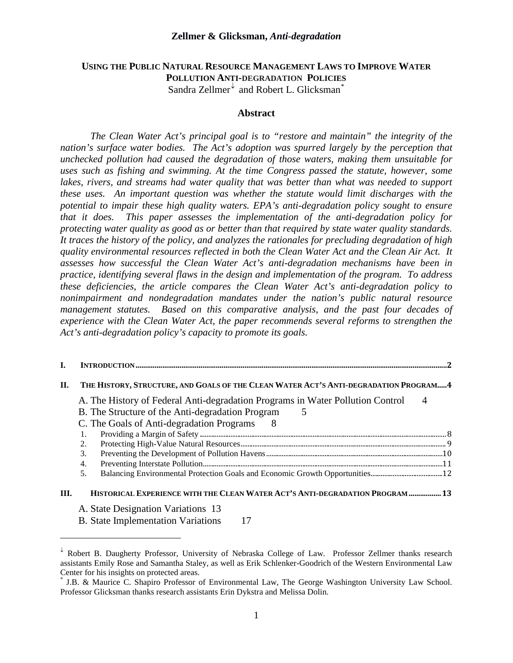#### **Zellmer & Glicksman,** *Anti-degradation*

#### **USING THE PUBLIC NATURAL RESOURCE MANAGEMENT LAWS TO IMPROVE WATER POLLUTION ANTI-DEGRADATION POLICIES** Sandra Zellmer  $\overline{\phantom{a}}$  and Robert L. Glicksman<sup>[\\*](#page-1-1)</sup>

#### **Abstract**

*The Clean Water Act's principal goal is to "restore and maintain" the integrity of the nation's surface water bodies. The Act's adoption was spurred largely by the perception that unchecked pollution had caused the degradation of those waters, making them unsuitable for uses such as fishing and swimming. At the time Congress passed the statute, however, some*  lakes, rivers, and streams had water quality that was better than what was needed to support *these uses. An important question was whether the statute would limit discharges with the potential to impair these high quality waters. EPA's anti-degradation policy sought to ensure that it does. This paper assesses the implementation of the anti-degradation policy for protecting water quality as good as or better than that required by state water quality standards. It traces the history of the policy, and analyzes the rationales for precluding degradation of high quality environmental resources reflected in both the Clean Water Act and the Clean Air Act. It assesses how successful the Clean Water Act's anti-degradation mechanisms have been in practice, identifying several flaws in the design and implementation of the program. To address these deficiencies, the article compares the Clean Water Act's anti-degradation policy to nonimpairment and nondegradation mandates under the nation's public natural resource management statutes. Based on this comparative analysis, and the past four decades of experience with the Clean Water Act, the paper recommends several reforms to strengthen the Act's anti-degradation policy's capacity to promote its goals.*

| П.   | THE HISTORY, STRUCTURE, AND GOALS OF THE CLEAN WATER ACT'S ANTI-DEGRADATION PROGRAM 4                                                                                                       |                |
|------|---------------------------------------------------------------------------------------------------------------------------------------------------------------------------------------------|----------------|
|      | A. The History of Federal Anti-degradation Programs in Water Pollution Control<br>B. The Structure of the Anti-degradation Program<br>5<br>C. The Goals of Anti-degradation Programs<br>- 8 | $\overline{4}$ |
|      | 1.                                                                                                                                                                                          |                |
|      | 2.                                                                                                                                                                                          |                |
|      | 3.                                                                                                                                                                                          |                |
|      | 4.                                                                                                                                                                                          |                |
|      | 5.                                                                                                                                                                                          |                |
| III. | HISTORICAL EXPERIENCE WITH THE CLEAN WATER ACT'S ANTI-DEGRADATION PROGRAM  13                                                                                                               |                |
|      | A. State Designation Variations 13<br><b>B.</b> State Implementation Variations                                                                                                             |                |

 $\overline{a}$ 

<span id="page-1-0"></span> $\overline{\ }$  Robert B. Daugherty Professor, University of Nebraska College of Law. Professor Zellmer thanks research assistants Emily Rose and Samantha Staley, as well as Erik Schlenker-Goodrich of the Western Environmental Law Center for his insights on protected areas.

<span id="page-1-1"></span>J.B. & Maurice C. Shapiro Professor of Environmental Law, The George Washington University Law School. Professor Glicksman thanks research assistants Erin Dykstra and Melissa Dolin.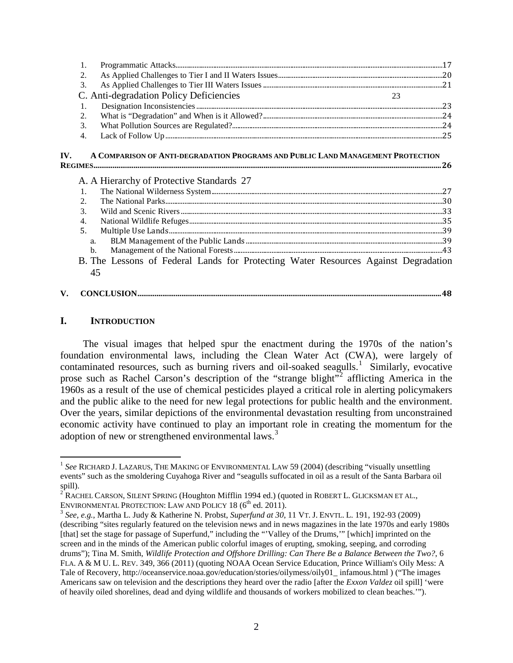| 2. |                                         |  |
|----|-----------------------------------------|--|
|    |                                         |  |
|    | C. Anti-degradation Policy Deficiencies |  |
|    |                                         |  |
| 2. |                                         |  |
| 3. |                                         |  |
|    |                                         |  |
|    |                                         |  |

#### **IV. A COMPARISON OF ANTI-DEGRADATION PROGRAMS AND PUBLIC LAND MANAGEMENT PROTECTION REGIMES......................................................................................................................................................................................26**

| A. A Hierarchy of Protective Standards 27                                          |  |
|------------------------------------------------------------------------------------|--|
| $\overline{1}$ .                                                                   |  |
|                                                                                    |  |
| $\mathcal{R}$                                                                      |  |
| 4.                                                                                 |  |
| 5.                                                                                 |  |
| a.                                                                                 |  |
| $\mathbf{b}$ .                                                                     |  |
| B. The Lessons of Federal Lands for Protecting Water Resources Against Degradation |  |
|                                                                                    |  |

#### **V. CONCLUSION...............................................................................................................................................................48**

#### **I. INTRODUCTION**

The visual images that helped spur the enactment during the 1970s of the nation's foundation environmental laws, including the Clean Water Act (CWA), were largely of contaminated resources, such as burning rivers and oil-soaked seagulls.<sup>[1](#page-2-0)</sup> Similarly, evocative prose such as Rachel Carson's description of the "strange blight"<sup>[2](#page-2-1)</sup> afflicting America in the 1960s as a result of the use of chemical pesticides played a critical role in alerting policymakers and the public alike to the need for new legal protections for public health and the environment. Over the years, similar depictions of the environmental devastation resulting from unconstrained economic activity have continued to play an important role in creating the momentum for the adoption of new or strengthened environmental laws.<sup>[3](#page-2-2)</sup>

<span id="page-2-0"></span><sup>&</sup>lt;sup>1</sup> See RICHARD J. LAZARUS, THE MAKING OF ENVIRONMENTAL LAW 59 (2004) (describing "visually unsettling events" such as the smoldering Cuyahoga River and "seagulls suffocated in oil as a result of the Santa Barbara oil spill).

<span id="page-2-1"></span><sup>&</sup>lt;sup>2</sup> RACHEL CARSON, SILENT SPRING (Houghton Mifflin 1994 ed.) (quoted in ROBERT L. GLICKSMAN ET AL., ENVIRONMENTAL PROTECTION: LAW AND POLICY 18 (6<sup>th</sup> ed. 2011).

<span id="page-2-2"></span><sup>&</sup>lt;sup>3</sup> See, e.g., Martha L. Judy & Katherine N. Probst, *Superfund at 30*, 11 VT. J. ENVTL. L. 191, 192-93 (2009) (describing "sites regularly featured on the television news and in news magazines in the late 1970s and early 1980s [that] set the stage for passage of Superfund," including the "'Valley of the Drums," [which] imprinted on the screen and in the minds of the American public colorful images of erupting, smoking, seeping, and corroding drums"); Tina M. Smith, *Wildlife Protection and Offshore Drilling: Can There Be a Balance Between the Two?*, 6 FLA. A & M U. L. REV. 349, 366 (2011) (quoting NOAA Ocean Service Education, Prince William's Oily Mess: A Tale of Recovery, http://oceanservice.noaa.gov/education/stories/oilymess/oily01\_ infamous.html ) ("The images Americans saw on television and the descriptions they heard over the radio [after the *Exxon Valdez* oil spill] 'were of heavily oiled shorelines, dead and dying wildlife and thousands of workers mobilized to clean beaches.'").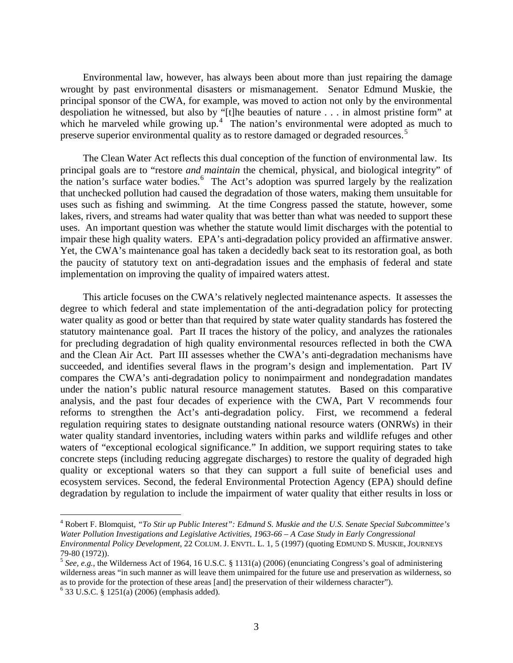Environmental law, however, has always been about more than just repairing the damage wrought by past environmental disasters or mismanagement. Senator Edmund Muskie, the principal sponsor of the CWA, for example, was moved to action not only by the environmental despoliation he witnessed, but also by "[t]he beauties of nature . . . in almost pristine form" at which he marveled while growing up.<sup>[4](#page-3-0)</sup> The nation's environmental were adopted as much to preserve superior environmental quality as to restore damaged or degraded resources.<sup>[5](#page-3-1)</sup>

The Clean Water Act reflects this dual conception of the function of environmental law. Its principal goals are to "restore *and maintain* the chemical, physical, and biological integrity" of the nation's surface water bodies.<sup>[6](#page-3-2)</sup> The Act's adoption was spurred largely by the realization that unchecked pollution had caused the degradation of those waters, making them unsuitable for uses such as fishing and swimming. At the time Congress passed the statute, however, some lakes, rivers, and streams had water quality that was better than what was needed to support these uses. An important question was whether the statute would limit discharges with the potential to impair these high quality waters. EPA's anti-degradation policy provided an affirmative answer. Yet, the CWA's maintenance goal has taken a decidedly back seat to its restoration goal, as both the paucity of statutory text on anti-degradation issues and the emphasis of federal and state implementation on improving the quality of impaired waters attest.

This article focuses on the CWA's relatively neglected maintenance aspects. It assesses the degree to which federal and state implementation of the anti-degradation policy for protecting water quality as good or better than that required by state water quality standards has fostered the statutory maintenance goal. Part II traces the history of the policy, and analyzes the rationales for precluding degradation of high quality environmental resources reflected in both the CWA and the Clean Air Act. Part III assesses whether the CWA's anti-degradation mechanisms have succeeded, and identifies several flaws in the program's design and implementation. Part IV compares the CWA's anti-degradation policy to nonimpairment and nondegradation mandates under the nation's public natural resource management statutes. Based on this comparative analysis, and the past four decades of experience with the CWA, Part V recommends four reforms to strengthen the Act's anti-degradation policy. First, we recommend a federal regulation requiring states to designate outstanding national resource waters (ONRWs) in their water quality standard inventories, including waters within parks and wildlife refuges and other waters of "exceptional ecological significance." In addition, we support requiring states to take concrete steps (including reducing aggregate discharges) to restore the quality of degraded high quality or exceptional waters so that they can support a full suite of beneficial uses and ecosystem services. Second, the federal Environmental Protection Agency (EPA) should define degradation by regulation to include the impairment of water quality that either results in loss or

<span id="page-3-0"></span> <sup>4</sup> Robert F. Blomquist, *"To Stir up Public Interest": Edmund S. Muskie and the U.S. Senate Special Subcommittee's Water Pollution Investigations and Legislative Activities, 1963-66 – A Case Study in Early Congressional Environmental Policy Development*, 22 COLUM. J. ENVTL. L. 1, 5 (1997) (quoting EDMUND S. MUSKIE, JOURNEYS 79-80 (1972)).<br><sup>5</sup> *See, e.g.*, the Wilderness Act of 1964, 16 U.S.C. § 1131(a) (2006) (enunciating Congress's goal of administering

<span id="page-3-1"></span>wilderness areas "in such manner as will leave them unimpaired for the future use and preservation as wilderness, so as to provide for the protection of these areas [and] the preservation of their wilderness character"). <sup>6</sup> 33 U.S.C. § 1251(a) (2006) (emphasis added).

<span id="page-3-2"></span>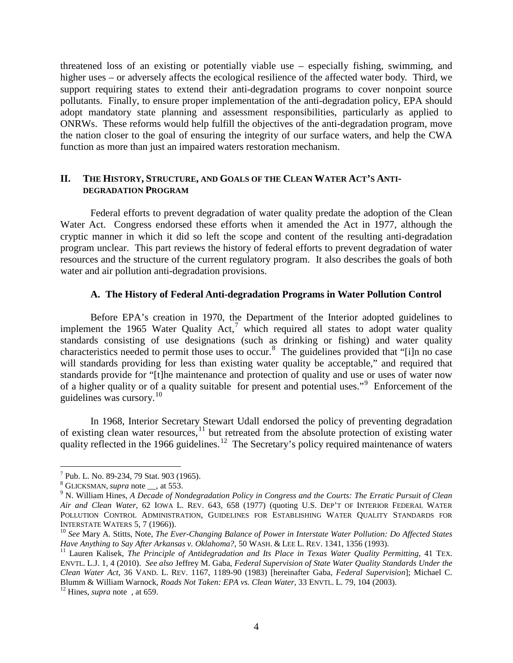threatened loss of an existing or potentially viable use – especially fishing, swimming, and higher uses – or adversely affects the ecological resilience of the affected water body. Third, we support requiring states to extend their anti-degradation programs to cover nonpoint source pollutants. Finally, to ensure proper implementation of the anti-degradation policy, EPA should adopt mandatory state planning and assessment responsibilities, particularly as applied to ONRWs. These reforms would help fulfill the objectives of the anti-degradation program, move the nation closer to the goal of ensuring the integrity of our surface waters, and help the CWA function as more than just an impaired waters restoration mechanism.

#### **II. THE HISTORY, STRUCTURE, AND GOALS OF THE CLEAN WATER ACT'S ANTI-DEGRADATION PROGRAM**

Federal efforts to prevent degradation of water quality predate the adoption of the Clean Water Act. Congress endorsed these efforts when it amended the Act in 1977, although the cryptic manner in which it did so left the scope and content of the resulting anti-degradation program unclear. This part reviews the history of federal efforts to prevent degradation of water resources and the structure of the current regulatory program. It also describes the goals of both water and air pollution anti-degradation provisions.

#### **A. The History of Federal Anti-degradation Programs in Water Pollution Control**

Before EPA's creation in 1970, the Department of the Interior adopted guidelines to implement the 1965 Water Quality  $Act<sub>1</sub><sup>7</sup>$  $Act<sub>1</sub><sup>7</sup>$  $Act<sub>1</sub><sup>7</sup>$  which required all states to adopt water quality standards consisting of use designations (such as drinking or fishing) and water quality characteristics needed to permit those uses to occur.<sup>[8](#page-4-1)</sup> The guidelines provided that "[i]n no case will standards providing for less than existing water quality be acceptable," and required that standards provide for "[t]he maintenance and protection of quality and use or uses of water now of a higher quality or of a quality suitable for present and potential uses."<sup>[9](#page-4-2)</sup> Enforcement of the guidelines was cursory.<sup>[10](#page-4-3)</sup>

In 1968, Interior Secretary Stewart Udall endorsed the policy of preventing degradation of existing clean water resources, <sup>[11](#page-4-4)</sup> but retreated from the absolute protection of existing water quality reflected in the 1966 guidelines.<sup>[12](#page-4-5)</sup> The Secretary's policy required maintenance of waters

<span id="page-4-2"></span><span id="page-4-1"></span>

<span id="page-4-0"></span><sup>&</sup>lt;sup>7</sup> Pub. L. No. 89-234, 79 Stat. 903 (1965).<br><sup>8</sup> GLICKSMAN, *supra* note <sub>\_\_</sub>, at 553. <br><sup>9</sup> N. William Hines, *A Decade of Nondegradation Policy in Congress and the Courts: The Erratic Pursuit of Clean Air and Clean Water*, 62 IOWA L. REV. 643, 658 (1977) (quoting U.S. DEP'T OF INTERIOR FEDERAL WATER POLLUTION CONTROL ADMINISTRATION, GUIDELINES FOR ESTABLISHING WATER QUALITY STANDARDS FOR INTERSTATE WATERS 5, 7 (1966)).

<span id="page-4-3"></span><sup>&</sup>lt;sup>10</sup> See Mary A. Stitts, Note, *The Ever-Changing Balance of Power in Interstate Water Pollution: Do Affected States Have Anything to Say After Arkansas v. Oklahoma?, 50 WASH. & LEE L. REV. 1341, 1356 (1993).* 

<span id="page-4-4"></span><sup>&</sup>lt;sup>11</sup> Lauren Kalisek, *The Principle of Antidegradation and Its Place in Texas Water Quality Permitting*, 41 TEX. ENVTL. L.J. 1, 4 (2010). *See also* Jeffrey M. Gaba, *Federal Supervision of State Water Quality Standards Under the Clean Water Act*, 36 VAND. L. REV. 1167, 1189-90 (1983) [hereinafter Gaba, *Federal Supervision*]; Michael C. Blumm & William Warnock, *Roads Not Taken: EPA vs. Clean Water*, 33 ENVTL. L. 79, 104 (2003). 12 Hines, *supra* note , at 659.

<span id="page-4-5"></span>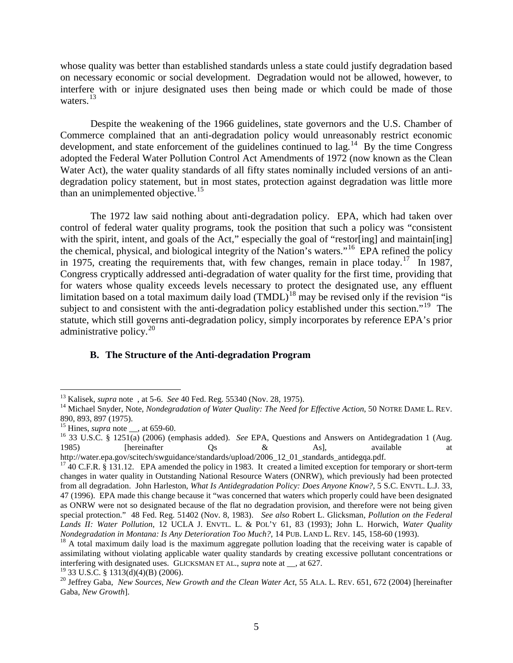whose quality was better than established standards unless a state could justify degradation based on necessary economic or social development. Degradation would not be allowed, however, to interfere with or injure designated uses then being made or which could be made of those waters.<sup>[13](#page-5-0)</sup>

Despite the weakening of the 1966 guidelines, state governors and the U.S. Chamber of Commerce complained that an anti-degradation policy would unreasonably restrict economic development, and state enforcement of the guidelines continued to lag.<sup>14</sup> By the time Congress adopted the Federal Water Pollution Control Act Amendments of 1972 (now known as the Clean Water Act), the water quality standards of all fifty states nominally included versions of an antidegradation policy statement, but in most states, protection against degradation was little more than an unimplemented objective.<sup>[15](#page-5-2)</sup>

The 1972 law said nothing about anti-degradation policy. EPA, which had taken over control of federal water quality programs, took the position that such a policy was "consistent with the spirit, intent, and goals of the Act," especially the goal of "restor[ing] and maintain[ing] the chemical, physical, and biological integrity of the Nation's waters."[16](#page-5-3) EPA refined the policy in 1975, creating the requirements that, with few changes, remain in place today.<sup>[17](#page-5-4)</sup> In 1987, Congress cryptically addressed anti-degradation of water quality for the first time, providing that for waters whose quality exceeds levels necessary to protect the designated use, any effluent limitation based on a total maximum daily load  $(TMDL)^{18}$  $(TMDL)^{18}$  $(TMDL)^{18}$  may be revised only if the revision "is subject to and consistent with the anti-degradation policy established under this section."<sup>[19](#page-5-6)</sup> The statute, which still governs anti-degradation policy, simply incorporates by reference EPA's prior administrative policy.<sup>[20](#page-5-7)</sup>

#### **B. The Structure of the Anti-degradation Program**

<span id="page-5-1"></span><span id="page-5-0"></span><sup>&</sup>lt;sup>13</sup> Kalisek, *supra* note, at 5-6. *See* 40 Fed. Reg. 55340 (Nov. 28, 1975).<br><sup>14</sup> Michael Snyder, Note, *Nondegradation of Water Quality: The Need for Effective Action*, 50 NOTRE DAME L. REV. 890, 893, 897 (1975).<br><sup>15</sup> Hines, *supra* note \_\_, at 659-60.

<span id="page-5-3"></span><span id="page-5-2"></span><sup>&</sup>lt;sup>16</sup> 33 U.S.C. § 1251(a) (2006) (emphasis added). *See* EPA, Questions and Answers on Antidegradation 1 (Aug. 1985) [hereinafter Qs & As], available at 1985) [hereinafter Qs & As], available at

<span id="page-5-4"></span>http://water.epa.gov/scitech/swguidance/standards/upload/2006\_12\_01\_standards\_antidegqa.pdf. <sup>17</sup> 40 C.F.R. § 131.12. EPA amended the policy in 1983. It created a limited exception for temporary or short-term changes in water quality in Outstanding National Resource Waters (ONRW), which previously had been protected from all degradation. John Harleston, *What Is Antidegradation Policy: Does Anyone Know?*, 5 S.C. ENVTL. L.J. 33, 47 (1996). EPA made this change because it "was concerned that waters which properly could have been designated as ONRW were not so designated because of the flat no degradation provision, and therefore were not being given special protection." 48 Fed. Reg. 51402 (Nov. 8, 1983). *See also* Robert L. Glicksman, *Pollution on the Federal Lands II: Water Pollution*, 12 UCLA J. ENVTL. L. & POL'Y 61, 83 (1993); John L. Horwich, *Water Quality* 

<span id="page-5-5"></span><sup>&</sup>lt;sup>18</sup> A total maximum daily load is the maximum aggregate pollution loading that the receiving water is capable of assimilating without violating applicable water quality standards by creating excessive pollutant concentrations or interfering with designated uses. GLICKSMAN ET AL., *supra* note at \_\_, at 627.<br><sup>19</sup> 33 U.S.C. § 1313(d)(4)(B) (2006).

<span id="page-5-6"></span>

<span id="page-5-7"></span><sup>&</sup>lt;sup>20</sup> Jeffrey Gaba, *New Sources, New Growth and the Clean Water Act*, 55 ALA. L. REV. 651, 672 (2004) [hereinafter Gaba, *New Growth*].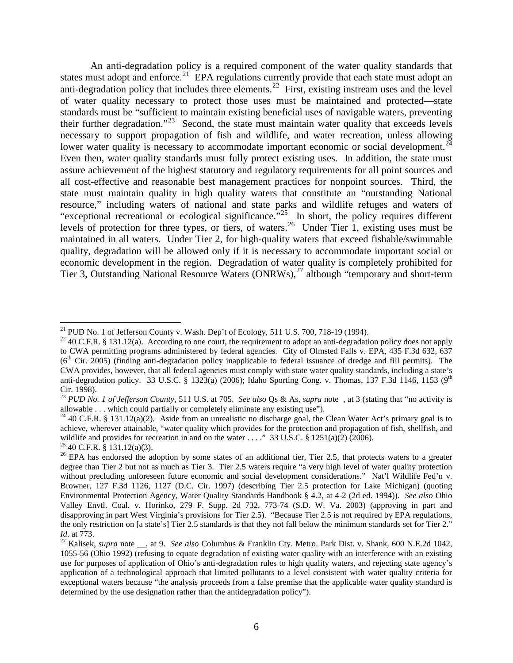An anti-degradation policy is a required component of the water quality standards that states must adopt and enforce.<sup>[21](#page-6-0)</sup> EPA regulations currently provide that each state must adopt an anti-degradation policy that includes three elements.<sup>[22](#page-6-1)</sup> First, existing instream uses and the level of water quality necessary to protect those uses must be maintained and protected—state standards must be "sufficient to maintain existing beneficial uses of navigable waters, preventing their further degradation."[23](#page-6-2) Second, the state must maintain water quality that exceeds levels necessary to support propagation of fish and wildlife, and water recreation, unless allowing lower water quality is necessary to accommodate important economic or social development.<sup>[24](#page-6-3)</sup> Even then, water quality standards must fully protect existing uses. In addition, the state must assure achievement of the highest statutory and regulatory requirements for all point sources and all cost-effective and reasonable best management practices for nonpoint sources. Third, the state must maintain quality in high quality waters that constitute an "outstanding National resource," including waters of national and state parks and wildlife refuges and waters of "exceptional recreational or ecological significance."<sup>25</sup> In short, the policy requires different levels of protection for three types, or tiers, of waters.<sup>26</sup> Under Tier 1, existing uses must be maintained in all waters. Under Tier 2, for high-quality waters that exceed fishable/swimmable quality, degradation will be allowed only if it is necessary to accommodate important social or economic development in the region. Degradation of water quality is completely prohibited for Tier 3, Outstanding National Resource Waters (ONRWs), [27](#page-6-6) although "temporary and short-term

<span id="page-6-1"></span><span id="page-6-0"></span><sup>&</sup>lt;sup>21</sup> PUD No. 1 of Jefferson County v. Wash. Dep't of Ecology, 511 U.S. 700, 718-19 (1994).<br><sup>22</sup> 40 C.F.R. § 131.12(a). According to one court, the requirement to adopt an anti-degradation policy does not apply to CWA permitting programs administered by federal agencies. City of Olmsted Falls v. EPA, 435 F.3d 632, 637  $(6<sup>th</sup>)$  Cir. 2005) (finding anti-degradation policy inapplicable to federal issuance of dredge and fill permits). The CWA provides, however, that all federal agencies must comply with state water quality standards, including a state's anti-degradation policy. 33 U.S.C. § 1323(a) (2006); Idaho Sporting Cong. v. Thomas, 137 F.3d 1146, 1153 ( $9<sup>th</sup>$ Cir. 1998).

<span id="page-6-2"></span><sup>23</sup> *PUD No. 1 of Jefferson County*, 511 U.S. at 705. *See also* Qs & As, *supra* note , at 3 (stating that "no activity is allowable . . . which could partially or completely eliminate any existing use").

<span id="page-6-3"></span><sup>&</sup>lt;sup>24</sup> 40 C.F.R. § 131.12(a)(2). Aside from an unrealistic no discharge goal, the Clean Water Act's primary goal is to achieve, wherever attainable, "water quality which provides for the protection and propagation of fish, shellfish, and wildlife and provides for recreation in and on the water ...." 33 U.S.C. § 1251(a)(2) (2006).<br><sup>25</sup> 40 C.F.R. § 131.12(a)(3).<br><sup>26</sup> EPA has endorsed the adoption by some states of an additional tier, Tier 2.5, that protects

<span id="page-6-4"></span>

<span id="page-6-5"></span>degree than Tier 2 but not as much as Tier 3. Tier 2.5 waters require "a very high level of water quality protection without precluding unforeseen future economic and social development considerations." Nat'l Wildlife Fed'n v. Browner, 127 F.3d 1126, 1127 (D.C. Cir. 1997) (describing Tier 2.5 protection for Lake Michigan) (quoting Environmental Protection Agency, Water Quality Standards Handbook § 4.2, at 4-2 (2d ed. 1994)). *See also* Ohio Valley Envtl. Coal. v. Horinko, 279 F. Supp. 2d 732, 773-74 (S.D. W. Va. 2003) (approving in part and disapproving in part West Virginia's provisions for Tier 2.5). "Because Tier 2.5 is not required by EPA regulations, the only restriction on [a state's] Tier 2.5 standards is that they not fall below the minimum standards set for Tier 2."  $Id$ . at 773.

<span id="page-6-6"></span><sup>&</sup>lt;sup>27</sup> Kalisek, *supra* note \_\_, at 9. *See also* Columbus & Franklin Cty. Metro. Park Dist. v. Shank, 600 N.E.2d 1042, 1055-56 (Ohio 1992) (refusing to equate degradation of existing water quality with an interference with an existing use for purposes of application of Ohio's anti-degradation rules to high quality waters, and rejecting state agency's application of a technological approach that limited pollutants to a level consistent with water quality criteria for exceptional waters because "the analysis proceeds from a false premise that the applicable water quality standard is determined by the use designation rather than the antidegradation policy").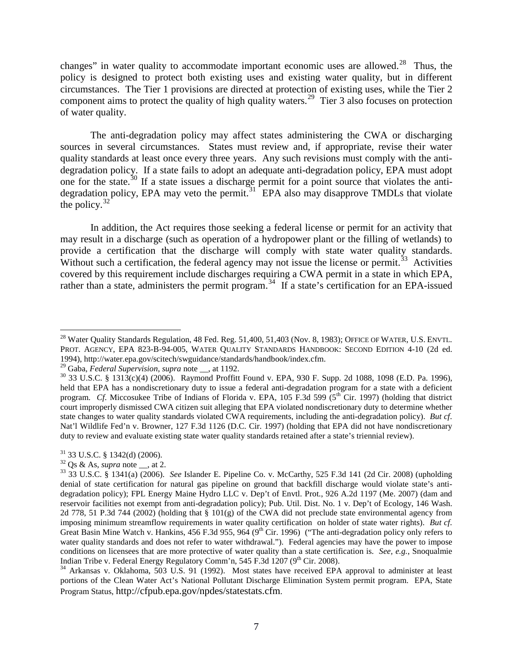changes" in water quality to accommodate important economic uses are allowed.<sup>[28](#page-7-0)</sup> Thus, the policy is designed to protect both existing uses and existing water quality, but in different circumstances. The Tier 1 provisions are directed at protection of existing uses, while the Tier 2 component aims to protect the quality of high quality waters.<sup>29</sup> Tier 3 also focuses on protection of water quality.

The anti-degradation policy may affect states administering the CWA or discharging sources in several circumstances. States must review and, if appropriate, revise their water quality standards at least once every three years. Any such revisions must comply with the antidegradation policy. If a state fails to adopt an adequate anti-degradation policy, EPA must adopt one for the state.<sup>[30](#page-7-2)</sup> If a state issues a discharge permit for a point source that violates the antidegradation policy, EPA may veto the permit.<sup>31</sup> EPA also may disapprove TMDLs that violate the policy. $32$ 

In addition, the Act requires those seeking a federal license or permit for an activity that may result in a discharge (such as operation of a hydropower plant or the filling of wetlands) to provide a certification that the discharge will comply with state water quality standards. Without such a certification, the federal agency may not issue the license or permit.<sup>33</sup> Activities covered by this requirement include discharges requiring a CWA permit in a state in which EPA, rather than a state, administers the permit program.<sup>34</sup> If a state's certification for an EPA-issued

<span id="page-7-0"></span><sup>&</sup>lt;sup>28</sup> Water Quality Standards Regulation, 48 Fed. Reg. 51,400, 51,403 (Nov. 8, 1983); OFFICE OF WATER, U.S. ENVTL. PROT. AGENCY, EPA 823-B-94-005, WATER QUALITY STANDARDS HANDBOOK: SECOND EDITION 4-10 (2d ed. 1994), http://water.epa.gov/scitech/swguidance/standards/handbook/index.cfm.<br><sup>29</sup> Gaba, *Federal Supervision, supra* note \_\_, at 1192.

<span id="page-7-1"></span>

<span id="page-7-2"></span><sup>&</sup>lt;sup>30</sup> 33 U.S.C. § 1313(c)(4) (2006). Raymond Proffitt Found v. EPA, 930 F. Supp. 2d 1088, 1098 (E.D. Pa. 1996), held that EPA has a nondiscretionary duty to issue a federal anti-degradation program for a state with a deficient program. *Cf.* Miccosukee Tribe of Indians of Florida v. EPA, 105 F.3d 599 ( $5<sup>th</sup>$  Cir. 1997) (holding that district court improperly dismissed CWA citizen suit alleging that EPA violated nondiscretionary duty to determine whether state changes to water quality standards violated CWA requirements, including the anti-degradation policy). *But cf*. Nat'l Wildlife Fed'n v. Browner, 127 F.3d 1126 (D.C. Cir. 1997) (holding that EPA did not have nondiscretionary duty to review and evaluate existing state water quality standards retained after a state's triennial review).

<span id="page-7-5"></span>

<span id="page-7-4"></span><span id="page-7-3"></span><sup>31</sup> 33 U.S.C. § 1342(d) (2006). <sup>32</sup> Qs & As, *supra* note \_\_, at 2. <sup>33</sup> 33 U.S.C. § 1341(a) (2006). *See* Islander E. Pipeline Co. v. McCarthy, 525 F.3d 141 (2d Cir. 2008) (upholding denial of state certification for natural gas pipeline on ground that backfill discharge would violate state's antidegradation policy); FPL Energy Maine Hydro LLC v. Dep't of Envtl. Prot., 926 A.2d 1197 (Me. 2007) (dam and reservoir facilities not exempt from anti-degradation policy); Pub. Util. Dist. No. 1 v. Dep't of Ecology, 146 Wash. 2d 778, 51 P.3d 744 (2002) (holding that § 101(g) of the CWA did not preclude state environmental agency from imposing minimum streamflow requirements in water quality certification on holder of state water rights). *But cf*. Great Basin Mine Watch v. Hankins, 456 F.3d 955, 964 (9<sup>th</sup> Cir. 1996) ("The anti-degradation policy only refers to water quality standards and does not refer to water withdrawal."). Federal agencies may have the power to impose conditions on licensees that are more protective of water quality than a state certification is. *See, e.g.*, Snoqualmie Indian Tribe v. Federal Energy Regulatory Comm'n, 545 F.3d 1207 (9<sup>th</sup> Cir. 2008).

<span id="page-7-6"></span> $34$  Arkansas v. Oklahoma, 503 U.S. 91 (1992). Most states have received EPA approval to administer at least portions of the Clean Water Act's National Pollutant Discharge Elimination System permit program. EPA, State Program Status, http://cfpub.epa.gov/npdes/statestats.cfm.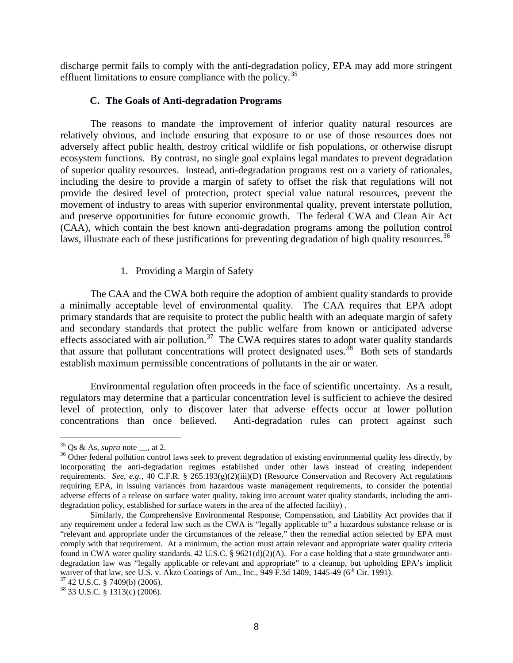discharge permit fails to comply with the anti-degradation policy, EPA may add more stringent effluent limitations to ensure compliance with the policy.<sup>[35](#page-8-0)</sup>

#### **C. The Goals of Anti-degradation Programs**

The reasons to mandate the improvement of inferior quality natural resources are relatively obvious, and include ensuring that exposure to or use of those resources does not adversely affect public health, destroy critical wildlife or fish populations, or otherwise disrupt ecosystem functions. By contrast, no single goal explains legal mandates to prevent degradation of superior quality resources. Instead, anti-degradation programs rest on a variety of rationales, including the desire to provide a margin of safety to offset the risk that regulations will not provide the desired level of protection, protect special value natural resources, prevent the movement of industry to areas with superior environmental quality, prevent interstate pollution, and preserve opportunities for future economic growth. The federal CWA and Clean Air Act (CAA), which contain the best known anti-degradation programs among the pollution control laws, illustrate each of these justifications for preventing degradation of high quality resources.<sup>[36](#page-8-1)</sup>

#### 1. Providing a Margin of Safety

The CAA and the CWA both require the adoption of ambient quality standards to provide a minimally acceptable level of environmental quality. The CAA requires that EPA adopt primary standards that are requisite to protect the public health with an adequate margin of safety and secondary standards that protect the public welfare from known or anticipated adverse effects associated with air pollution.<sup>[37](#page-8-2)</sup> The CWA requires states to adopt water quality standards that assure that pollutant concentrations will protect designated uses.<sup>38</sup> Both sets of standards establish maximum permissible concentrations of pollutants in the air or water.

Environmental regulation often proceeds in the face of scientific uncertainty. As a result, regulators may determine that a particular concentration level is sufficient to achieve the desired level of protection, only to discover later that adverse effects occur at lower pollution concentrations than once believed. Anti-degradation rules can protect against such

<span id="page-8-1"></span><span id="page-8-0"></span><sup>&</sup>lt;sup>35</sup> Qs & As, *supra* note <sub>\_\_</sub>, at 2.<br><sup>36</sup> Other federal pollution control laws seek to prevent degradation of existing environmental quality less directly, by incorporating the anti-degradation regimes established under other laws instead of creating independent requirements. *See, e.g.*, 40 C.F.R. § 265.193(g)(2)(iii)(D) (Resource Conservation and Recovery Act regulations requiring EPA, in issuing variances from hazardous waste management requirements, to consider the potential adverse effects of a release on surface water quality, taking into account water quality standards, including the antidegradation policy, established for surface waters in the area of the affected facility) .

Similarly, the Comprehensive Environmental Response, Compensation, and Liability Act provides that if any requirement under a federal law such as the CWA is "legally applicable to" a hazardous substance release or is "relevant and appropriate under the circumstances of the release," then the remedial action selected by EPA must comply with that requirement. At a minimum, the action must attain relevant and appropriate water quality criteria found in CWA water quality standards. 42 U.S.C. § 9621(d)(2)(A). For a case holding that a state groundwater antidegradation law was "legally applicable or relevant and appropriate" to a cleanup, but upholding EPA's implicit waiver of that law, see U.S. v. Akzo Coatings of Am., Inc., 949 F.3d 1409, 1445-49 (6<sup>th</sup> Cir. 1991).<br><sup>37</sup> 42 U.S.C. § 7409(b) (2006).<br><sup>38</sup> 33 U.S.C. § 1313(c) (2006).

<span id="page-8-3"></span><span id="page-8-2"></span>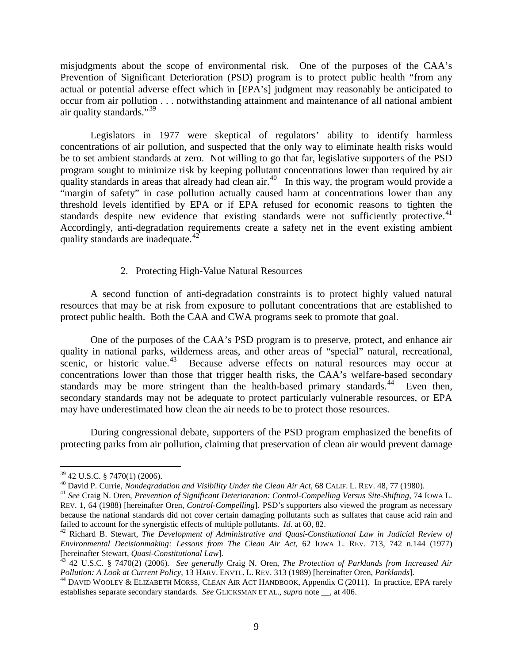misjudgments about the scope of environmental risk. One of the purposes of the CAA's Prevention of Significant Deterioration (PSD) program is to protect public health "from any actual or potential adverse effect which in [EPA's] judgment may reasonably be anticipated to occur from air pollution . . . notwithstanding attainment and maintenance of all national ambient air quality standards."<sup>[39](#page-9-0)</sup>

Legislators in 1977 were skeptical of regulators' ability to identify harmless concentrations of air pollution, and suspected that the only way to eliminate health risks would be to set ambient standards at zero. Not willing to go that far, legislative supporters of the PSD program sought to minimize risk by keeping pollutant concentrations lower than required by air quality standards in areas that already had clean air.<sup>40</sup> In this way, the program would provide a "margin of safety" in case pollution actually caused harm at concentrations lower than any threshold levels identified by EPA or if EPA refused for economic reasons to tighten the standards despite new evidence that existing standards were not sufficiently protective.<sup>[41](#page-9-2)</sup> Accordingly, anti-degradation requirements create a safety net in the event existing ambient quality standards are inadequate.<sup>[42](#page-9-3)</sup>

#### 2. Protecting High-Value Natural Resources

A second function of anti-degradation constraints is to protect highly valued natural resources that may be at risk from exposure to pollutant concentrations that are established to protect public health. Both the CAA and CWA programs seek to promote that goal.

One of the purposes of the CAA's PSD program is to preserve, protect, and enhance air quality in national parks, wilderness areas, and other areas of "special" natural, recreational, scenic, or historic value.<sup>43</sup> Because adverse effects on natural resources may occur at concentrations lower than those that trigger health risks, the CAA's welfare-based secondary standards may be more stringent than the health-based primary standards.<sup>44</sup> Even then, secondary standards may not be adequate to protect particularly vulnerable resources, or EPA may have underestimated how clean the air needs to be to protect those resources.

During congressional debate, supporters of the PSD program emphasized the benefits of protecting parks from air pollution, claiming that preservation of clean air would prevent damage

<span id="page-9-1"></span><span id="page-9-0"></span><sup>&</sup>lt;sup>39</sup> 42 U.S.C. § 7470(1) (2006).<br><sup>40</sup> David P. Currie, *Nondegradation and Visibility Under the Clean Air Act*, 68 CALIF. L. REV. 48, 77 (1980).<br><sup>41</sup> See Craig N. Oren, *Prevention of Significant Deterioration: Control-Co* 

<span id="page-9-2"></span>REV. 1, 64 (1988) [hereinafter Oren, *Control-Compelling*]. PSD's supporters also viewed the program as necessary because the national standards did not cover certain damaging pollutants such as sulfates that cause acid rain and failed to account for the synergistic effects of multiple pollutants. *Id.* at 60, 82.

<span id="page-9-3"></span><sup>&</sup>lt;sup>42</sup> Richard B. Stewart, *The Development of Administrative and Quasi-Constitutional Law in Judicial Review of Environmental Decisionmaking: Lessons from The Clean Air Act*, 62 IOWA L. REV. 713, 742 n.144 (1977)

<span id="page-9-4"></span><sup>&</sup>lt;sup>43</sup> 42 U.S.C. § 7470(2) (2006). *See generally Craig N. Oren, The Protection of Parklands from Increased Air Pollution: A Look at Current Policy, 13 HARV. ENVTL. L. REV. 313 (1989) [hereinafter Oren, <i>Parklands*].

<span id="page-9-5"></span><sup>&</sup>lt;sup>44</sup> DAVID WOOLEY & ELIZABETH MORSS, CLEAN AIR ACT HANDBOOK, Appendix C (2011). In practice, EPA rarely establishes separate secondary standards. *See* GLICKSMAN ET AL., *supra* note \_\_, at 406.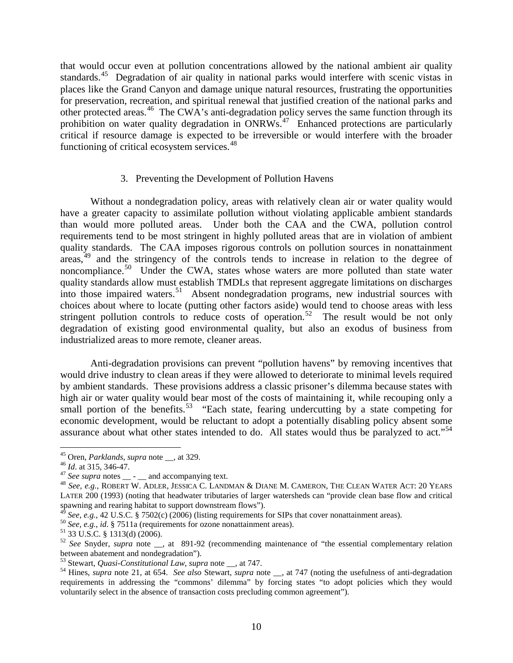that would occur even at pollution concentrations allowed by the national ambient air quality standards.<sup>[45](#page-10-0)</sup> Degradation of air quality in national parks would interfere with scenic vistas in places like the Grand Canyon and damage unique natural resources, frustrating the opportunities for preservation, recreation, and spiritual renewal that justified creation of the national parks and other protected areas.<sup>46</sup> The CWA's anti-degradation policy serves the same function through its prohibition on water quality degradation in  $\overline{ONRWs}^{47}$  $\overline{ONRWs}^{47}$  $\overline{ONRWs}^{47}$ . Enhanced protections are particularly critical if resource damage is expected to be irreversible or would interfere with the broader functioning of critical ecosystem services.<sup>[48](#page-10-3)</sup>

#### 3. Preventing the Development of Pollution Havens

Without a nondegradation policy, areas with relatively clean air or water quality would have a greater capacity to assimilate pollution without violating applicable ambient standards than would more polluted areas. Under both the CAA and the CWA, pollution control requirements tend to be most stringent in highly polluted areas that are in violation of ambient quality standards. The CAA imposes rigorous controls on pollution sources in nonattainment  $\arccos$ <sup>[49](#page-10-4)</sup> and the stringency of the controls tends to increase in relation to the degree of noncompliance.<sup>50</sup> Under the CWA, states whose waters are more polluted than state water quality standards allow must establish TMDLs that represent aggregate limitations on discharges into those impaired waters.<sup>51</sup> Absent nondegradation programs, new industrial sources with choices about where to locate (putting other factors aside) would tend to choose areas with less stringent pollution controls to reduce costs of operation.<sup>52</sup> The result would be not only degradation of existing good environmental quality, but also an exodus of business from industrialized areas to more remote, cleaner areas.

Anti-degradation provisions can prevent "pollution havens" by removing incentives that would drive industry to clean areas if they were allowed to deteriorate to minimal levels required by ambient standards. These provisions address a classic prisoner's dilemma because states with high air or water quality would bear most of the costs of maintaining it, while recouping only a small portion of the benefits.<sup>53</sup> "Each state, fearing undercutting by a state competing for economic development, would be reluctant to adopt a potentially disabling policy absent some assurance about what other states intended to do. All states would thus be paralyzed to act."<sup>[54](#page-10-9)</sup>

<span id="page-10-3"></span><span id="page-10-2"></span>

<span id="page-10-1"></span><span id="page-10-0"></span><sup>&</sup>lt;sup>45</sup> Oren, *Parklands*, *supra* note <sub>\_\_</sub>, at 329.<br><sup>46</sup> *Id.* at 315, 346-47.<br><sup>47</sup> See supra notes \_\_ - \_\_ and accompanying text.<br><sup>48</sup> See, e.g., ROBERT W. ADLER, JESSICA C. LANDMAN & DIANE M. CAMERON, THE CLEAN WATER ACT LATER 200 (1993) (noting that headwater tributaries of larger watersheds can "provide clean base flow and critical spawning and rearing habitat to support downstream flows").<br><sup>49</sup> See, e.g., 42 U.S.C. § 7502(c) (2006) (listing requirements for SIPs that cover nonattainment areas).

<span id="page-10-7"></span>

<span id="page-10-6"></span><span id="page-10-5"></span><span id="page-10-4"></span><sup>&</sup>lt;sup>50</sup> See, e.g., id. § 7511a (requirements for ozone nonattainment areas).<br><sup>51</sup> 33 U.S.C. § 1313(d) (2006).<br><sup>52</sup> See Snyder, *supra* note \_\_, at 891-92 (recommending maintenance of "the essential complementary relation bet

<span id="page-10-9"></span><span id="page-10-8"></span><sup>&</sup>lt;sup>53</sup> Stewart, *Quasi-Constitutional Law*, *supra* note \_\_, at 747.<br><sup>54</sup> Hines, *supra* note 21, at 654. *See also* Stewart, *supra* note \_\_, at 747 (noting the usefulness of anti-degradation requirements in addressing the "commons' dilemma" by forcing states "to adopt policies which they would voluntarily select in the absence of transaction costs precluding common agreement").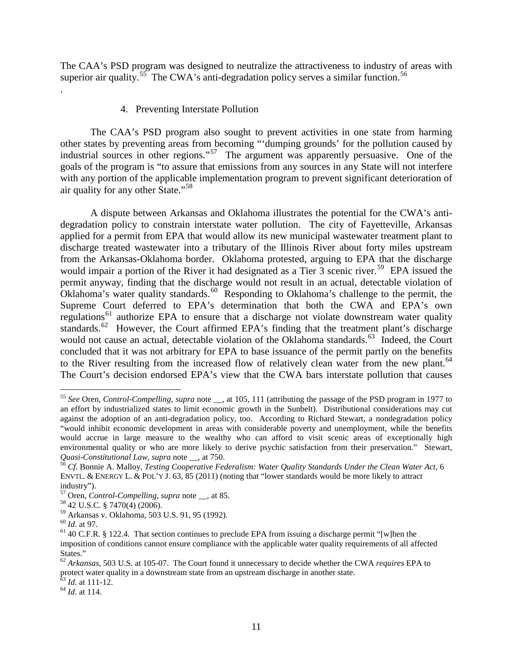The CAA's PSD program was designed to neutralize the attractiveness to industry of areas with superior air quality.<sup>55</sup> The CWA's anti-degradation policy serves a similar function.<sup>[56](#page-11-1)</sup>

#### 4. Preventing Interstate Pollution

The CAA's PSD program also sought to prevent activities in one state from harming other states by preventing areas from becoming "'dumping grounds' for the pollution caused by industrial sources in other regions."[57](#page-11-2) The argument was apparently persuasive. One of the goals of the program is "to assure that emissions from any sources in any State will not interfere with any portion of the applicable implementation program to prevent significant deterioration of air quality for any other State."[58](#page-11-3)

A dispute between Arkansas and Oklahoma illustrates the potential for the CWA's antidegradation policy to constrain interstate water pollution. The city of Fayetteville, Arkansas applied for a permit from EPA that would allow its new municipal wastewater treatment plant to discharge treated wastewater into a tributary of the Illinois River about forty miles upstream from the Arkansas-Oklahoma border. Oklahoma protested, arguing to EPA that the discharge would impair a portion of the River it had designated as a Tier 3 scenic river.<sup>59</sup> EPA issued the permit anyway, finding that the discharge would not result in an actual, detectable violation of Oklahoma's water quality standards.<sup>60</sup> Responding to Oklahoma's challenge to the permit, the Supreme Court deferred to EPA's determination that both the CWA and EPA's own regulations<sup>[61](#page-11-6)</sup> authorize EPA to ensure that a discharge not violate downstream water quality standards.<sup>[62](#page-11-7)</sup> However, the Court affirmed EPA's finding that the treatment plant's discharge would not cause an actual, detectable violation of the Oklahoma standards.<sup>[63](#page-11-8)</sup> Indeed, the Court concluded that it was not arbitrary for EPA to base issuance of the permit partly on the benefits to the River resulting from the increased flow of relatively clean water from the new plant.<sup>[64](#page-11-9)</sup> The Court's decision endorsed EPA's view that the CWA bars interstate pollution that causes

.

<span id="page-11-9"></span><span id="page-11-8"></span><sup>63</sup> *Id*. at 111-12. <sup>64</sup> *Id*. at 114.

<span id="page-11-0"></span> <sup>55</sup> *See* Oren, *Control-Compelling*, *supra* note \_\_, at 105, 111 (attributing the passage of the PSD program in 1977 to an effort by industrialized states to limit economic growth in the Sunbelt). Distributional considerations may cut against the adoption of an anti-degradation policy, too. According to Richard Stewart, a nondegradation policy "would inhibit economic development in areas with considerable poverty and unemployment, while the benefits would accrue in large measure to the wealthy who can afford to visit scenic areas of exceptionally high environmental quality or who are more likely to derive psychic satisfaction from their preservation." Stewart, *Quasi-Constitutional Law*, *supra* note  $\_\_$ , at 750.

<span id="page-11-1"></span>*Cf.* Bonnie A. Malloy, *Testing Cooperative Federalism: Water Quality Standards Under the Clean Water Act*, 6 ENVTL. & ENERGY L. & POL'Y J. 63, 85 (2011) (noting that "lower standards would be more likely to attract industry").

<span id="page-11-3"></span><span id="page-11-2"></span><sup>&</sup>lt;sup>57</sup> Oren, *Control-Compelling*, *supra* note <sub>\_\_</sub>, at 85.<br><sup>58</sup> 42 U.S.C. § 7470(4) (2006).<br><sup>59</sup> Arkansas v. Oklahoma, 503 U.S. 91, 95 (1992).

<span id="page-11-4"></span>

<span id="page-11-6"></span><span id="page-11-5"></span><sup>&</sup>lt;sup>60</sup> *Id.* at 97.<br><sup>61</sup> 40 C.F.R. § 122.4. That section continues to preclude EPA from issuing a discharge permit "[w]hen the imposition of conditions cannot ensure compliance with the applicable water quality requirements of all affected States."

<span id="page-11-7"></span><sup>62</sup> *Arkansas*, 503 U.S. at 105-07. The Court found it unnecessary to decide whether the CWA *requires* EPA to protect water quality in a downstream state from an upstream discharge in another state.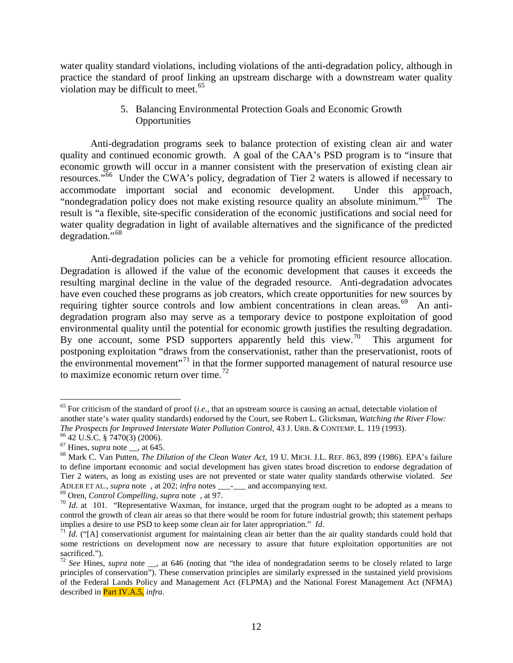water quality standard violations, including violations of the anti-degradation policy, although in practice the standard of proof linking an upstream discharge with a downstream water quality violation may be difficult to meet. $65$ 

> 5. Balancing Environmental Protection Goals and Economic Growth **Opportunities**

Anti-degradation programs seek to balance protection of existing clean air and water quality and continued economic growth. A goal of the CAA's PSD program is to "insure that economic growth will occur in a manner consistent with the preservation of existing clean air resources."<sup>[66](#page-12-1)</sup> Under the CWA's policy, degradation of Tier 2 waters is allowed if necessary to accommodate important social and economic development. Under this approach, "nondegradation policy does not make existing resource quality an absolute minimum."<sup>57</sup> The result is "a flexible, site-specific consideration of the economic justifications and social need for water quality degradation in light of available alternatives and the significance of the predicted degradation."[68](#page-12-3) 

Anti-degradation policies can be a vehicle for promoting efficient resource allocation. Degradation is allowed if the value of the economic development that causes it exceeds the resulting marginal decline in the value of the degraded resource. Anti-degradation advocates have even couched these programs as job creators, which create opportunities for new sources by requiring tighter source controls and low ambient concentrations in clean areas.<sup>69</sup> An antidegradation program also may serve as a temporary device to postpone exploitation of good environmental quality until the potential for economic growth justifies the resulting degradation. By one account, some PSD supporters apparently held this view.<sup>[70](#page-12-5)</sup> This argument for postponing exploitation "draws from the conservationist, rather than the preservationist, roots of the environmental movement"<sup>[71](#page-12-6)</sup> in that the former supported management of natural resource use to maximize economic return over time.<sup>[72](#page-12-7)</sup>

<span id="page-12-0"></span> <sup>65</sup> For criticism of the standard of proof (*i.e.*, that an upstream source is causing an actual, detectable violation of another state's water quality standards) endorsed by the Court, see Robert L. Glicksman, *Watching the River Flow:* 

<span id="page-12-3"></span>

<span id="page-12-2"></span><span id="page-12-1"></span><sup>&</sup>lt;sup>66</sup> 42 U.S.C. § 7470(3) (2006).<br><sup>67</sup> Hines, *supra* note \_\_, at 645.<br><sup>68</sup> Mark C. Van Putten, *The Dilution of the Clean Water Act*, 19 U. MICH. J.L. REF. 863, 899 (1986). EPA's failure to define important economic and social development has given states broad discretion to endorse degradation of Tier 2 waters, as long as existing uses are not prevented or state water quality standards otherwise violated. *See* 

<span id="page-12-5"></span><span id="page-12-4"></span><sup>&</sup>lt;sup>69</sup> Oren, *Control Compelling*, *supra* note, at 97.<br><sup>70</sup> *Id.* at 101. "Representative Waxman, for instance, urged that the program ought to be adopted as a means to control the growth of clean air areas so that there would be room for future industrial growth; this statement perhaps implies a desire to use PSD to keep some clean air for later appropriation."  $Id$ .

<span id="page-12-6"></span><sup>&</sup>lt;sup>71</sup> *Id.* ("[A] conservationist argument for maintaining clean air better than the air quality standards could hold that some restrictions on development now are necessary to assure that future exploitation opportunities are not sacrificed.").

<span id="page-12-7"></span><sup>72</sup> *See* Hines, *supra* note \_\_, at 646 (noting that "the idea of nondegradation seems to be closely related to large principles of conservation"). These conservation principles are similarly expressed in the sustained yield provisions of the Federal Lands Policy and Management Act (FLPMA) and the National Forest Management Act (NFMA) described in Part IV.A.5, *infra.*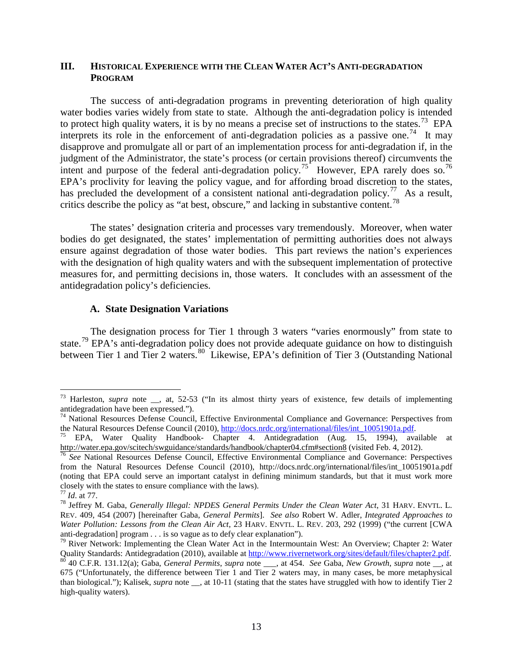#### **III. HISTORICAL EXPERIENCE WITH THE CLEAN WATER ACT'S ANTI-DEGRADATION PROGRAM**

The success of anti-degradation programs in preventing deterioration of high quality water bodies varies widely from state to state. Although the anti-degradation policy is intended to protect high quality waters, it is by no means a precise set of instructions to the states.<sup>[73](#page-13-0)</sup> EPA interprets its role in the enforcement of anti-degradation policies as a passive one.<sup>[74](#page-13-1)</sup> It may disapprove and promulgate all or part of an implementation process for anti-degradation if, in the judgment of the Administrator, the state's process (or certain provisions thereof) circumvents the intent and purpose of the federal anti-degradation policy.<sup>[75](#page-13-2)</sup> However, EPA rarely does so.<sup>[76](#page-13-3)</sup> EPA's proclivity for leaving the policy vague, and for affording broad discretion to the states, has precluded the development of a consistent national anti-degradation policy.<sup>[77](#page-13-4)</sup> As a result, critics describe the policy as "at best, obscure," and lacking in substantive content.<sup>[78](#page-13-5)</sup>

The states' designation criteria and processes vary tremendously. Moreover, when water bodies do get designated, the states' implementation of permitting authorities does not always ensure against degradation of those water bodies. This part reviews the nation's experiences with the designation of high quality waters and with the subsequent implementation of protective measures for, and permitting decisions in, those waters. It concludes with an assessment of the antidegradation policy's deficiencies.

#### **A. State Designation Variations**

The designation process for Tier 1 through 3 waters "varies enormously" from state to state.<sup>[79](#page-13-6)</sup> EPA's anti-degradation policy does not provide adequate guidance on how to distinguish between Tier 1 and Tier 2 waters.<sup>80</sup> Likewise, EPA's definition of Tier 3 (Outstanding National

<span id="page-13-0"></span><sup>&</sup>lt;sup>73</sup> Harleston, *supra* note <sub>\_\_</sub>, at, 52-53 ("In its almost thirty years of existence, few details of implementing antidegradation have been expressed.").

<span id="page-13-1"></span><sup>&</sup>lt;sup>74</sup> National Resources Defense Council, Effective Environmental Compliance and Governance: Perspectives from the Natural Resources Defense Council (2010),  $\frac{http://docs.nrdc.org/international/files/int 10051901a.pdf.}$ 

<span id="page-13-2"></span><sup>&</sup>lt;sup>75</sup> EPA, Water Quality Handbook- Chapter 4. Antidegradation (Aug. 15, 1994), available at <http://water.epa.gov/scitech/swguidance/standards/handbook/chapter04.cfm#section8> (visited Feb. 4, 2012). <sup>76</sup> *See* National Resources Defense Council, Effective Environmental Compliance and Governance: Perspectives

<span id="page-13-3"></span>from the Natural Resources Defense Council (2010), http://docs.nrdc.org/international/files/int\_10051901a.pdf (noting that EPA could serve an important catalyst in defining minimum standards, but that it must work more closely with the states to ensure compliance with the laws).<br> $^{77}$  *Id.* at 77.

<span id="page-13-5"></span><span id="page-13-4"></span><sup>&</sup>lt;sup>78</sup> Jeffrey M. Gaba, *Generally Illegal: NPDES General Permits Under the Clean Water Act*, 31 HARV. ENVTL. L. REV. 409, 454 (2007) [hereinafter Gaba, *General Permits*]. *See also* Robert W. Adler, *Integrated Approaches to Water Pollution: Lessons from the Clean Air Act*, 23 HARV. ENVTL. L. REV. 203, 292 (1999) ("the current [CWA anti-degradation] program . . . is so vague as to defy clear explanation").<br><sup>79</sup> River Network: Implementing the Clean Water Act in the Intermountain West: An Overview; Chapter 2: Water

<span id="page-13-7"></span><span id="page-13-6"></span>Quality Standards: Antidegradation (2010), available a[t http://www.rivernetwork.org/sites/default/files/chapter2.pdf.](http://www.rivernetwork.org/sites/default/files/chapter2.pdf)<br><sup>80</sup> 40 C.F.R. 131.12(a); Gaba, *General Permits, supra* note \_\_\_, at 454. See Gaba, New Growth, supra n 675 ("Unfortunately, the difference between Tier 1 and Tier 2 waters may, in many cases, be more metaphysical than biological."); Kalisek, *supra* note \_\_, at 10-11 (stating that the states have struggled with how to identify Tier 2 high-quality waters).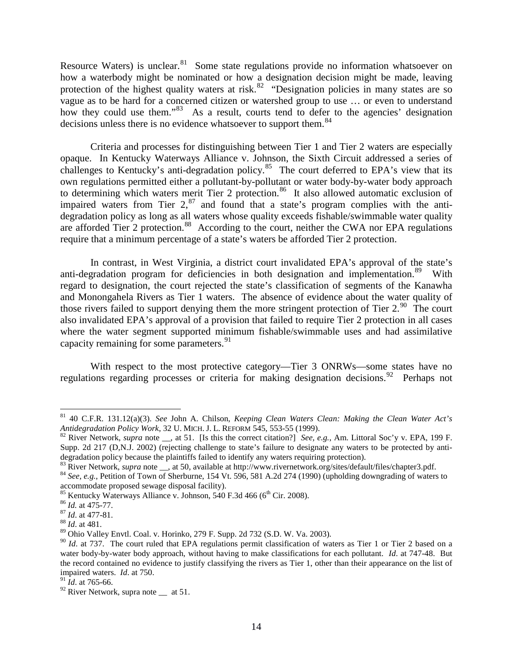Resource Waters) is unclear.<sup>[81](#page-14-0)</sup> Some state regulations provide no information whatsoever on how a waterbody might be nominated or how a designation decision might be made, leaving protection of the highest quality waters at risk.<sup>[82](#page-14-1)</sup> "Designation policies in many states are so vague as to be hard for a concerned citizen or watershed group to use … or even to understand how they could use them."<sup>[83](#page-14-2)</sup> As a result, courts tend to defer to the agencies' designation decisions unless there is no evidence whatsoever to support them.<sup>[84](#page-14-3)</sup>

Criteria and processes for distinguishing between Tier 1 and Tier 2 waters are especially opaque. In Kentucky Waterways Alliance v. Johnson, the Sixth Circuit addressed a series of challenges to Kentucky's anti-degradation policy.<sup>85</sup> The court deferred to EPA's view that its own regulations permitted either a pollutant-by-pollutant or water body-by-water body approach to determining which waters merit Tier 2 protection.<sup>[86](#page-14-5)</sup> It also allowed automatic exclusion of impaired waters from Tier  $2$ ,  $87$  and found that a state's program complies with the antidegradation policy as long as all waters whose quality exceeds fishable/swimmable water quality are afforded Tier 2 protection.<sup>88</sup> According to the court, neither the CWA nor EPA regulations require that a minimum percentage of a state's waters be afforded Tier 2 protection.

In contrast, in West Virginia, a district court invalidated EPA's approval of the state's anti-degradation program for deficiencies in both designation and implementation.<sup>89</sup> With regard to designation, the court rejected the state's classification of segments of the Kanawha and Monongahela Rivers as Tier 1 waters. The absence of evidence about the water quality of those rivers failed to support denying them the more stringent protection of Tier  $2.^{90}$ . The court also invalidated EPA's approval of a provision that failed to require Tier 2 protection in all cases where the water segment supported minimum fishable/swimmable uses and had assimilative capacity remaining for some parameters.<sup>[91](#page-14-10)</sup>

With respect to the most protective category—Tier 3 ONRWs—some states have no regulations regarding processes or criteria for making designation decisions.<sup>92</sup> Perhaps not

<span id="page-14-0"></span> <sup>81</sup> 40 C.F.R. 131.12(a)(3). *See* John A. Chilson, *Keeping Clean Waters Clean: Making the Clean Water Act's* 

<span id="page-14-1"></span><sup>&</sup>lt;sup>82</sup> River Network, *supra* note <sub>\_\_</sub>, at 51. [Is this the correct citation?] *See, e.g.*, Am. Littoral Soc'y v. EPA, 199 F. Supp. 2d 217 (D,N.J. 2002) (rejecting challenge to state's failure to designate any waters to be protected by anti-<br>degradation policy because the plaintiffs failed to identify any waters requiring protection).

<span id="page-14-3"></span><span id="page-14-2"></span><sup>&</sup>lt;sup>83</sup> River Network, *supra* note  $\frac{1}{2}$ , at 50, available at http://www.rivernetwork.org/sites/default/files/chapter3.pdf.<br><sup>84</sup> *See, e.g.*, Petition of Town of Sherburne, 154 Vt. 596, 581 A.2d 274 (1990) (upholding do

<span id="page-14-4"></span><sup>&</sup>lt;sup>85</sup> Kentucky Waterways Alliance v. Johnson, 540 F.3d 466 (6<sup>th</sup> Cir. 2008). <sup>86</sup> *Id.* at 475-77. <sup>87</sup> *Id.* at 477-81. <sup>88</sup> *Id.* at 481.

<span id="page-14-5"></span>

<span id="page-14-6"></span>

<span id="page-14-7"></span>

<span id="page-14-8"></span><sup>89</sup> Ohio Valley Envtl. Coal. v. Horinko, 279 F. Supp. 2d 732 (S.D. W. Va. 2003).

<span id="page-14-9"></span><sup>&</sup>lt;sup>90</sup> *Id.* at 737. The court ruled that EPA regulations permit classification of waters as Tier 1 or Tier 2 based on a water body-by-water body approach, without having to make classifications for each pollutant. *Id*. at 747-48. But the record contained no evidence to justify classifying the rivers as Tier 1, other than their appearance on the list of impaired waters. *Id.* at 750.<br><sup>91</sup> *Id.* at 765-66.

<span id="page-14-10"></span>

<span id="page-14-11"></span><sup>&</sup>lt;sup>92</sup> River Network, supra note \_\_ at 51.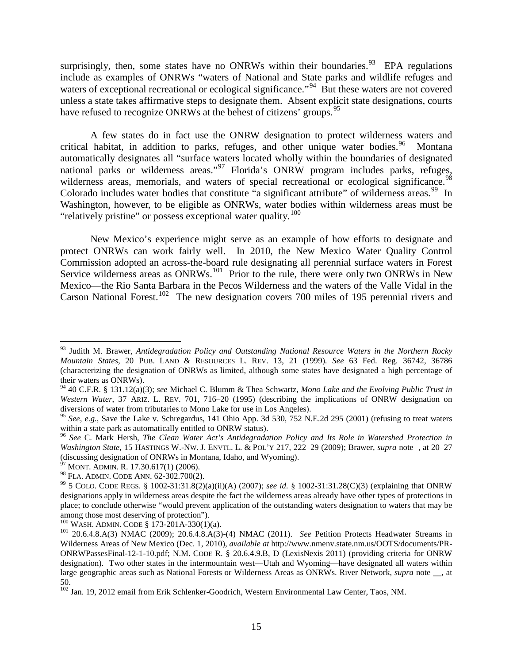surprisingly, then, some states have no ONRWs within their boundaries.<sup>[93](#page-15-0)</sup> EPA regulations include as examples of ONRWs "waters of National and State parks and wildlife refuges and waters of exceptional recreational or ecological significance.<sup>"94</sup> But these waters are not covered unless a state takes affirmative steps to designate them. Absent explicit state designations, courts have refused to recognize ONRWs at the behest of citizens' groups.<sup>[95](#page-15-2)</sup>

A few states do in fact use the ONRW designation to protect wilderness waters and critical habitat, in addition to parks, refuges, and other unique water bodies.<sup>96</sup> Montana automatically designates all "surface waters located wholly within the boundaries of designated national parks or [wilderness](https://web2.westlaw.com/result/result.aspx?origin=Search&cfid=1&referencepositiontype=T&eq=search&rlti=1&rp=%2fsearch%2fdefault.wl&method=TNC&rltdb=CLID_DB79437585013189&db=ID-ADC%2cOR-ADC%2cWY-ADC%2cMT-ADC%2cAZ-ADC%2cWA-ADC%2cUT-ADC%2cWI-ADC%2cWV-ADC&referenceposition=SR%3b203&utid=1&srch=TRUE&n=1&fn=_top&fmqv=s&service=Search&query=OUTSTANDING+%2f5+NATURAL+RESOURCE+%2f5+WATER+%26+WILDERNESS&sskey=CLID_SSSA19468585013189&sv=Split&cnt=DOC&scxt=WL&rlt=CLID_QRYRLT1311595013189&rs=WLW11.07&ss=CNT&vr=2.0&mt=LawSchool) areas."<sup>[97](#page-15-4)</sup> Florida's ONRW program includes parks, refuges, wilderness areas, memorials, and waters of special recreational or ecological significance.<sup>[98](#page-15-5)</sup> Colorado includes water bodies that constitute "a significant attribute" of wilderness areas.<sup>99</sup> In Washington, however, to be eligible as ONRWs, water bodies within wilderness areas must be "relatively pristine" or possess exceptional water quality.<sup>[100](#page-15-7)</sup>

New Mexico's experience might serve as an example of how efforts to designate and protect ONRWs can work fairly well.In 2010, the New Mexico Water Quality Control Commission adopted an across-the-board rule designating all perennial surface waters in Forest Service wilderness areas as  $ONRWs$ <sup>[101](#page-15-8)</sup> Prior to the rule, there were only two ONRWs in New Mexico—the Rio Santa Barbara in the Pecos Wilderness and the waters of the Valle Vidal in the Carson National Forest.<sup>102</sup> The new designation covers 700 miles of 195 perennial rivers and

<span id="page-15-0"></span> <sup>93</sup> Judith M. Brawer, *Antidegradation Policy and Outstanding National Resource Waters in the Northern Rocky Mountain States*, 20 PUB. LAND & RESOURCES L. REV. 13, 21 (1999). *See* 63 Fed. Reg. 36742, 36786 (characterizing the designation of ONRWs as limited, although some states have designated a high percentage of their waters as ONRWs).

<span id="page-15-1"></span><sup>94</sup> 40 C.F.R. § 131.12(a)(3); *see* Michael C. Blumm & Thea Schwartz, *Mono Lake and the Evolving Public Trust in Western Water*, 37 ARIZ. L. REV. 701, 716–20 (1995) (describing the implications of ONRW designation on diversions of water from tributaries to Mono Lake for use in Los Angeles).

<span id="page-15-2"></span><sup>&</sup>lt;sup>95</sup> *See, e.g.*, Save the Lake v. Schregardus, 141 Ohio App. 3d 530,  $\overline{752}$  N.E.2d 295 (2001) (refusing to treat waters within a state park as automatically entitled to ONRW status).

<span id="page-15-3"></span><sup>&</sup>lt;sup>96</sup> See C. Mark Hersh, *The Clean Water Act's Antidegradation Policy and Its Role in Watershed Protection in Washington State*, 15 HASTINGS W.-NW. J. ENVTL. L. & POL'Y 217, 222–29 (2009); Brawer, *supra* note , at 20–27 (discussing designation of ONRWs in Montana, Idaho, and Wyoming).

 $97$  MONT. ADMIN. R. 17.30.617(1) (2006).

<span id="page-15-6"></span><span id="page-15-5"></span><span id="page-15-4"></span><sup>&</sup>lt;sup>98</sup> FLA. ADMIN. CODE ANN. 62-302.700(2).<br><sup>99</sup> 5 COLO. CODE REGS. § 1002-31:31.8(2)(a)(ii)(A) (2007); *see id.* § 1002-31:31.28(C)(3) (explaining that ONRW designations apply in wilderness areas despite the fact the wilderness areas already have other types of protections in place; to conclude otherwise "would prevent application of the outstanding waters designation to waters that may be among those most deserving of protection").<br> $^{100}$  WASH. ADMIN. CODE § 173-201A-330(1)(a).

<span id="page-15-8"></span><span id="page-15-7"></span> $101$  20.6.4.8.A(3) NMAC (2009); 20.6.4.8.A(3)-(4) NMAC (2011). *See* Petition Protects Headwater Streams in Wilderness Areas of New Mexico (Dec. 1, 2010), *available at* http://www.nmenv.state.nm.us/OOTS/documents/PR-ONRWPassesFinal-12-1-10.pdf; N.M. CODE R. § 20.6.4.9.B, D (LexisNexis 2011) (providing criteria for ONRW designation). Two other states in the intermountain west—Utah and Wyoming—have designated all waters within large geographic areas such as National Forests or Wilderness Areas as ONRWs. River Network, *supra* note at 50.

<span id="page-15-9"></span><sup>&</sup>lt;sup>102</sup> Jan. 19, 2012 email from Erik Schlenker-Goodrich, Western Environmental Law Center, Taos, NM.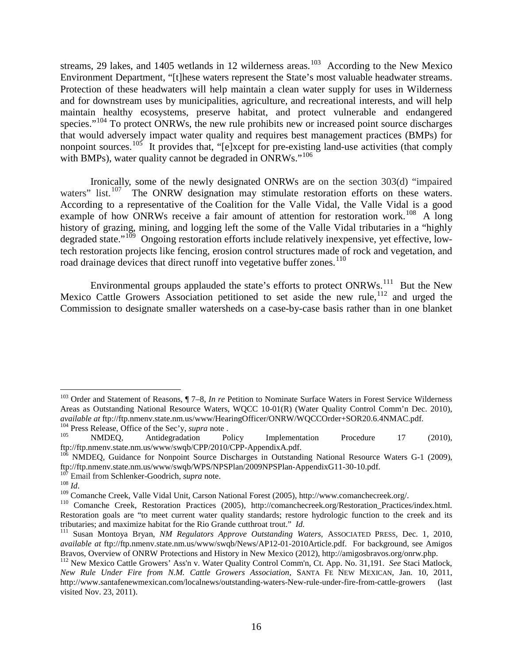streams, 29 lakes, and 1405 wetlands in 12 wilderness areas.<sup>[103](#page-16-0)</sup> According to the New Mexico Environment Department, "[t]hese waters represent the State's most valuable headwater streams. Protection of these headwaters will help maintain a clean water supply for uses in Wilderness and for downstream uses by municipalities, agriculture, and recreational interests, and will help maintain healthy ecosystems, preserve habitat, and protect vulnerable and endangered species."<sup>[104](#page-16-1)</sup> To protect ONRWs, the new rule prohibits new or increased point source discharges that would adversely impact water quality and requires best management practices (BMPs) for nonpoint sources.<sup>[105](#page-16-2)</sup> It provides that, "[e]xcept for pre-existing land-use activities (that comply with BMPs), water quality cannot be degraded in ONRWs."<sup>[106](#page-16-3)</sup>

Ironically, some of the newly designated ONRWs are on the section 303(d) "impaired waters" list.<sup>[107](#page-16-4)</sup> The ONRW designation may stimulate restoration efforts on these waters. According to a representative of the Coalition for the Valle Vidal, the Valle Vidal is a good example of how ONRWs receive a fair amount of attention for restoration work.<sup>[108](#page-16-5)</sup> A long history of grazing, mining, and logging left the some of the Valle Vidal tributaries in a "highly" degraded state." $109$  Ongoing restoration efforts include relatively inexpensive, yet effective, lowtech restoration projects like fencing, erosion control structures made of rock and vegetation, and road drainage devices that direct runoff into vegetative buffer zones.<sup>[110](#page-16-7)</sup>

Environmental groups applauded the state's efforts to protect ONRWs.<sup>111</sup> But the New Mexico Cattle Growers Association petitioned to set aside the new rule,  $112$  and urged the Commission to designate smaller watersheds on a case-by-case basis rather than in one blanket

<span id="page-16-0"></span> <sup>103</sup> Order and Statement of Reasons, ¶ 7–8, *In re* Petition to Nominate Surface Waters in Forest Service Wilderness Areas as Outstanding National Resource Waters, WQCC 10-01(R) (Water Quality Control Comm'n Dec. 2010),

<span id="page-16-1"></span>available at ftp://ftp.nmenv.state.nm.us/www/HearingOfficer/ONRW/WQCCOrder+SOR20.6.4NMAC.pdf.<br>
<sup>104</sup> Press Release, Office of the Sec'y, *supra* note .<br>
<sup>105</sup> MMDEQ, Antidegradation Policy Implementation Procedure 17 (2010

<span id="page-16-3"></span><span id="page-16-2"></span> $106$  NMDEQ, Guidance for Nonpoint Source Discharges in Outstanding National Resource Waters G-1 (2009), ftp://ftp.nmenv.state.nm.us/www/swqb/WPS/NPSPlan/2009NPSPlan-AppendixG11-30-10.pdf.

<span id="page-16-5"></span><span id="page-16-4"></span><sup>&</sup>lt;sup>107</sup> Email from Schlenker-Goodrich, *supra* note.<br><sup>108</sup> *Id.*<br><sup>109</sup> Comanche Creek, Valle Vidal Unit, Carson National Forest (2005), http://www.comanchecreek.org/.<br><sup>109</sup> Comanche Creek, Restoration Practices (2005), http

<span id="page-16-7"></span><span id="page-16-6"></span>Restoration goals are "to meet current water quality standards; restore hydrologic function to the creek and its tributaries; and maximize habitat for the Rio Grande cutthroat trout."  $Id$ .

<span id="page-16-8"></span><sup>&</sup>lt;sup>111</sup> Susan Montoya Bryan, *NM Regulators Approve Outstanding Waters*, ASSOCIATED PRESS, Dec. 1, 2010, *available at* ftp://ftp.nmenv.state.nm.us/www/swqb/News/AP12-01-2010Article.pdf. For background, see Amigos Bravos, Overview of ONRW Protections and History in New Mexico (2012), http://amigosbravos.org/onrw.php.

<span id="page-16-9"></span><sup>112</sup> New Mexico Cattle Growers' Ass'n v. Water Quality Control Comm'n, Ct. App. No. 31,191. *See* Staci Matlock, *New Rule Under Fire from N.M. Cattle Growers Association*, SANTA FE NEW MEXICAN, Jan. 10, 2011, http://www.santafenewmexican.com/localnews/outstanding-waters-New-rule-under-fire-from-cattle-growers (last visited Nov. 23, 2011).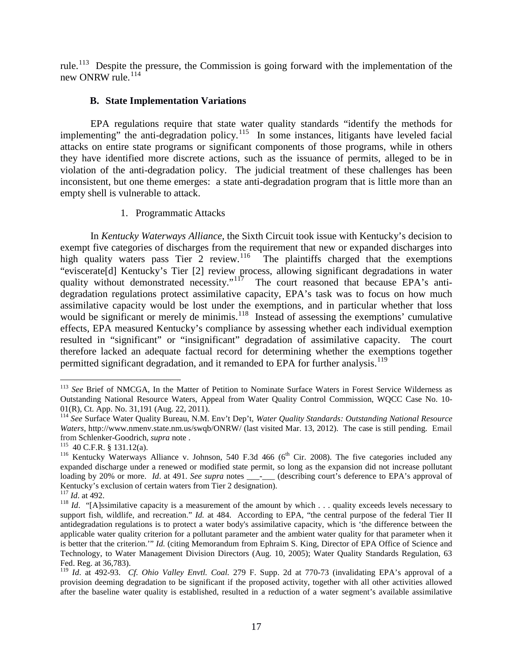rule.<sup>[113](#page-17-0)</sup> Despite the pressure, the Commission is going forward with the implementation of the new ONRW rule.<sup>[114](#page-17-1)</sup>

#### **B. State Implementation Variations**

EPA regulations require that state water quality standards "identify the methods for implementing" the anti-degradation policy.<sup>[115](#page-17-2)</sup> In some instances, litigants have leveled facial attacks on entire state programs or significant components of those programs, while in others they have identified more discrete actions, such as the issuance of permits, alleged to be in violation of the anti-degradation policy. The judicial treatment of these challenges has been inconsistent, but one theme emerges: a state anti-degradation program that is little more than an empty shell is vulnerable to attack.

1. Programmatic Attacks

In *Kentucky Waterways Alliance*, the Sixth Circuit took issue with Kentucky's decision to exempt five categories of discharges from the requirement that new or expanded discharges into high quality waters pass Tier 2 review.<sup>116</sup> The plaintiffs charged that the exemptions "eviscerate[d] Kentucky's Tier [2] review process, allowing significant degradations in water quality without demonstrated necessity."<sup>117</sup> The court reasoned that because EPA's antidegradation regulations protect assimilative capacity, EPA's task was to focus on how much assimilative capacity would be lost under the exemptions, and in particular whether that loss would be significant or merely de minimis.<sup>[118](#page-17-5)</sup> Instead of assessing the exemptions' cumulative effects, EPA measured Kentucky's compliance by assessing whether each individual exemption resulted in "significant" or "insignificant" degradation of assimilative capacity. The court therefore lacked an adequate factual record for determining whether the exemptions together permitted significant degradation, and it remanded to EPA for further analysis.<sup>[119](#page-17-6)</sup>

<span id="page-17-0"></span><sup>&</sup>lt;sup>113</sup> See Brief of NMCGA, In the Matter of Petition to Nominate Surface Waters in Forest Service Wilderness as Outstanding National Resource Waters, Appeal from Water Quality Control Commission, WQCC Case No. 10- 01(R), Ct. App. No. 31,191 (Aug. 22, 2011).

<span id="page-17-1"></span><sup>114</sup> *See* Surface Water Quality Bureau, N.M. Env't Dep't, *Water Quality Standards: Outstanding National Resource Waters*, http://www.nmenv.state.nm.us/swqb/ONRW/ (last visited Mar. 13, 2012). The case is still pending. Email from Schlenker-Goodrich, *supra* note .<br><sup>115</sup> 40 C.F.R. § 131.12(a).

<span id="page-17-3"></span><span id="page-17-2"></span><sup>&</sup>lt;sup>116</sup> Kentucky Waterways Alliance v. Johnson, 540 F.3d 466 (6<sup>th</sup> Cir. 2008). The five categories included any expanded discharge under a renewed or modified state permit, so long as the expansion did not increase pollutant loading by 20% or more. *Id.* at 491. *See supra* notes \_\_\_\_\_\_ (describing court's deference to EPA's approval of Kentucky's exclusion of certain waters from Tier 2 designation).

<span id="page-17-5"></span><span id="page-17-4"></span><sup>&</sup>lt;sup>117</sup> *Id*. at 492.<br><sup>118</sup> *Id*. "[A]ssimilative capacity is a measurement of the amount by which . . . quality exceeds levels necessary to support fish, wildlife, and recreation." *Id.* at 484. According to EPA, "the central purpose of the federal Tier II antidegradation regulations is to protect a water body's assimilative capacity, which is 'the difference between the applicable water quality criterion for a pollutant parameter and the ambient water quality for that parameter when it is better that the criterion.'" *Id.* (citing Memorandum from Ephraim S. King, Director of EPA Office of Science and Technology, to Water Management Division Directors (Aug. 10, 2005); Water Quality Standards Regulation, 63 Fed. Reg. at 36,783).<br><sup>119</sup> *Id.* at 492-93. *Cf. Ohio Valley Envtl. Coal.* 279 F. Supp. 2d at 770-73 (invalidating EPA's approval of a

<span id="page-17-6"></span>provision deeming degradation to be significant if the proposed activity, together with all other activities allowed after the baseline water quality is established, resulted in a reduction of a water segment's available assimilative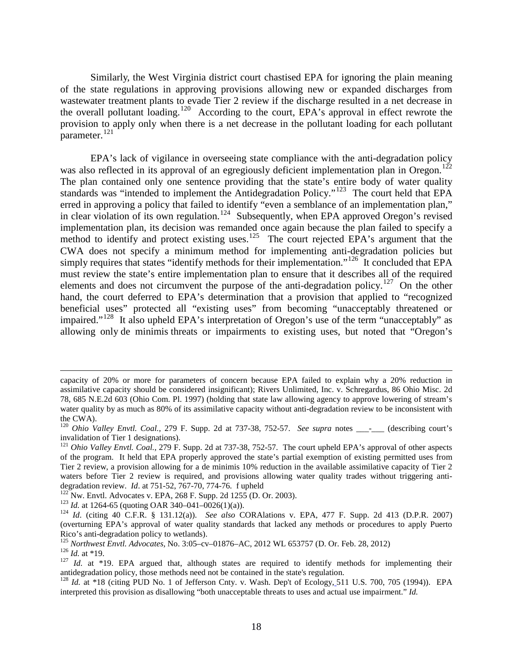Similarly, the West Virginia district court chastised EPA for ignoring the plain meaning of the state regulations in approving provisions allowing new or expanded discharges from wastewater treatment plants to evade Tier 2 review if the discharge resulted in a net decrease in the overall pollutant loading.<sup>120</sup> According to the court, EPA's approval in effect rewrote the provision to apply only when there is a net decrease in the pollutant loading for each pollutant  $parameter.<sup>121</sup>$  $parameter.<sup>121</sup>$  $parameter.<sup>121</sup>$ 

EPA's lack of vigilance in overseeing state compliance with the anti-degradation policy was also reflected in its approval of an egregiously deficient implementation plan in Oregon.<sup>[122](#page-18-2)</sup> The plan contained only one sentence providing that the state's entire body of water quality standards was "intended to implement the Antidegradation Policy."<sup>123</sup> The court held that EPA erred in approving a policy that failed to identify "even a semblance of an implementation plan," in clear violation of its own regulation.<sup>[124](#page-18-4)</sup> Subsequently, when EPA approved Oregon's revised implementation plan, its decision was remanded once again because the plan failed to specify a method to identify and protect existing uses.<sup>125</sup> The court rejected EPA's argument that the CWA does not specify a minimum method for implementing anti-degradation policies but simply requires that states "identify methods for their implementation."<sup>126</sup> It concluded that EPA must review the state's entire implementation plan to ensure that it describes all of the required elements and does not circumvent the purpose of the anti-degradation policy.<sup>[127](#page-18-7)</sup> On the other hand, the court deferred to EPA's determination that a provision that applied to "recognized beneficial uses" protected all "existing uses" from becoming "unacceptably threatened or impaired."<sup>[128](#page-18-8)</sup> It also upheld EPA's interpretation of Oregon's use of the term "unacceptably" as allowing only de minimis threats or impairments to existing uses, but noted that "Oregon's

 $\overline{a}$ 

capacity of 20% or more for parameters of concern because EPA failed to explain why a 20% reduction in assimilative capacity should be considered insignificant); Rivers Unlimited, Inc. v. Schregardus, 86 Ohio Misc. 2d 78, 685 N.E.2d 603 (Ohio Com. Pl. 1997) (holding that state law allowing agency to approve lowering of stream's water quality by as much as 80% of its assimilative capacity without anti-degradation review to be inconsistent with the CWA).

<span id="page-18-0"></span><sup>&</sup>lt;sup>120</sup> *Ohio Valley Envtl. Coal.,* 279 F. Supp. 2d at 737-38, 752-57. *See supra* notes \_\_\_-\_\_\_ (describing court's invalidation of Tier 1 designations).

<span id="page-18-1"></span><sup>&</sup>lt;sup>121</sup> *Ohio Valley Envtl. Coal.,* 279 F. Supp. 2d at 737-38, 752-57. The court upheld EPA's approval of other aspects of the program. It held that EPA properly approved the state's partial exemption of existing permitted uses from Tier 2 review, a provision allowing for a de minimis 10% reduction in the available assimilative capacity of Tier 2 waters before Tier 2 review is required, and provisions allowing water quality trades without triggering anti-<br>degradation review. *Id.* at  $751-52$ ,  $767-70$ ,  $774-76$ . f upheld

<span id="page-18-4"></span>

<span id="page-18-3"></span><span id="page-18-2"></span><sup>&</sup>lt;sup>122</sup> Nw. Envtl. Advocates v. EPA, 268 F. Supp. 2d 1255 (D. Or. 2003).<br><sup>123</sup> Id. at 1264-65 (quoting OAR 340–041–0026(1)(a)).<br><sup>124</sup> Id. (citing 40 C.F.R. § 131.12(a)). *See also* CORAlations v. EPA, 477 F. Supp. 2d 413 (D (overturning EPA's approval of water quality standards that lacked any methods or procedures to apply Puerto

<span id="page-18-7"></span>

<span id="page-18-6"></span><span id="page-18-5"></span><sup>&</sup>lt;sup>125</sup> *Northwest Envtl. Advocates*, No. 3:05–cv–01876–AC, 2012 WL 653757 (D. Or. Feb. 28, 2012)<br><sup>126</sup> *Id.* at \*19.<br><sup>127</sup> *Id.* at \*19. EPA argued that, although states are required to identify methods for implementing th

<span id="page-18-8"></span><sup>&</sup>lt;sup>128</sup> *Id.* at \*18 (citing PUD No. 1 of Jefferson Cnty. v. Wash. Dep't of Ecology, 511 U.S. 700, 705 (1994)). EPA interpreted this provision as disallowing "both unacceptable threats to uses and actual use impairment." *Id.*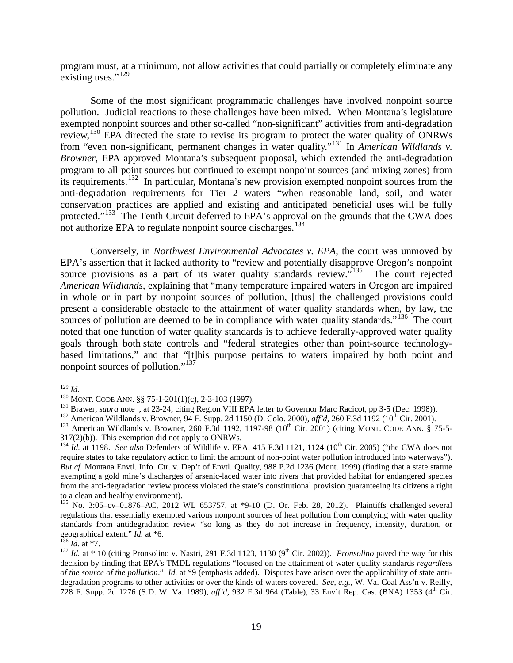program must, at a minimum, not allow activities that could partially or completely eliminate any existing uses."<sup>[129](#page-19-0)</sup>

Some of the most significant programmatic challenges have involved nonpoint source pollution. Judicial reactions to these challenges have been mixed. When Montana's legislature exempted nonpoint sources and other so-called "non-significant" activities from anti-degradation review,<sup>[130](#page-19-1)</sup> EPA directed the state to revise its program to protect the water quality of ONRWs from "even non-significant, permanent changes in water quality."[131](#page-19-2) In *American Wildlands v. Browner*, EPA approved Montana's subsequent proposal, which extended the anti-degradation program to all point sources but continued to exempt nonpoint sources (and mixing zones) from its requirements.[132](#page-19-3) In particular, Montana's new provision exempted nonpoint sources from the anti-degradation requirements for Tier 2 waters "when reasonable land, soil, and water conservation practices are applied and existing and anticipated beneficial uses will be fully protected."<sup>133</sup> The Tenth Circuit deferred to EPA's approval on the grounds that the CWA does not authorize EPA to regulate nonpoint source discharges.<sup>[134](#page-19-5)</sup>

Conversely, in *Northwest Environmental Advocates v. EPA*, the court was unmoved by EPA's assertion that it lacked authority to "review and potentially disapprove Oregon's nonpoint source provisions as a part of its water quality standards review."<sup>135</sup> The court rejected *American Wildlands,* explaining that "many temperature impaired waters in Oregon are impaired in whole or in part by nonpoint sources of pollution, [thus] the challenged provisions could present a considerable obstacle to the attainment of water quality standards when, by law, the sources of pollution are deemed to be in compliance with water quality standards."<sup>136</sup> The court noted that one function of water quality standards is to achieve federally-approved water quality goals through both state controls and "federal strategies other than point-source technologybased limitations," and that "[t]his purpose pertains to waters impaired by both point and nonpoint sources of pollution."<sup>[137](#page-19-8)</sup>

<span id="page-19-0"></span>

<span id="page-19-1"></span>

<span id="page-19-2"></span>

<span id="page-19-4"></span><span id="page-19-3"></span>

<sup>&</sup>lt;sup>129</sup> *Id.*<br><sup>130</sup> MONT. CODE ANN. §§ 75-1-201(1)(c), 2-3-103 (1997).<br><sup>131</sup> Brawer, *supra* note , at 23-24, citing Region VIII EPA letter to Governor Marc Racicot, pp 3-5 (Dec. 1998)).<br><sup>131</sup> American Wildlands v. Browner,  $317(2)(b)$ ). This exemption did not apply to ONRWs.

<span id="page-19-5"></span> $^{134}$  *Id.* at 1198. *See also* Defenders of Wildlife v. EPA, 415 F.3d 1121, 1124 ( $10^{th}$  Cir. 2005) ("the CWA does not require states to take regulatory action to limit the amount of non-point water pollution introduced into waterways"). *But cf.* Montana Envtl. Info. Ctr. v. Dep't of Envtl. Quality, 988 P.2d 1236 (Mont. 1999) (finding that a state statute exempting a gold mine's discharges of arsenic-laced water into rivers that provided habitat for endangered species from the anti-degradation review process violated the state's constitutional provision guaranteeing its citizens a right

<span id="page-19-6"></span><sup>&</sup>lt;sup>135</sup> No. 3:05–cv–01876–AC, 2012 WL 653757, at \*9-10 (D. Or. Feb. 28, 2012). Plaintiffs challenged several regulations that essentially exempted various nonpoint sources of heat pollution from complying with water quality standards from antidegradation review "so long as they do not increase in frequency, intensity, duration, or geographical extent." *Id.* at \*6.<br><sup>136</sup> *Id.* at \*7.

<span id="page-19-8"></span><span id="page-19-7"></span><sup>&</sup>lt;sup>137</sup> *Id.* at \* 10 (citing Pronsolino v. Nastri, 291 F.3d 1123, 1130 (9<sup>th</sup> Cir. 2002)). *Pronsolino* paved the way for this decision by finding that EPA's TMDL regulations "focused on the attainment of water quality standards *regardless of the source of the pollution.*" *Id.* at \*9 (emphasis added). Disputes have arisen over the applicability of state antidegradation programs to other activities or over the kinds of waters covered. *See, e.g.*, W. Va. Coal Ass'n v. Reilly, 728 F. Supp. 2d 1276 (S.D. W. Va. 1989), *aff'd*, 932 F.3d 964 (Table), 33 Env't Rep. Cas. (BNA) 1353 (4th Cir.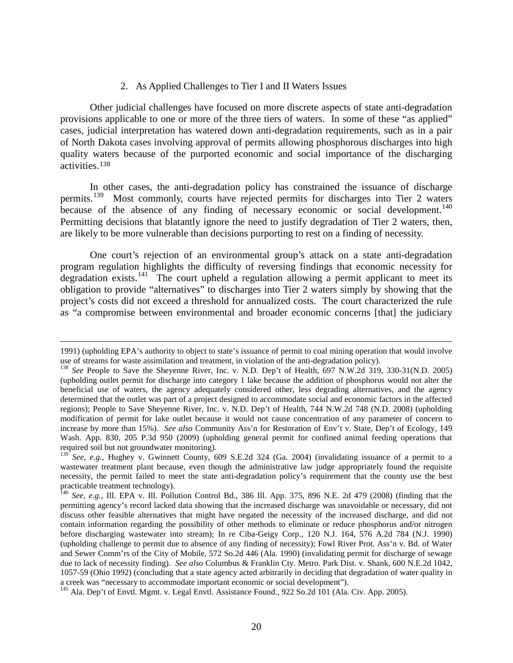#### 2. As Applied Challenges to Tier I and II Waters Issues

Other judicial challenges have focused on more discrete aspects of state anti-degradation provisions applicable to one or more of the three tiers of waters. In some of these "as applied" cases, judicial interpretation has watered down anti-degradation requirements, such as in a pair of North Dakota cases involving approval of permits allowing phosphorous discharges into high quality [wate](#page-20-0)rs because of the purported economic and social importance of the discharging activities.<sup>138</sup>

In other cases, the anti-degradation policy has constrained the issuance of discharge permits.<sup>[139](#page-20-1)</sup> Most commonly, courts have rejected permits for discharges into Tier 2 waters because of the absence of any finding of necessary economic or social development.<sup>[140](#page-20-2)</sup> Permitting decisions that blatantly ignore the need to justify degradation of Tier 2 waters, then, are likely to be more vulnerable than decisions purporting to rest on a finding of necessity.

One court's rejection of an environmental group's attack on a state anti-degradation program regulation highlights the difficulty of reversing findings that economic necessity for degradation exists.<sup>141</sup> The court upheld a regulation allowing a permit applicant to meet its obligation to provide "alternatives" to discharges into Tier 2 waters simply by showing that the project's costs did not exceed a threshold for annualized costs. The court characterized the rule as "a compromise between environmental and broader economic concerns [that] the judiciary

 $\overline{a}$ 

<sup>1991) (</sup>upholding EPA's authority to object to state's issuance of permit to coal mining operation that would involve use of streams for waste assimilation and treatment, in violation of the anti-degradation policy).

<span id="page-20-0"></span><sup>&</sup>lt;sup>138</sup> See People to Save the Sheyenne River, Inc. v. N.D. Dep't of Health, 697 N.W.2d 319, 330-31(N.D. 2005). (upholding outlet permit for discharge into category 1 lake because the addition of phosphorus would not alter the beneficial use of waters, the agency adequately considered other, less degrading alternatives, and the agency determined that the outlet was part of a project designed to accommodate social and economic factors in the affected regions); People to Save Sheyenne River, Inc. v. N.D. Dep't of Health, 744 N.W.2d 748 (N.D. 2008) (upholding modification of permit for lake outlet because it would not cause concentration of any parameter of concern to increase by more than 15%). *See also* Community Ass'n for Restoration of Env't v. State, Dep't of Ecology, 149 Wash. App. 830, 205 P.3d 950 (2009) (upholding general permit for confined animal feeding operations that required soil but not groundwater monitoring).

<span id="page-20-1"></span><sup>&</sup>lt;sup>139</sup> See, e.g., Hughey v. Gwinnett County, 609 S.E.2d 324 (Ga. 2004) (invalidating issuance of a permit to a wastewater treatment plant because, even though the administrative law judge appropriately found the requisite necessity, the permit failed to meet the state anti-degradation policy's requirement that the county use the best practicable treatment technology).<br><sup>140</sup> *See, e.g.*, Ill. EPA v. Ill. Pollution Control Bd., 386 Ill. App. 375, 896 N.E. 2d 479 (2008) (finding that the

<span id="page-20-2"></span>permitting agency's record lacked data showing that the increased discharge was unavoidable or necessary, did not discuss other feasible alternatives that might have negated the necessity of the increased discharge, and did not contain information regarding the possibility of other methods to eliminate or reduce phosphorus and/or nitrogen before discharging wastewater into stream); In re Ciba-Geigy Corp., 120 N.J. 164, 576 A.2d 784 (N.J. 1990) (upholding challenge to permit due to absence of any finding of necessity); Fowl River Prot. Ass'n v. Bd. of Water and Sewer Comm'rs of the City of Mobile, 572 So.2d 446 (Ala. 1990) (invalidating permit for discharge of sewage due to lack of necessity finding). *See also* Columbus & Franklin Cty. Metro. Park Dist. v. Shank, 600 N.E.2d 1042, 1057-59 (Ohio 1992) (concluding that a state agency acted arbitrarily in deciding that degradation of water quality in

<span id="page-20-3"></span><sup>&</sup>lt;sup>141</sup> Ala. Dep't of Envtl. Mgmt. v. Legal Envtl. Assistance Found., 922 So.2d 101 (Ala. Civ. App. 2005).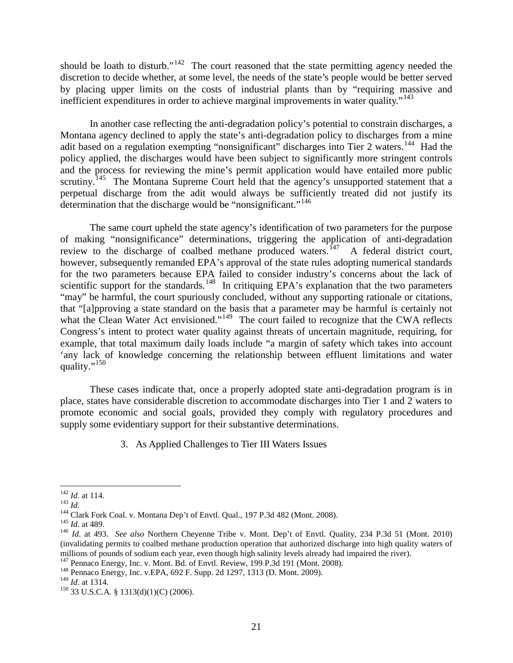should be loath to disturb."<sup>[142](#page-21-0)</sup> The court reasoned that the state permitting agency needed the discretion to decide whether, at some level, the needs of the state's people would be better served by placing upper limits on the costs of industrial plants than by "requiring massive and inefficient expenditures in order to achieve marginal improvements in water quality."<sup>[143](#page-21-1)</sup>

In another case reflecting the anti-degradation policy's potential to constrain discharges, a Montana agency declined to apply the state's anti-degradation policy to discharges from a mine adit based on a regulation exempting "nonsignificant" discharges into Tier 2 waters.<sup>144</sup> Had the policy applied, the discharges would have been subject to significantly more stringent controls and the process for reviewing the mine's permit application would have entailed more public scrutiny.<sup>[145](#page-21-3)</sup> The Montana Supreme Court held that the agency's unsupported statement that a perpetual discharge from the adit would always be sufficiently treated did not justify its determination that the discharge would be "nonsignificant."<sup>146</sup>

The same court upheld the state agency's identification of two parameters for the purpose of making "nonsignificance" determinations, triggering the application of anti-degradation review to the discharge of coalbed methane produced waters.<sup>[147](#page-21-5)</sup> A federal district court, however, subsequently remanded EPA's approval of the state rules adopting numerical standards for the two parameters because EPA failed to consider industry's concerns about the lack of scientific support for the standards.<sup>148</sup> In critiquing EPA's explanation that the two parameters "may" be harmful, the court spuriously concluded, without any supporting rationale or citations, that "[a]pproving a state standard on the basis that a parameter may be harmful is certainly not what the Clean Water Act envisioned."<sup>149</sup> The court failed to recognize that the CWA reflects Congress's intent to protect water quality against threats of uncertain magnitude, requiring, for example, that total maximum daily loads include "a margin of safety which takes into account 'any lack of knowledge concerning the relationship between effluent limitations and water quality." $^{150}$  $^{150}$  $^{150}$ 

These cases indicate that, once a properly adopted state anti-degradation program is in place, states have considerable discretion to accommodate discharges into Tier 1 and 2 waters to promote economic and social goals, provided they comply with regulatory procedures and supply some evidentiary support for their substantive determinations.

3. As Applied Challenges to Tier III Waters Issues

<span id="page-21-1"></span>

<span id="page-21-2"></span>

<span id="page-21-4"></span><span id="page-21-3"></span>

<span id="page-21-0"></span><sup>&</sup>lt;sup>142</sup> *Id.* at 114.<br>
<sup>143</sup> *Id.*<br>
<sup>144</sup> Clark Fork Coal. v. Montana Dep't of Envtl. Qual., 197 P.3d 482 (Mont. 2008).<br>
<sup>145</sup> *Id.* at 489.<br>
<sup>146</sup> *Id.* at 493. *See also* Northern Cheyenne Tribe v. Mont. Dep't of Envtl. Q (invalidating permits to coalbed methane production operation that authorized discharge into high quality waters of

<span id="page-21-6"></span><span id="page-21-5"></span><sup>&</sup>lt;sup>147</sup> Pennaco Energy, Inc. v. Mont. Bd. of Envtl. Review, 199 P.3d 191 (Mont. 2008).<br><sup>148</sup> Pennaco Energy, Inc. v.EPA, 692 F. Supp. 2d 1297, 1313 (D. Mont. 2009).<br><sup>149</sup> Id. at 1314.

<span id="page-21-7"></span>

<span id="page-21-8"></span><sup>&</sup>lt;sup>150</sup> 33 U.S.C.A. § 1313(d)(1)(C) (2006).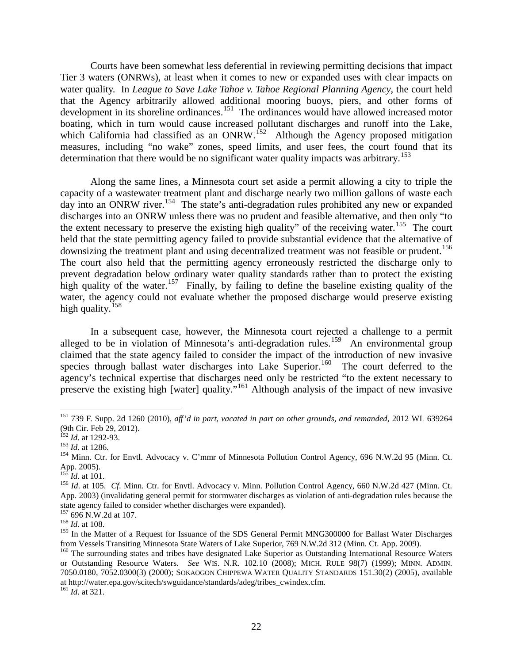Courts have been somewhat less deferential in reviewing permitting decisions that impact Tier 3 waters (ONRWs), at least when it comes to new or expanded uses with clear impacts on water quality. In *League to Save Lake Tahoe v. Tahoe Regional Planning Agency*, the court held that the Agency arbitrarily allowed additional mooring buoys, piers, and other forms of development in its shoreline ordinances.<sup>[151](#page-22-0)</sup> The ordinances would have allowed increased motor boating, which in turn would cause increased pollutant discharges and runoff into the Lake, which California had classified as an ONRW.<sup>[152](#page-22-1)</sup> Although the Agency proposed mitigation measures, including "no wake" zones, speed limits, and user fees, the court found that its determination that there would be no significant water quality impacts was arbitrary.<sup>[153](#page-22-2)</sup>

Along the same lines, a Minnesota court set aside a permit allowing a city to triple the capacity of a wastewater treatment plant and discharge nearly two million gallons of waste each day into an ONRW river.<sup>[154](#page-22-3)</sup> The state's anti-degradation rules prohibited any new or expanded discharges into an ONRW unless there was no prudent and feasible alternative, and then only "to the extent necessary to preserve the existing high quality" of the receiving water.<sup>155</sup> The court held that the state permitting agency failed to provide substantial evidence that the alternative of downsizing the treatment plant and using decentralized treatment was not feasible or prudent.<sup>[156](#page-22-5)</sup> The court also held that the permitting agency erroneously restricted the discharge only to prevent degradation below ordinary water quality standards rather than to protect the existing high quality of the water.<sup>[157](#page-22-6)</sup> Finally, by failing to define the baseline existing quality of the water, the agency could not evaluate whether the proposed discharge would preserve existing high quality.<sup>[158](#page-22-7)</sup>

In a subsequent case, however, the Minnesota court rejected a challenge to a permit alleged to be in violation of Minnesota's anti-degradation rules.<sup>159</sup> An environmental group claimed that the state agency failed to consider the impact of the introduction of new invasive species through ballast water discharges into Lake Superior.<sup>160</sup> The court deferred to the agency's technical expertise that discharges need only be restricted "to the extent necessary to preserve the existing high [water] quality."[161](#page-22-10) Although analysis of the impact of new invasive

<span id="page-22-0"></span><sup>&</sup>lt;sup>151</sup> 739 F. Supp. 2d 1260 (2010), *aff'd in part, vacated in part on other grounds, and remanded,* 2012 WL 639264 (9th Cir. Feb 29, 2012).

<span id="page-22-3"></span>

<span id="page-22-2"></span><span id="page-22-1"></span><sup>&</sup>lt;sup>152</sup> *Id.* at 1292-93.<br><sup>153</sup> *Id.* at 1286.<br><sup>154</sup> Minn. Ctr. for Envtl. Advocacy v. C'mmr of Minnesota Pollution Control Agency, 696 N.W.2d 95 (Minn. Ct. App. 2005).

<span id="page-22-5"></span><span id="page-22-4"></span><sup>&</sup>lt;sup>155</sup> *Id.* at 101.<br><sup>156</sup> *Id.* at 105. *Cf.* Minn. Ctr. for Envtl. Advocacy v. Minn. Pollution Control Agency, 660 N.W.2d 427 (Minn. Ct. App. 2003) (invalidating general permit for stormwater discharges as violation of anti-degradation rules because the state agency failed to consider whether discharges were expanded).

<span id="page-22-6"></span><sup>157</sup> 696 N.W.2d at 107. <sup>158</sup> *Id*. at 108.

<span id="page-22-8"></span><span id="page-22-7"></span><sup>&</sup>lt;sup>159</sup> In the Matter of a Request for Issuance of the SDS General Permit MNG300000 for Ballast Water Discharges from Vessels Transiting Minnesota State Waters of Lake Superior, 769 N.W.2d 312 (Minn. Ct. App. 2009).

<span id="page-22-9"></span> $160$  The surrounding states and tribes have designated Lake Superior as Outstanding International Resource Waters or Outstanding Resource Waters. *See* WIS. N.R. 102.10 (2008); MICH. RULE 98(7) (1999); MINN. ADMIN. 7050.0180, 7052.0300(3) (2000); SOKAOGON CHIPPEWA WATER QUALITY STANDARDS 151.30(2) (2005), available at http://water.epa.gov/scitech/swguidance/standards/adeg/tribes\_cwindex.cfm. <sup>161</sup> *Id*. at 321.

<span id="page-22-10"></span>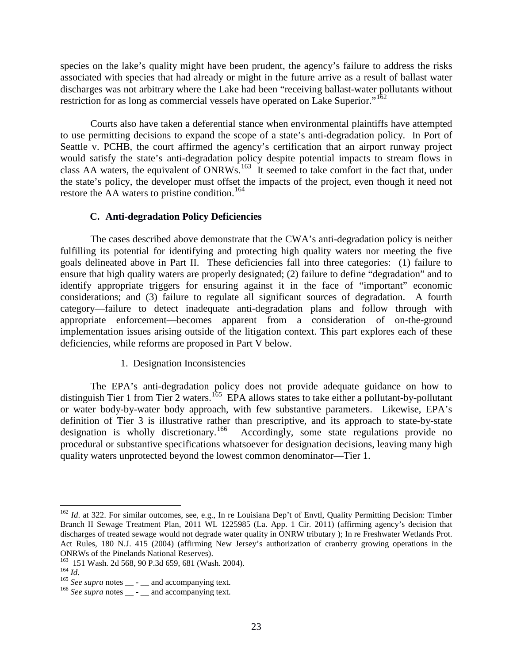species on the lake's quality might have been prudent, the agency's failure to address the risks associated with species that had already or might in the future arrive as a result of ballast water discharges was not arbitrary where the Lake had been "receiving ballast-water pollutants without restriction for as long as commercial vessels have operated on Lake Superior."<sup>[162](#page-23-0)</sup>

Courts also have taken a deferential stance when environmental plaintiffs have attempted to use permitting decisions to expand the scope of a state's anti-degradation policy. In Port of Seattle v. PCHB, the court affirmed the agency's certification that an airport runway project would satisfy the state's anti-degradation policy despite potential impacts to stream flows in class AA waters, the equivalent of  $ONRWS$ .<sup>[163](#page-23-1)</sup> It seemed to take comfort in the fact that, under the state's policy, the developer must offset the impacts of the project, even though it need not restore the AA waters to pristine condition.<sup>[164](#page-23-2)</sup>

#### **C. Anti-degradation Policy Deficiencies**

The cases described above demonstrate that the CWA's anti-degradation policy is neither fulfilling its potential for identifying and protecting high quality waters nor meeting the five goals delineated above in Part II. These deficiencies fall into three categories: (1) failure to ensure that high quality waters are properly designated; (2) failure to define "degradation" and to identify appropriate triggers for ensuring against it in the face of "important" economic considerations; and (3) failure to regulate all significant sources of degradation. A fourth category—failure to detect inadequate anti-degradation plans and follow through with appropriate enforcement—becomes apparent from a consideration of on-the-ground implementation issues arising outside of the litigation context. This part explores each of these deficiencies, while reforms are proposed in Part V below.

### 1. Designation Inconsistencies

The EPA's anti-degradation policy does not provide adequate guidance on how to distinguish Tier 1 from Tier 2 waters.<sup>[165](#page-23-3)</sup> EPA allows states to take either a pollutant-by-pollutant or water body-by-water body approach, with few substantive parameters. Likewise, EPA's definition of Tier 3 is illustrative rather than prescriptive, and its approach to state-by-state designation is wholly discretionary.<sup>166</sup> Accordingly, some state regulations provide no procedural or substantive specifications whatsoever for designation decisions, leaving many high quality waters unprotected beyond the lowest common denominator—Tier 1.

<span id="page-23-0"></span><sup>&</sup>lt;sup>162</sup> *Id.* at 322. For similar outcomes, see, e.g., In re Louisiana Dep't of Envtl, Quality Permitting Decision: Timber Branch II Sewage Treatment Plan, 2011 WL 1225985 (La. App. 1 Cir. 2011) (affirming agency's decision that discharges of treated sewage would not degrade water quality in ONRW tributary ); In re Freshwater Wetlands Prot. Act Rules, 180 N.J. 415 (2004) (affirming New Jersey's authorization of cranberry growing operations in the ONRWs of the Pinelands National Reserves).<br><sup>163</sup> 151 Wash. 2d 568, 90 P.3d 659, 681 (Wash. 2004).

<span id="page-23-4"></span><span id="page-23-3"></span>

<span id="page-23-2"></span><span id="page-23-1"></span><sup>164</sup> Id.<br><sup>165</sup> See supra notes \_\_ - \_\_ and accompanying text.<br><sup>166</sup> See supra notes \_\_ - \_\_ and accompanying text.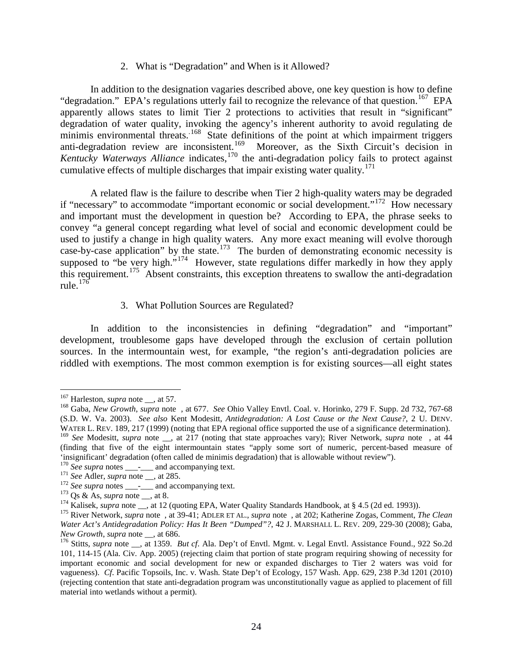2. What is "Degradation" and When is it Allowed?

In addition to the designation vagaries described above, one key question is how to define "degradation." EPA's regulations utterly fail to recognize the relevance of that question.<sup>[167](#page-24-0)</sup> EPA apparently allows states to limit Tier 2 protections to activities that result in "significant" degradation of water quality, invoking the agency's inherent authority to avoid regulating de minimis environmental threats.<sup>168</sup> State definitions of the point at which impairment triggers anti-degradation review are inconsistent.<sup>[169](#page-24-2)</sup> Moreover, as the Sixth Circuit's decision in *Kentucky Waterways Alliance* indicates,[170](#page-24-3) the anti-degradation policy fails to protect against cumulative effects of multiple discharges that impair existing water quality.<sup>[171](#page-24-4)</sup>

A related flaw is the failure to describe when Tier 2 high-quality waters may be degraded if "necessary" to accommodate "important economic or social development."[172](#page-24-5) How necessary and important must the development in question be? According to EPA, the phrase seeks to convey "a general concept regarding what level of social and economic development could be used to justify a change in high quality waters. Any more exact meaning will evolve thorough case-by-case application" by the state.<sup>173</sup> The burden of demonstrating economic necessity is supposed to "be very high."<sup>[174](#page-24-7)</sup> However, state regulations differ markedly in how they apply this requirement.<sup>175</sup> Absent constraints, this exception threatens to swallow the anti-degradation rule. $176$ 

3. What Pollution Sources are Regulated?

In addition to the inconsistencies in defining "degradation" and "important" development, troublesome gaps have developed through the exclusion of certain pollution sources. In the intermountain west, for example, "the region's anti-degradation policies are riddled with exemptions. The most common exemption is for existing sources—all eight states

- 
- 

<span id="page-24-1"></span><span id="page-24-0"></span><sup>&</sup>lt;sup>167</sup> Harleston, *supra* note <sub>\_\_</sub>, at 57.<br><sup>168</sup> Gaba, *New Growth, supra* note , at 677. *See* Ohio Valley Envtl. Coal. v. Horinko, 279 F. Supp. 2d 732, 767-68 (S.D. W. Va. 2003). *See also* Kent Modesitt, *Antidegradation: A Lost Cause or the Next Cause?*, 2 U. DENV. WATER L. REV. 189, 217 (1999) (noting that EPA regional office supported the use of a significance determination). <sup>169</sup> See Modesitt, *supra* note \_\_, at 217 (noting that state approaches vary); River Network, *supra* note , at 44 (finding that five of the eight intermountain states "apply some sort of numeric, percent-based measure of 'insignificant' degradation (often called de minimis degradation) that is allowable without review").

<span id="page-24-5"></span>

<span id="page-24-6"></span>

<span id="page-24-8"></span><span id="page-24-7"></span>

<span id="page-24-4"></span><span id="page-24-3"></span><span id="page-24-2"></span><sup>&</sup>lt;sup>170</sup> See supra notes \_\_\_\_\_\_ and accompanying text.<br>
<sup>171</sup> See Adler, *supra* note \_\_, at 285.<br>
<sup>172</sup> See *supra* notes \_\_\_\_\_ and accompanying text.<br>
<sup>172</sup> Qs & As, *supra* note \_\_, at 8.<br>
<sup>174</sup> Kalisek, *supra* note \_\_, *Water Act's Antidegradation Policy: Has It Been "Dumped"?*, 42 J. MARSHALL L. REV. 209, 229-30 (2008); Gaba, *New Growth, supra note* \_\_, at 686.

<span id="page-24-9"></span><sup>&</sup>lt;sup>176</sup> Stitts, *supra* note \_\_, at 1359. *But cf*. Ala. Dep't of Envtl. Mgmt. v. Legal Envtl. Assistance Found., 922 So.2d 101, 114-15 (Ala. Civ. App. 2005) (rejecting claim that portion of state program requiring showing of necessity for important economic and social development for new or expanded discharges to Tier 2 waters was void for vagueness). *Cf*. Pacific Topsoils, Inc. v. Wash. State Dep't of Ecology, 157 Wash. App. 629, 238 P.3d 1201 (2010) (rejecting contention that state anti-degradation program was unconstitutionally vague as applied to placement of fill material into wetlands without a permit).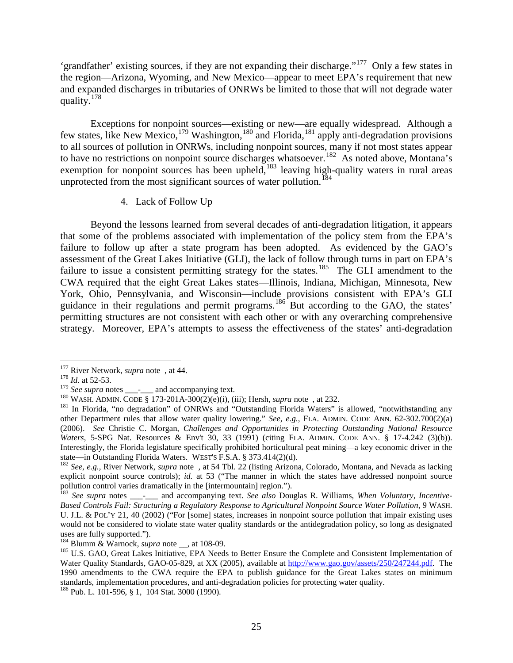'grandfather' existing sources, if they are not expanding their discharge."[177](#page-25-0) Only a few states in the region—Arizona, Wyoming, and New Mexico—appear to meet EPA's requirement that new and expanded discharges in tributaries of ONRWs be limited to those that will not degrade water quality.[178](#page-25-1)

Exceptions for nonpoint sources—existing or new—are equally widespread. Although a few states, like New Mexico,<sup>[179](#page-25-2)</sup> Washington,<sup>[180](#page-25-3)</sup> and Florida,<sup>[181](#page-25-4)</sup> apply anti-degradation provisions to all sources of pollution in ONRWs, including nonpoint sources, many if not most states appear to have no restrictions on nonpoint source discharges whatsoever.<sup>182</sup> As noted above, Montana's exemption for nonpoint sources has been upheld, $183$  leaving high-quality waters in rural areas unprotected from the most significant sources of water pollution.<sup>[184](#page-25-7)</sup>

4. Lack of Follow Up

Beyond the lessons learned from several decades of anti-degradation litigation, it appears that some of the problems associated with implementation of the policy stem from the EPA's failure to follow up after a state program has been adopted. As evidenced by the GAO's assessment of the Great Lakes Initiative (GLI), the lack of follow through turns in part on EPA's failure to issue a consistent permitting strategy for the states.<sup>[185](#page-25-8)</sup> The GLI amendment to the CWA required that the eight Great Lakes states—Illinois, Indiana, Michigan, Minnesota, New York, Ohio, Pennsylvania, and Wisconsin—include provisions consistent with EPA's GLI guidance in their regulations and permit programs.<sup>[186](#page-25-9)</sup> But according to the GAO, the states' permitting structures are not consistent with each other or with any overarching comprehensive strategy. Moreover, EPA's attempts to assess the effectiveness of the states' anti-degradation

<span id="page-25-1"></span>

<span id="page-25-0"></span><sup>&</sup>lt;sup>177</sup> River Network, *supra* note, at 44.<br><sup>178</sup> *Id.* at 52-53.<br><sup>179</sup> *See supra* notes \_\_\_\_\_\_\_ and accompanying text.

<span id="page-25-4"></span><span id="page-25-3"></span><span id="page-25-2"></span><sup>&</sup>lt;sup>180</sup> WASH. ADMIN. CODE § 173-201A-300(2)(e)(i), (iii); Hersh, *supra* note, at 232.<br><sup>181</sup> In Florida, "no degradation" of ONRWs and "Outstanding Florida Waters" is allowed, "notwithstanding any other Department rules that allow water quality lowering." *See, e.g.*, FLA. ADMIN. CODE ANN. 62-302.700(2)(a) (2006). *See* Christie C. Morgan, *Challenges and Opportunities in Protecting Outstanding National Resource Waters*, 5-SPG Nat. Resources & Env't 30, 33 (1991) (citing FLA. ADMIN. CODE ANN. § 17-4.242 (3)(b)). Interestingly, the Florida legislature specifically prohibited horticultural peat mining—a key economic driver in the state—in Outstanding Florida Waters. WEST'S F.S.A. § 373.414(2)(d).

<span id="page-25-5"></span><sup>&</sup>lt;sup>182</sup> See, e.g., River Network, *supra* note , at 54 Tbl. 22 (listing Arizona, Colorado, Montana, and Nevada as lacking explicit nonpoint source controls); *id.* at 53 ("The manner in which the states have addressed nonpoint source pollution control varies dramatically in the [intermountain] region.").

<span id="page-25-6"></span><sup>&</sup>lt;sup>183</sup> See supra notes \_\_\_-<sub>\_\_\_</sub> and accompanying text. See also Douglas R. Williams, *When Voluntary, Incentive-Based Controls Fail: Structuring a Regulatory Response to Agricultural Nonpoint Source Water Pollution*, 9 WASH. U. J.L. & POL'Y 21, 40 (2002) ("For [some] states, increases in nonpoint source pollution that impair existing uses would not be considered to violate state water quality standards or the antidegradation policy, so long as designated uses are fully supported.").<br> $^{184}$  Blumm & Warnock, *supra* note \_\_, at 108-09.

<span id="page-25-8"></span><span id="page-25-7"></span><sup>&</sup>lt;sup>185</sup> U.S. GAO, Great Lakes Initiative, EPA Needs to Better Ensure the Complete and Consistent Implementation of Water Quality Standards, GAO-05-829, at XX (2005), available at [http://www.gao.gov/assets/250/247244.pdf.](http://www.gao.gov/assets/250/247244.pdf) The 1990 amendments to the CWA require the EPA to publish guidance for the Great Lakes states on minimum standards, implementation procedures, and anti-degradation policies for protecting water quality. <sup>186</sup> Pub. L. 101-596, § 1, 104 Stat. 3000 (1990).

<span id="page-25-9"></span>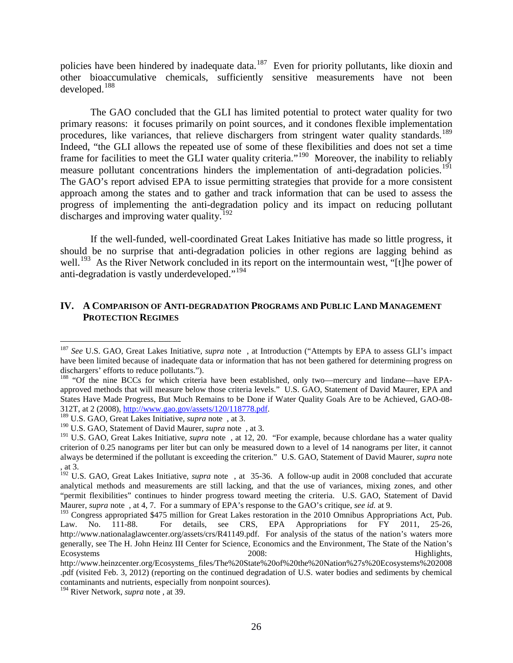policies have been hindered by inadequate data.<sup>[187](#page-26-0)</sup> Even for priority pollutants, like dioxin and other bioaccumulative chemicals, sufficiently sensitive measurements have not been developed. [188](#page-26-1)

The GAO concluded that the GLI has limited potential to protect water quality for two primary reasons: it focuses primarily on point sources, and it condones flexible implementation procedures, like variances, that relieve dischargers from stringent water quality standards.<sup>[189](#page-26-2)</sup> Indeed, "the GLI allows the repeated use of some of these flexibilities and does not set a time frame for facilities to meet the GLI water quality criteria."<sup>190</sup> Moreover, the inability to reliably measure pollutant concentrations hinders the implementation of anti-degradation policies.<sup>[191](#page-26-4)</sup> The GAO's report advised EPA to issue permitting strategies that provide for a more consistent approach among the states and to gather and track information that can be used to assess the progress of implementing the anti-degradation policy and its impact on reducing pollutant discharges and improving water quality.<sup>[192](#page-26-5)</sup>

If the well-funded, well-coordinated Great Lakes Initiative has made so little progress, it should be no surprise that anti-degradation policies in other regions are lagging behind as well.<sup>[193](#page-26-6)</sup> As the River Network concluded in its report on the intermountain west, "[t]he power of anti-degradation is vastly underdeveloped."<sup>[194](#page-26-7)</sup>

#### **IV. A COMPARISON OF ANTI-DEGRADATION PROGRAMS AND PUBLIC LAND MANAGEMENT PROTECTION REGIMES**

<span id="page-26-0"></span> <sup>187</sup> *See* U.S. GAO, Great Lakes Initiative, *supra* note , at Introduction ("Attempts by EPA to assess GLI's impact have been limited because of inadequate data or information that has not been gathered for determining progress on dischargers' efforts to reduce pollutants.").

<span id="page-26-1"></span><sup>&</sup>lt;sup>188</sup> "Of the nine BCCs for which criteria have been established, only two—mercury and lindane—have EPAapproved methods that will measure below those criteria levels." U.S. GAO, Statement of David Maurer, EPA and States Have Made Progress, But Much Remains to be Done if Water Quality Goals Are to be Achieved, GAO-08- 312T, at 2 (2008), [http://www.gao.gov/assets/120/118778.pdf.](http://www.gao.gov/assets/120/118778.pdf) 189 U.S. GAO, Great Lakes Initiative, *supra* note , at 3.

<span id="page-26-2"></span>

<span id="page-26-3"></span><sup>190</sup> U.S. GAO, Statement of David Maurer, *supra* note , at 3.

<span id="page-26-4"></span><sup>&</sup>lt;sup>191</sup> U.S. GAO, Great Lakes Initiative, *supra* note, at 12, 20. "For example, because chlordane has a water quality criterion of 0.25 nanograms per liter but can only be measured down to a level of 14 nanograms per liter, it cannot always be determined if the pollutant is exceeding the criterion." U.S. GAO, Statement of David Maurer, *supra* note , at 3.

<span id="page-26-5"></span><sup>&</sup>lt;sup>192</sup> U.S. GAO, Great Lakes Initiative, *supra* note, at 35-36. A follow-up audit in 2008 concluded that accurate analytical methods and measurements are still lacking, and that the use of variances, mixing zones, and other "permit flexibilities" continues to hinder progress toward meeting the criteria. U.S. GAO, Statement of David Maurer, *supra* note , at 4, 7. For a summary of EPA's response to the GAO's critique, *see id.* at 9.

<span id="page-26-6"></span><sup>&</sup>lt;sup>193</sup> Congress appropriated \$475 million for Great Lakes restoration in the 2010 Omnibus Appropriations Act, Pub. Law. No. 111-88. For details, see CRS, EPA Appropriations for FY 2011, 25-26, http://www.nationalaglawcenter.org/assets/crs/R41149.pdf. For analysis of the status of the nation's waters more generally, see The H. John Heinz III Center for Science, Economics and the Environment, The State of the Nation's Ecosystems 2008: Highlights,

http://www.heinzcenter.org/Ecosystems\_files/The%20State%20of%20the%20Nation%27s%20Ecosystems%202008 .pdf (visited Feb. 3, 2012) (reporting on the continued degradation of U.S. water bodies and sediments by chemical contaminants and nutrients, especially from nonpoint sources).

<span id="page-26-7"></span><sup>194</sup> River Network, *supra* note , at 39.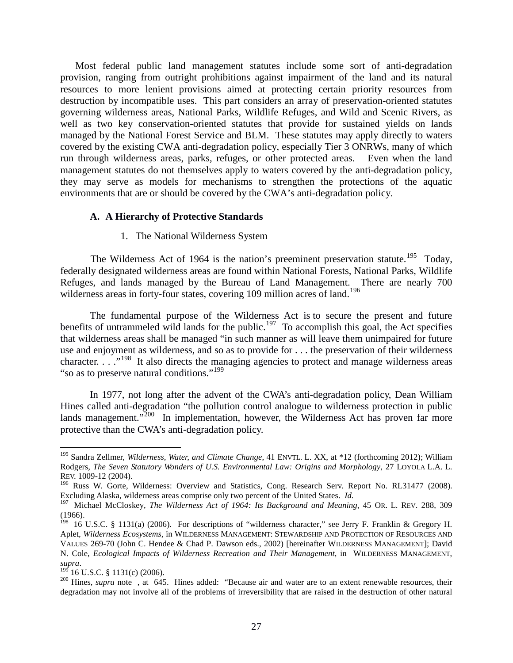Most federal public land management statutes include some sort of anti-degradation provision, ranging from outright prohibitions against impairment of the land and its natural resources to more lenient provisions aimed at protecting certain priority resources from destruction by incompatible uses. This part considers an array of preservation-oriented statutes governing wilderness areas, National Parks, Wildlife Refuges, and Wild and Scenic Rivers, as well as two key conservation-oriented statutes that provide for sustained yields on lands managed by the National Forest Service and BLM. These statutes may apply directly to waters covered by the existing CWA anti-degradation policy, especially Tier 3 ONRWs, many of which run through wilderness areas, parks, refuges, or other protected areas. Even when the land management statutes do not themselves apply to waters covered by the anti-degradation policy, they may serve as models for mechanisms to strengthen the protections of the aquatic environments that are or should be covered by the CWA's anti-degradation policy.

#### **A. A Hierarchy of Protective Standards**

#### 1. The National Wilderness System

The Wilderness Act of 1964 is the nation's preeminent preservation statute.<sup>195</sup> Today, federally designated wilderness areas are found within National Forests, National Parks, Wildlife Refuges, and lands managed by the Bureau of Land Management. There are nearly 700 wilderness areas in forty-four states, covering 109 million acres of land.<sup>[196](#page-27-1)</sup>

The fundamental purpose of the Wilderness Act is to secure the present and future benefits of untrammeled wild lands for the public.<sup>197</sup> To accomplish this goal, the Act specifies that wilderness areas shall be managed "in such manner as will leave them unimpaired for future use and enjoyment as wilderness, and so as to provide for . . . the preservation of their wilderness character.  $\ldots$ <sup>[198](#page-27-3)</sup> It also directs the managing agencies to protect and manage wilderness areas "so as to preserve natural conditions."<sup>[199](#page-27-4)</sup>

In 1977, not long after the advent of the CWA's anti-degradation policy, Dean William Hines called anti-degradation "the pollution control analogue to wilderness protection in public lands management."<sup>[200](#page-27-5)</sup> In implementation, however, the Wilderness Act has proven far more protective than the CWA's anti-degradation policy.

<span id="page-27-0"></span> <sup>195</sup> Sandra Zellmer, *Wilderness, Water, and Climate Change*, 41 ENVTL. L. XX, at \*12 (forthcoming 2012); William Rodgers, *The Seven Statutory Wonders of U.S. Environmental Law: Origins and Morphology*, 27 LOYOLA L.A. L. REV. 1009-12 (2004).

<span id="page-27-1"></span><sup>&</sup>lt;sup>196</sup> Russ W. Gorte, Wilderness: Overview and Statistics, Cong. Research Serv. Report No. RL31477 (2008). Excluding Alaska, wilderness areas comprise only two percent of the United States. *Id.* 

<span id="page-27-2"></span><sup>197</sup> Michael McCloskey, *The Wilderness Act of 1964: Its Background and Meaning*, 45 OR. L. REV. 288, 309 (1966).

<span id="page-27-3"></span><sup>&</sup>lt;sup>198</sup> 16 U.S.C. § 1131(a) (2006). For descriptions of "wilderness character," see Jerry F. Franklin & Gregory H. Aplet, *Wilderness Ecosystems*, in WILDERNESS MANAGEMENT: STEWARDSHIP AND PROTECTION OF RESOURCES AND VALUES 269-70 (John C. Hendee & Chad P. Dawson eds., 2002) [hereinafter WILDERNESS MANAGEMENT]; David N. Cole, *Ecological Impacts of Wilderness Recreation and Their Management*, in WILDERNESS MANAGEMENT, *supra*. <sup>199</sup> 16 U.S.C. § 1131(c) (2006). <sup>200</sup> [Hines,](http://web2.westlaw.com/result/result.aspx?cnt=DOC&cfid=1&referencepositiontype=T&eq=Welcome%2fLawSchool&rlti=1&rp=%2fWelcome%2fLawSchool%2fdefault.wl&method=TNC&origin=Search&rltdb=CLID_DB215573112199&db=JLR&referenceposition=SR%3b14457&utid=1&srch=TRUE&n=1&sri=98&fn=_top&fmqv=s&service=Search&query=HINE+%2fP+DEGRADATION+%2fP+WATER+%2fP+1977&sskey=CLID_SSSA7817173112199&sv=Split&scxt=WL&rlt=CLID_QRYRLT5651473112199&rs=WLW11.07&ss=CNT&vr=2.0&mt=LawSchool) *supra* note , at 645. Hines added: "Because air and water are to an extent renewable resources, their

<span id="page-27-5"></span><span id="page-27-4"></span>degradation may not involve all of the problems of irreversibility that are raised in the destruction of other natural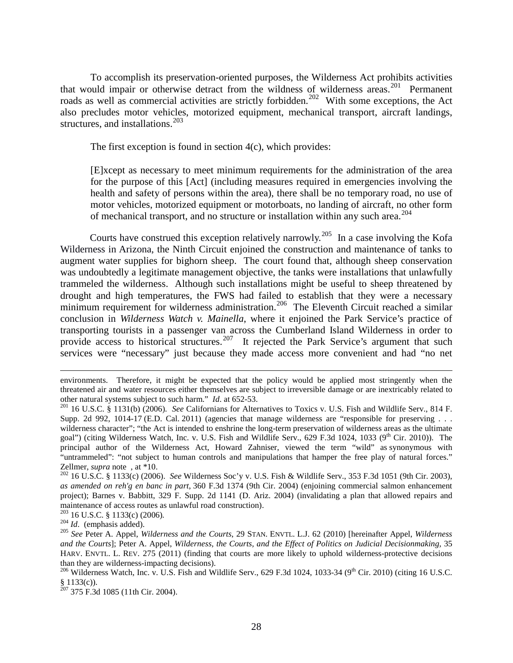To accomplish its preservation-oriented purposes, the Wilderness Act prohibits activities that would impair or otherwise detract from the wildness of wilderness areas. [201](#page-28-0) Permanent roads as well as commercial activities are strictly forbidden.<sup>202</sup> With some exceptions, the Act also precludes motor vehicles, motorized equipment, mechanical transport, aircraft landings, structures, and installations.  $203$ 

The first exception is found in section  $4(c)$ , which provides:

[E]xcept as necessary to meet minimum requirements for the administration of the area for the purpose of this [Act] (including measures required in emergencies involving the health and safety of persons within the area), there shall be no temporary road, no use of motor vehicles, motorized equipment or motorboats, no landing of aircraft, no other form of mechanical transport, and no structure or installation within any such area.<sup>[204](#page-28-3)</sup>

Courts have construed this exception relatively narrowly.[205](#page-28-4) In a case involving the Kofa Wilderness in Arizona, the Ninth Circuit enjoined the construction and maintenance of tanks to augment water supplies for bighorn sheep. The court found that, although sheep conservation was undoubtedly a legitimate management objective, the tanks were installations that unlawfully trammeled the wilderness. Although such installations might be useful to sheep threatened by drought and high temperatures, the FWS had failed to establish that they were a necessary minimum requirement for wilderness administration.<sup>206</sup> The Eleventh Circuit reached a similar conclusion in *Wilderness Watch v. Mainella*, where it enjoined the Park Service's practice of transporting tourists in a passenger van across the Cumberland Island Wilderness in order to provide access to historical structures.<sup>[207](#page-28-6)</sup> It rejected the Park Service's argument that such services were "necessary" just because they made access more convenient and had "no net

 $\overline{a}$ 

environments. Therefore, it might be expected that the policy would be applied most stringently when the threatened air and water resources either themselves are subject to irreversible damage or are inextricably related to other natural systems subject to such harm." *Id.* at 652-53.<br><sup>201</sup> 16 U.S.C. § 1131(b) (2006). *See* Californians for Alternatives to Toxics v. U.S. Fish and Wildlife Serv., 814 F.

<span id="page-28-0"></span>Supp. 2d 992, 1014-17 (E.D. Cal. 2011) (agencies that manage wilderness are "responsible for preserving . . . wilderness character"; "the Act is intended to enshrine the long-term preservation of wilderness areas as the ultimate goal") (citing Wilderness Watch, Inc. v. U.S. Fish and Wildlife Serv., 629 F.3d 1024, 1033 (9<sup>th</sup> Cir. 2010)). The principal author of the Wilderness Act, Howard Zahniser, viewed the term "wild" as synonymous with "untrammeled": "not subject to human controls and manipulations that hamper the free play of natural forces."<br>Zellmer, *supra* note, at \*10.

<span id="page-28-1"></span>Zellmer, *supra* note , at \*10. <sup>202</sup> 16 U.S.C. § 1133(c) (2006). *See* Wilderness Soc'y v. U.S. Fish & Wildlife Serv., 353 F.3d 1051 (9th Cir. 2003), *as amended on reh'g en banc in part*, 360 F.3d 1374 (9th Cir. 2004) (enjoining commercial salmon enhancement project); Barnes v. Babbitt, 329 F. Supp. 2d 1141 (D. Ariz. 2004) (invalidating a plan that allowed repairs and maintenance of access routes as unlawful road construction).<br><sup>203</sup> 16 U.S.C. § 1133(c) (2006).<br><sup>204</sup> Id. (emphasis added).<br><sup>205</sup> See Peter A. Appel, Wilderness and the Courts, 29 STAN. ENVTL. L.J. 62 (2010) [hereinafter Ap

<span id="page-28-2"></span>

<span id="page-28-4"></span><span id="page-28-3"></span>*and the Courts*]; Peter A. Appel, *Wilderness, the Courts, and the Effect of Politics on Judicial Decisionmaking,* 35 HARV. ENVTL. L. REV. 275 (2011) (finding that courts are more likely to uphold wilderness-protective decisions than they are wilderness-impacting decisions).<br><sup>206</sup> Wilderness Watch, Inc. v. U.S. Fish and Wildlife Serv., 629 F.3d 1024, 1033-34 (9<sup>th</sup> Cir. 2010) (citing 16 U.S.C.

<span id="page-28-6"></span><span id="page-28-5"></span><sup>§ 1133(</sup>c)).<br><sup>207</sup> 375 F.3d 1085 (11th Cir. 2004).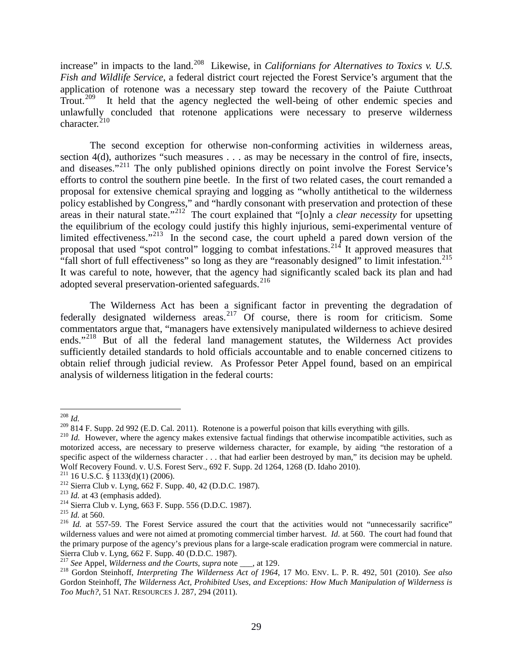increase" in impacts to the land.<sup>208</sup> Likewise, in *Californians for Alternatives to Toxics v. U.S. Fish and Wildlife Service*, a federal district court rejected the Forest Service's argument that the application of rotenone was a necessary step toward the recovery of the Paiute Cutthroat Trout.<sup>[209](#page-29-1)</sup> It held that the agency neglected the well-being of other endemic species and unlawfully concluded that rotenone applications were necessary to preserve wilderness character. $^{210}$  $^{210}$  $^{210}$ 

The second exception for otherwise non-conforming activities in wilderness areas, section 4(d), authorizes "such measures . . . as may be necessary in the control of fire, insects, and diseases."[211](#page-29-3) The only published opinions directly on point involve the Forest Service's efforts to control the southern pine beetle. In the first of two related cases, the court remanded a proposal for extensive chemical spraying and logging as "wholly antithetical to the wilderness policy established by Congress," and "hardly consonant with preservation and protection of these areas in their natural state."<sup>[212](#page-29-4)</sup> The court explained that "[o]nly a *clear necessity* for upsetting the equilibrium of the ecology could justify this highly injurious, semi-experimental venture of limited effectiveness."<sup>[213](#page-29-5)</sup> In the second case, the court upheld a pared down version of the proposal that used "spot control" logging to combat infestations.<sup>[214](#page-29-6)</sup> It approved measures that "fall short of full effectiveness" so long as they are "reasonably designed" to limit infestation.<sup>[215](#page-29-7)</sup> It was careful to note, however, that the agency had significantly scaled back its plan and had adopted several preservation-oriented safeguards.<sup>[216](#page-29-8)</sup>

The Wilderness Act has been a significant factor in preventing the degradation of federally designated wilderness areas.<sup>[217](#page-29-9)</sup> Of course, there is room for criticism. Some commentators argue that, "managers have extensively manipulated wilderness to achieve desired ends."[218](#page-29-10) But of all the federal land management statutes, the Wilderness Act provides sufficiently detailed standards to hold officials accountable and to enable concerned citizens to obtain relief through judicial review. As Professor Peter Appel found, based on an empirical analysis of wilderness litigation in the federal courts:

<span id="page-29-0"></span> $\frac{^{208} \text{Id}}{^{209} 814 \text{ F}}$ . Supp. 2d 992 (E.D. Cal. 2011). Rotenone is a powerful poison that kills everything with gills.

<span id="page-29-2"></span><span id="page-29-1"></span> $^{210}$  *Id.* However, where the agency makes extensive factual findings that otherwise incompatible activities, such as motorized access, are necessary to preserve wilderness character, for example, by aiding "the restoration of a specific aspect of the wilderness character . . . that had earlier been destroyed by man," its decision may be upheld. Wolf Recovery Found. v. U.S. Forest Serv., 692 F. Supp. 2d 1264, 1268 (D. Idaho 2010).<br><sup>211</sup> 16 U.S.C. § 1133(d)(1) (2006).

<span id="page-29-6"></span>

<span id="page-29-8"></span><span id="page-29-7"></span>

<span id="page-29-5"></span><span id="page-29-4"></span><span id="page-29-3"></span><sup>&</sup>lt;sup>212</sup> Sierra Club v. Lyng, 662 F. Supp. 40, 42 (D.D.C. 1987).<br>
<sup>213</sup> *Id.* at 43 (emphasis added).<br>
<sup>213</sup> *Id.* at 43 (emphasis added).<br>
<sup>214</sup> Sierra Club v. Lyng, 663 F. Supp. 556 (D.D.C. 1987).<br>
<sup>215</sup> *Id.* at 560.<br>
<sup>21</sup> wilderness values and were not aimed at promoting commercial timber harvest. *Id.* at 560. The court had found that the primary purpose of the agency's previous plans for a large-scale eradication program were commercial in nature. Sierra Club v. Lyng, 662 F. Supp. 40 (D.D.C. 1987).

<span id="page-29-10"></span><span id="page-29-9"></span><sup>217</sup> *See* Appel, *Wilderness and the Courts*, *supra* note \_\_\_, at 129. <sup>218</sup> Gordon Steinhoff, *Interpreting The Wilderness Act of 1964*, 17 MO. ENV. L. P. R. 492, 501 (2010). *See also*  Gordon Steinhoff, *The Wilderness Act, Prohibited Uses, and Exceptions: How Much Manipulation of Wilderness is Too Much?*, 51 NAT. RESOURCES J. 287, 294 (2011).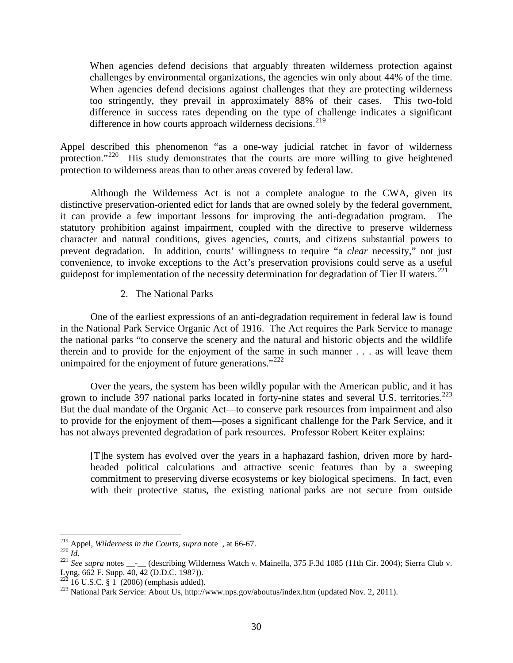When agencies defend decisions that arguably threaten wilderness protection against challenges by environmental organizations, the agencies win only about 44% of the time. When agencies defend decisions against challenges that they are protecting wilderness too stringently, they prevail in approximately 88% of their cases. This two-fold difference in success rates depending on the type of challenge indicates a significant difference in how courts approach wilderness decisions.<sup>[219](#page-30-0)</sup>

Appel described this phenomenon "as a one-way judicial ratchet in favor of wilderness protection."[220](#page-30-1) His study demonstrates that the courts are more willing to give heightened protection to wilderness areas than to other areas covered by federal law.

Although the Wilderness Act is not a complete analogue to the CWA, given its distinctive preservation-oriented edict for lands that are owned solely by the federal government, it can provide a few important lessons for improving the anti-degradation program. The statutory prohibition against impairment, coupled with the directive to preserve wilderness character and natural conditions, gives agencies, courts, and citizens substantial powers to prevent degradation. In addition, courts' willingness to require "a *clear* necessity," not just convenience, to invoke exceptions to the Act's preservation provisions could serve as a useful guidepost for implementation of the necessity determination for degradation of Tier II waters.<sup>[221](#page-30-2)</sup>

#### 2. The National Parks

One of the earliest expressions of an anti-degradation requirement in federal law is found in the National Park Service Organic Act of 1916. The Act requires the Park Service to manage the national parks "to conserve the scenery and the natural and historic objects and the wildlife therein and to provide for the enjoyment of the same in such manner . . . as will leave them unimpaired for the enjoyment of future generations."<sup>[222](#page-30-3)</sup>

Over the years, the system has been wildly popular with the American public, and it has grown to include 397 national parks located in forty-nine states and several U.S. territories.<sup>[223](#page-30-4)</sup> But the dual mandate of the Organic Act—to conserve park resources from impairment and also to provide for the enjoyment of them—poses a significant challenge for the Park Service, and it has not always prevented degradation of park resources. Professor Robert Keiter explains:

[T]he system has evolved over the years in a haphazard fashion, driven more by hardheaded political calculations and attractive scenic features than by a sweeping commitment to preserving diverse ecosystems or key biological specimens. In fact, even with their protective status, the existing national parks are not secure from outside

<span id="page-30-2"></span>

<span id="page-30-1"></span><span id="page-30-0"></span><sup>&</sup>lt;sup>219</sup> Appel, *Wilderness in the Courts*, *supra* note , at 66-67.<br><sup>221</sup> *See supra* notes \_\_-\_\_ (describing Wilderness Watch v. Mainella, 375 F.3d 1085 (11th Cir. 2004); Sierra Club v.<br>Lyng, 662 F. Supp. 40, 42 (D.D.C. 198

<span id="page-30-4"></span><span id="page-30-3"></span><sup>&</sup>lt;sup>223</sup> National Park Service: About Us, http://www.nps.gov/aboutus/index.htm (updated Nov. 2, 2011).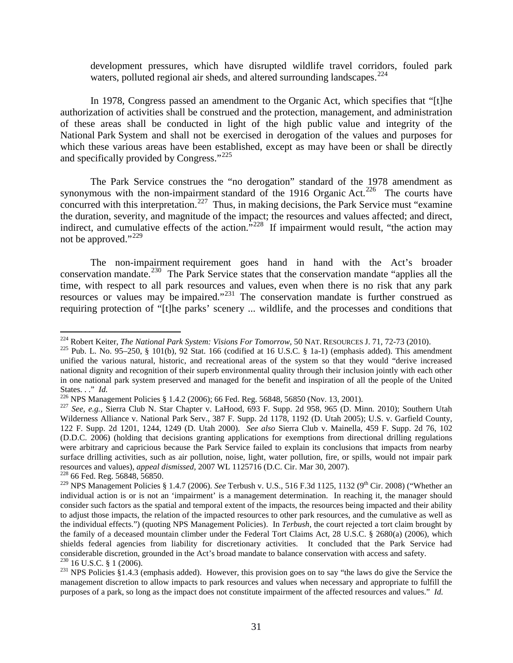development pressures, which have disrupted wildlife travel corridors, fouled park waters, polluted regional air sheds, and altered surrounding landscapes.  $224$ 

In 1978, Congress passed an amendment to the Organic Act, which specifies that "[t]he authorization of activities shall be construed and the protection, management, and administration of these areas shall be conducted in light of the high public value and integrity of the National [Park](http://web2.westlaw.com/result/result.aspx?cnt=DOC&cfid=1&referencepositiontype=T&eq=Welcome%2fLawSchool&rlti=1&vr=2.0&method=TNC&origin=Search&rltdb=CLID_DB2160804712271&db=ALLFEDS&referenceposition=SR%3b4690&utid=1&srch=TRUE&n=1&sri=69&fn=_top&fmqv=s&service=Search&query=PARK+ORGANIC+%2fP+DEROGATION+%2fS+IMPAIR!&sskey=CLID_SSSA4162304712271&sv=Split&scxt=WL&rlt=CLID_QRYRLT556114712271&rs=WLW12.01&ss=CNT&rp=%2fWelcome%2fLawSchool%2fdefault.wl&mt=LawSchool) System and shall not be exercised in derogation of the values and purposes for which these various areas have been established, except as may have been or shall be directly and specifically provided by Congress."<sup>[225](#page-31-1)</sup>

The Park Service construes the "no [derogation"](http://web2.westlaw.com/result/result.aspx?cnt=DOC&cfid=1&referencepositiontype=T&eq=Welcome%2fLawSchool&rlti=1&vr=2.0&method=TNC&origin=Search&rltdb=CLID_DB2160804712271&db=ALLFEDS&referenceposition=SR%3b4737&utid=1&srch=TRUE&n=1&sri=69&fn=_top&fmqv=s&service=Search&query=PARK+ORGANIC+%2fP+DEROGATION+%2fS+IMPAIR!&sskey=CLID_SSSA4162304712271&sv=Split&scxt=WL&rlt=CLID_QRYRLT556114712271&rs=WLW12.01&ss=CNT&rp=%2fWelcome%2fLawSchool%2fdefault.wl&mt=LawSchool) standard of the 1978 amendment as synonymous with the non[-impairment](http://web2.westlaw.com/result/result.aspx?cnt=DOC&cfid=1&referencepositiontype=T&eq=Welcome%2fLawSchool&rlti=1&vr=2.0&method=TNC&origin=Search&rltdb=CLID_DB2160804712271&db=ALLFEDS&referenceposition=SR%3b4750&utid=1&srch=TRUE&n=1&sri=69&fn=_top&fmqv=s&service=Search&query=PARK+ORGANIC+%2fP+DEROGATION+%2fS+IMPAIR!&sskey=CLID_SSSA4162304712271&sv=Split&scxt=WL&rlt=CLID_QRYRLT556114712271&rs=WLW12.01&ss=CNT&rp=%2fWelcome%2fLawSchool%2fdefault.wl&mt=LawSchool) standard of the 1916 [Organic](http://web2.westlaw.com/result/result.aspx?cnt=DOC&cfid=1&referencepositiontype=T&eq=Welcome%2fLawSchool&rlti=1&vr=2.0&method=TNC&origin=Search&rltdb=CLID_DB2160804712271&db=ALLFEDS&referenceposition=SR%3b4756&utid=1&srch=TRUE&n=1&sri=69&fn=_top&fmqv=s&service=Search&query=PARK+ORGANIC+%2fP+DEROGATION+%2fS+IMPAIR!&sskey=CLID_SSSA4162304712271&sv=Split&scxt=WL&rlt=CLID_QRYRLT556114712271&rs=WLW12.01&ss=CNT&rp=%2fWelcome%2fLawSchool%2fdefault.wl&mt=LawSchool) Act.<sup>[226](#page-31-2)</sup> The courts have concurred with this interpretation.<sup>[227](#page-31-3)</sup> Thus, in making decisions, the Park Service must "examine" the duration, severity, and magnitude of the impact; the resources and values affected; and direct, indirect, and cumulative effects of the action."<sup>[228](#page-31-4)</sup> If impairment would result, "the action may not be approved."<sup>[229](#page-31-5)</sup>

The non-impairment requirement goes hand in hand with the Act's broader conservation mandate.<sup>230</sup> The Park Service states that the conservation mandate "applies all the time, with respect to all park resources and values, even when there is no risk that any park resources or values may be impaired."<sup>[231](#page-31-7)</sup> The conservation mandate is further construed as requiring protection of "[t]he parks' scenery ... wildlife, and the processes and conditions that

<span id="page-31-1"></span><span id="page-31-0"></span><sup>&</sup>lt;sup>224</sup> Robert Keiter, *The National Park System: Visions For Tomorrow*, 50 NAT. RESOURCES J. 71, 72-73 (2010). <sup>225</sup> Pub. L. No. 95–250, § 101(b), 92 Stat. 166 (codified at 16 U.S.C. § 1a-1) (emphasis added). This amendment unified the various natural, historic, and recreational areas of the system so that they would "derive increased national dignity and recognition of their superb environmental quality through their inclusion jointly with each other in one national park system preserved and managed for the benefit and inspiration of all the people of the United States..." *Id.*<br><sup>226</sup> NPS Management Policies § 1.4.2 (2006); 66 Fed. Reg. 56848, 56850 (Nov. 13, 2001).<br><sup>227</sup> See, e.g., Sierra Club N. Star Chapter v. LaHood, 693 F. Supp. 2d 958, 965 (D. Minn. 2010); Southern Utah

<span id="page-31-2"></span>

<span id="page-31-3"></span>Wilderness Alliance v. National Park Serv., 387 F. Supp. 2d 1178, 1192 (D. Utah 2005); U.S. v. Garfield County, 122 F. Supp. 2d 1201, 1244, 1249 (D. Utah 2000). *See also* Sierra Club v. Mainella, 459 F. Supp. 2d 76, 102 (D.D.C. 2006) (holding that decisions granting applications for exemptions from directional drilling regulations were arbitrary and capricious because the Park Service failed to explain its conclusions that impacts from nearby surface drilling activities, such as air pollution, noise, light, water pollution, fire, or spills, would not impair park resources and values), *appeal dismissed,* 2007 WL 1125716 (D.C. Cir. Mar 30, 2007). <sup>228</sup> 66 Fed. Reg. 56848, 56850.

<span id="page-31-5"></span><span id="page-31-4"></span><sup>&</sup>lt;sup>229</sup> NPS Management Policies § 1.4.7 (2006). *See* Terbush v. U.S., 516 F.3d 1125, 1132 (9<sup>th</sup> Cir. 2008) ("Whether an individual action is or is not an 'impairment' is a management determination. In reaching it, the manager should consider such factors as the spatial and temporal extent of the impacts, the resources being impacted and their ability to adjust those impacts, the relation of the impacted resources to other park resources, and the cumulative as well as the individual effects.") (quoting NPS Management Policies). In *Terbush,* the court rejected a tort claim brought by the family of a deceased mountain climber under the Federal Tort Claims Act, 28 U.S.C. § 2680(a) (2006), which shields federal agencies from liability for discretionary activities. It concluded that the Park Service had considerable discretion, grounded in the Act's broad mandate to balance conservation with access and safety.<br><sup>230</sup> 16 U.S.C. § 1 (2006).<br><sup>231</sup> NPS Policies §1.4.3 (emphasis added). However, this provision goes on to say "t

<span id="page-31-7"></span><span id="page-31-6"></span>management discretion to allow impacts to park resources and values when necessary and appropriate to fulfill the purposes of a park, so long as the impact does not constitute impairment of the affected resources and values." *Id.*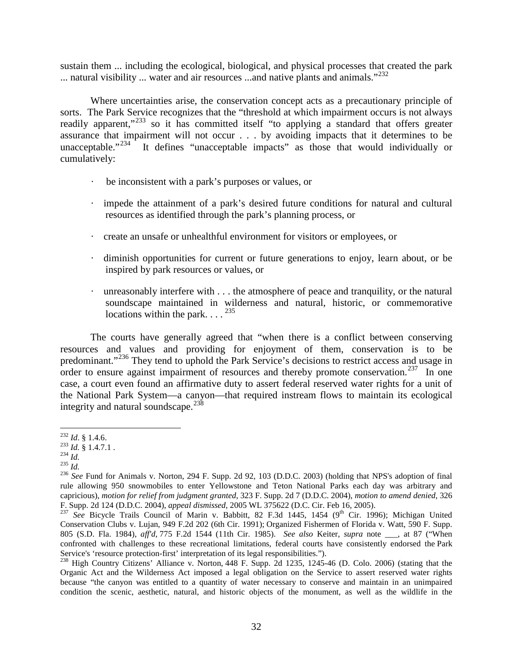sustain them ... including the ecological, biological, and physical processes that created the park ... natural visibility ... water and air resources ...and native plants and animals." $^{232}$  $^{232}$  $^{232}$ 

Where uncertainties arise, the conservation concept acts as a precautionary principle of sorts. The Park Service recognizes that the "threshold at which impairment occurs is not always readily apparent,"<sup>[233](#page-32-1)</sup> so it has committed itself "to applying a standard that offers greater assurance that impairment will not occur  $\ldots$  by avoiding impacts that it determines to be unacceptable."<sup>234</sup> It defines "unacceptable impacts" as those that would individually or It defines "unacceptable impacts" as those that would individually or cumulatively:

- · be inconsistent with a park's purposes or values, or
- · impede the attainment of a park's desired future conditions for natural and cultural resources as identified through the park's planning process, or
- · create an unsafe or unhealthful environment for visitors or employees, or
- · diminish opportunities for current or future generations to enjoy, learn about, or be inspired by park resources or values, or
- unreasonably interfere with  $\dots$  the atmosphere of peace and tranquility, or the natural soundscape maintained in wilderness and natural, historic, or commemorative locations within the park.  $\ldots$ <sup>[235](#page-32-3)</sup>

The courts have generally agreed that "when there is a conflict between conserving resources and values and providing for enjoyment of them, conservation is to be predominant."[236](#page-32-4) They tend to uphold the Park Service's decisions to restrict access and usage in order to ensure against impairment of resources and thereby promote conservation.<sup>[237](#page-32-5)</sup> In one case, a court even found an affirmative duty to assert federal reserved water rights for a unit of the National Park System—a canyon—that required instream flows to maintain its ecological integrity and natural soundscape. $^{238}$  $^{238}$  $^{238}$ 

<span id="page-32-2"></span>

<span id="page-32-4"></span><span id="page-32-3"></span>

<span id="page-32-1"></span><span id="page-32-0"></span><sup>&</sup>lt;sup>232</sup> *Id.* § 1.4.6.<br>
<sup>233</sup> *Id.* § 1.4.7.1 .<br>
<sup>234</sup> *Id.*<br>
<sup>236</sup> *See* Fund for Animals v. Norton, 294 F. Supp. 2d 92, 103 (D.D.C. 2003) (holding that NPS's adoption of final<br>
<sup>236</sup> *See* Fund for Animals v. Norton, 294 F rule allowing 950 snowmobiles to enter Yellowstone and Teton National Parks each day was arbitrary and capricious), *motion for relief from judgment granted*, 323 F. Supp. 2d 7 (D.D.C. 2004), *motion to amend denied*, 326 F. Supp. 2d 124 (D.D.C. 2004), *appeal dismissed*, 2005 WL 375622 (D.C. Cir. Feb 16, 2005). <sup>237</sup> *See* Bicycle Trails Council of Marin v. Babbitt, 82 F.3d 1445, 1454 (9th Cir. 1996); Michigan United

<span id="page-32-5"></span>Conservation Clubs v. Lujan, 949 F.2d 202 (6th Cir. 1991); Organized Fishermen of Florida v. Watt, 590 F. Supp. 805 (S.D. Fla. 1984), *aff'd*, 775 F.2d 1544 (11th Cir. 1985). *See also* Keiter, *supra* note \_\_\_, at 87 ("When confronted with challenges to these recreational limitations, federal courts have consistently endorsed the Park Service's 'resource protection-first' interpretation of its legal responsibilities.").<br><sup>238</sup> High Country Citizens' Alliance v. Norton, 448 F. Supp. 2d 1235, 1245-46 (D. Colo. 2006) (stating that the

<span id="page-32-6"></span>Organic Act and the Wilderness Act imposed a legal obligation on the Service to assert reserved water rights because "the canyon was entitled to a quantity of water necessary to conserve and maintain in an unimpaired condition the scenic, aesthetic, natural, and historic objects of the monument, as well as the wildlife in the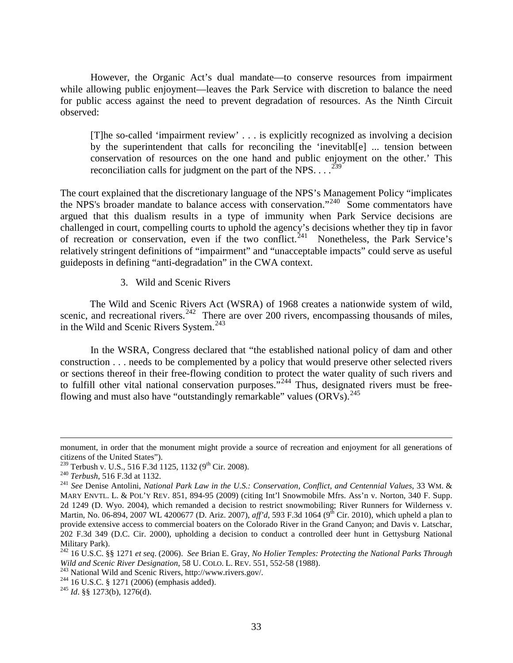However, the Organic Act's dual mandate—to conserve resources from impairment while allowing public enjoyment—leaves the Park Service with discretion to balance the need for public access against the need to prevent degradation of resources. As the Ninth Circuit observed:

[T]he so-called 'impairment review' . . . is explicitly recognized as involving a decision by the superintendent that calls for reconciling the 'inevitabl[e] ... tension between conservation of resources on the one hand and public enjoyment on the other.' This reconciliation calls for judgment on the part of the NPS.  $\ldots$ <sup>[239](#page-33-0)</sup>

The court explained that the discretionary language of the NPS's Management Policy "implicates the NPS's broader mandate to balance access with conservation."<sup>[240](#page-33-1)</sup> Some commentators have argued that this dualism results in a type of immunity when Park Service decisions are challenged in court, compelling courts to uphold the agency's decisions whether they tip in favor of recreation or conservation, even if the two conflict.<sup> $241$ </sup> Nonetheless, the Park Service's relatively stringent definitions of "impairment" and "unacceptable impacts" could serve as useful guideposts in defining "anti-degradation" in the CWA context.

3. Wild and Scenic Rivers

The Wild and Scenic Rivers Act (WSRA) of 1968 creates a nationwide system of wild, scenic, and recreational rivers.<sup>[242](#page-33-3)</sup> There are over 200 rivers, encompassing thousands of miles, in the Wild and Scenic Rivers System.<sup>[243](#page-33-4)</sup>

In the WSRA, Congress declared that "the established national policy of dam and other construction . . . needs to be complemented by a policy that would preserve other selected rivers or sections thereof in their free-flowing condition to protect the water quality of such rivers and to fulfill other vital national conservation purposes."<sup>[244](#page-33-5)</sup> Thus, designated rivers must be free-flowing and must also have "outstandingly remarkable" values (ORVs).<sup>[245](#page-33-6)</sup>

 $\overline{a}$ 

- <span id="page-33-5"></span><span id="page-33-4"></span><sup>243</sup> National Wild and Scenic Rivers, http://www.rivers.gov/.<br><sup>244</sup> 16 U.S.C. § 1271 (2006) (emphasis added).<br><sup>245</sup> *Id.* §§ 1273(b), 1276(d).
- 
- <span id="page-33-6"></span>

monument, in order that the monument might provide a source of recreation and enjoyment for all generations of citizens of the United States").<br> $^{239}$  Terbush v. U.S., 516 F.3d 1125, 1132 (9<sup>th</sup> Cir. 2008).

<span id="page-33-2"></span><span id="page-33-1"></span><span id="page-33-0"></span><sup>&</sup>lt;sup>240</sup> Terbush, 516 F.3d at 1132.<br><sup>241</sup> See Denise Antolini, *National Park Law in the U.S.: Conservation, Conflict, and Centennial Values, 33 WM. &* MARY ENVTL. L. & POL'Y REV. 851, 894-95 (2009) (citing Int'l Snowmobile Mfrs. Ass'n v. Norton, 340 F. Supp. 2d 1249 (D. Wyo. 2004), which remanded a decision to restrict snowmobiling; River Runners for Wilderness v. Martin, No. 06-894, 2007 WL 4200677 (D. Ariz. 2007), *aff'd*, 593 F.3d 1064 (9<sup>th</sup> Cir. 2010), which upheld a plan to provide extensive access to commercial boaters on the Colorado River in the Grand Canyon; and Davis v. Latschar, 202 F.3d 349 (D.C. Cir. 2000), upholding a decision to conduct a controlled deer hunt in Gettysburg National Military Park).

<span id="page-33-3"></span><sup>242</sup> 16 U.S.C. §§ 1271 *et seq*. (2006). *See* Brian E. Gray, *No Holier Temples: Protecting the National Parks Through*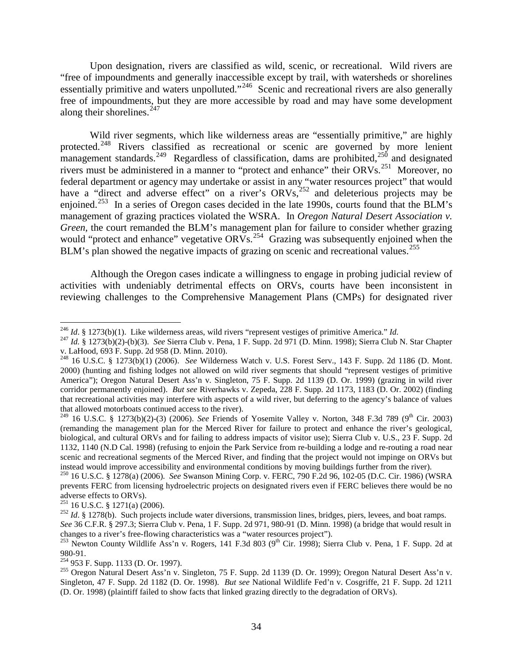Upon designation, rivers are classified as wild, scenic, or recreational. Wild rivers are "free of impoundments and generally inaccessible except by trail, with watersheds or shorelines essentially primitive and waters unpolluted."<sup>[246](#page-34-0)</sup> Scenic and recreational rivers are also generally free of impoundments, but they are more accessible by road and may have some development along their shorelines. $247$ 

Wild river segments, which like wilderness areas are "essentially primitive," are highly protected.<sup>[248](#page-34-2)</sup> Rivers classified as recreational or scenic are governed by more lenient management standards.<sup>[249](#page-34-3)</sup> Regardless of classification, dams are prohibited,<sup>[250](#page-34-4)</sup> and designated rivers must be administered in a manner to "protect and enhance" their ORVs.<sup>[251](#page-34-5)</sup> Moreover, no federal department or agency may undertake or assist in any "water resources project" that would have a "direct and adverse effect" on a river's ORVs,<sup>[252](#page-34-6)</sup> and deleterious projects may be enjoined.<sup>[253](#page-34-7)</sup> In a series of Oregon cases decided in the late 1990s, courts found that the BLM's management of grazing practices violated the WSRA. In *Oregon Natural Desert Association v. Green,* the court remanded the BLM's management plan for failure to consider whether grazing would "protect and enhance" vegetative  $ORVs$ .<sup>[254](#page-34-8)</sup> Grazing was subsequently enjoined when the BLM's plan showed the negative impacts of grazing on scenic and recreational values.<sup>[255](#page-34-9)</sup>

Although the Oregon cases indicate a willingness to engage in probing judicial review of activities with undeniably detrimental effects on ORVs, courts have been inconsistent in reviewing challenges to the Comprehensive Management Plans (CMPs) for designated river

<span id="page-34-1"></span><span id="page-34-0"></span><sup>&</sup>lt;sup>246</sup> *Id.* § 1273(b)(1). Like wilderness areas, wild rivers "represent vestiges of primitive America." *Id.*  $^{247}$  *Id.* § 1273(b)(2)-(b)(3). *See* Sierra Club v. Pena, 1 F. Supp. 2d 971 (D. Minn. 1998); Sierra Club N. v. LaHood, 693 F. Supp. 2d 958 (D. Minn. 2010). <sup>248</sup> 16 U.S.C. § 1273(b)(1) (2006). *See* Wilderness Watch v. U.S. Forest Serv., 143 F. Supp. 2d 1186 (D. Mont.

<span id="page-34-2"></span><sup>2000) (</sup>hunting and fishing lodges not allowed on wild river segments that should "represent vestiges of primitive America"); Oregon Natural Desert Ass'n v. Singleton, 75 F. Supp. 2d 1139 (D. Or. 1999) (grazing in wild river corridor permanently enjoined). *But see* Riverhawks v. Zepeda, 228 F. Supp. 2d 1173, 1183 (D. Or. 2002) (finding that recreational activities may interfere with aspects of a wild river, but deferring to the agency's balance of values that allowed motorboats continued access to the river).

<span id="page-34-3"></span><sup>&</sup>lt;sup>249</sup> 16 U.S.C. § 1273(b)(2)-(3) (2006). *See* Friends of Yosemite Valley v. Norton, 348 F.3d 789 (9<sup>th</sup> Cir. 2003) (remanding the management plan for the Merced River for failure to protect and enhance the river's geological, biological, and cultural ORVs and for failing to address impacts of visitor use); Sierra Club v. U.S., 23 F. Supp. 2d 1132, 1140 (N.D Cal. 1998) (refusing to enjoin the Park Service from re-building a lodge and re-routing a road near scenic and recreational segments of the Merced River, and finding that the project would not impinge on ORVs but instead would improve accessibility and environmental conditions by moving buildings further from the river).

<span id="page-34-4"></span><sup>250</sup> 16 U.S.C. § 1278(a) (2006). *See* Swanson Mining Corp. v. FERC, 790 F.2d 96, 102-05 (D.C. Cir. 1986) (WSRA prevents FERC from licensing hydroelectric projects on designated rivers even if FERC believes there would be no adverse effects to ORVs).<br> $^{251}$  16 U.S.C. § 1271(a) (2006).

<span id="page-34-6"></span><span id="page-34-5"></span><sup>&</sup>lt;sup>252</sup> *Id.* § 1278(b). Such projects include water diversions, transmission lines, bridges, piers, levees, and boat ramps.

*See* 36 C.F.R. § 297.3; Sierra Club v. Pena, 1 F. Supp. 2d 971, 980-91 (D. Minn. 1998) (a bridge that would result in

<span id="page-34-7"></span>changes to a river's free-flowing characteristics was a "water resources project").<br><sup>253</sup> Newton County Wildlife Ass'n v. Rogers, 141 F.3d 803 (9<sup>th</sup> Cir. 1998); Sierra Club v. Pena, 1 F. Supp. 2d at<br>980-91.

<span id="page-34-9"></span><span id="page-34-8"></span><sup>&</sup>lt;sup>254</sup> 953 F. Supp. 1133 (D. Or. 1997).<br><sup>255</sup> Oregon Natural Desert Ass'n v. Singleton, 75 F. Supp. 2d 1139 (D. Or. 1999); Oregon Natural Desert Ass'n v. Singleton, 47 F. Supp. 2d 1182 (D. Or. 1998). *But see* National Wildlife Fed'n v. Cosgriffe, 21 F. Supp. 2d 1211 (D. Or. 1998) (plaintiff failed to show facts that linked grazing directly to the degradation of ORVs).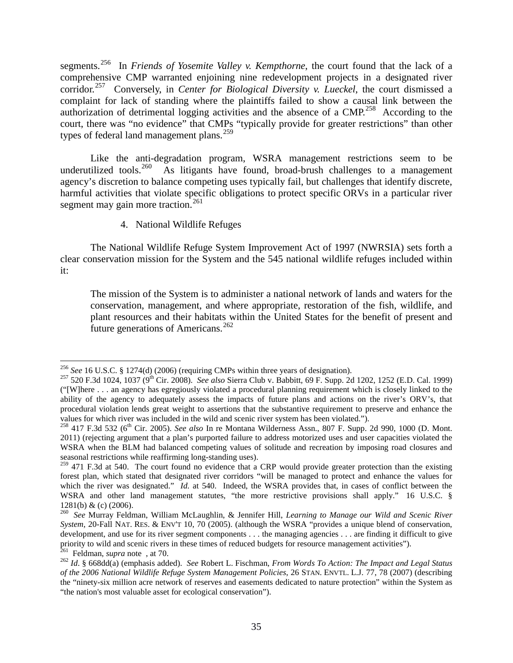segments. [256](#page-35-0) In *Friends of Yosemite Valley v. Kempthorne*, the court found that the lack of a comprehensive CMP warranted enjoining nine redevelopment projects in a designated river corridor. [257](#page-35-1) Conversely, in *Center for Biological Diversity v. Lueckel*, the court dismissed a complaint for lack of standing where the plaintiffs failed to show a causal link between the authorization of detrimental logging activities and the absence of a CMP.<sup>[258](#page-35-2)</sup> According to the court, there was "no evidence" that CMPs "typically provide for greater restrictions" than other types of federal land management plans.<sup>[259](#page-35-3)</sup>

Like the anti-degradation program, WSRA management restrictions seem to be underutilized tools.<sup>[260](#page-35-4)</sup> As litigants have found, broad-brush challenges to a management agency's discretion to balance competing uses typically fail, but challenges that identify discrete, harmful activities that violate specific obligations to protect specific ORVs in a particular river segment may gain more traction.<sup>[261](#page-35-5)</sup>

4. National Wildlife Refuges

The National Wildlife Refuge System Improvement Act of 1997 (NWRSIA) sets forth a clear conservation mission for the System and the 545 national wildlife refuges included within it:

The mission of the System is to administer a national network of lands and waters for the conservation, management, and where appropriate, restoration of the fish, wildlife, and plant resources and their habitats within the United States for the benefit of present and future generations of Americans.[262](#page-35-6)

<span id="page-35-1"></span><span id="page-35-0"></span><sup>&</sup>lt;sup>256</sup> See 16 U.S.C. § 1274(d) (2006) (requiring CMPs within three years of designation).<br><sup>257</sup> 520 F.3d 1024, 1037 (9<sup>th</sup> Cir. 2008). *See also* Sierra Club v. Babbitt, 69 F. Supp. 2d 1202, 1252 (E.D. Cal. 1999) ("[W]here . . . an agency has egregiously violated a procedural planning requirement which is closely linked to the ability of the agency to adequately assess the impacts of future plans and actions on the river's ORV's, that procedural violation lends great weight to assertions that the substantive requirement to preserve and enhance the values for which river was included in the wild and scenic river system has been violated.").

<span id="page-35-2"></span><sup>&</sup>lt;sup>258</sup> 417 F.3d 532 (6<sup>th</sup> Cir. 2005). *See also* In re Montana Wilderness Assn., 807 F. Supp. 2d 990, 1000 (D. Mont. 2011) (rejecting argument that a plan's purported failure to address motorized uses and user capacities violated the WSRA when the BLM had balanced competing values of solitude and recreation by imposing road closures and seasonal restrictions while reaffirming long-standing uses).

<span id="page-35-3"></span><sup>&</sup>lt;sup>259</sup> 471 F.3d at 540. The court found no evidence that a CRP would provide greater protection than the existing forest plan, which stated that designated river corridors "will be managed to protect and enhance the values for which the river was designated." *Id.* at 540. Indeed, the WSRA provides that, in cases of conflict between the WSRA and other land management statutes, "the more restrictive provisions shall apply." 16 U.S.C. §

<span id="page-35-4"></span><sup>1281(</sup>b) & (c) (2006). <sup>260</sup> *See* Murray Feldman, William McLaughlin, & Jennifer Hill, *Learning to Manage our Wild and Scenic River System*, 20-Fall NAT. RES. & ENV'T 10, 70 (2005). (although the WSRA "provides a unique blend of conservation, development, and use for its river segment components . . . the managing agencies . . . are finding it difficult to give priority to wild and scenic rivers in these times of reduced budgets for resource management activities").<br><sup>261</sup> Feldman, *supra* note, at 70.

<span id="page-35-6"></span><span id="page-35-5"></span><sup>&</sup>lt;sup>262</sup> Id. § 668dd(a) (emphasis added). *See* Robert L. Fischman, *From Words To Action: The Impact and Legal Status of the 2006 National Wildlife Refuge System Management Policies*, 26 STAN. ENVTL. L.J. 77, 78 (2007) (describing the "ninety-six million acre network of reserves and easements dedicated to nature protection" within the System as "the nation's most valuable asset for ecological conservation").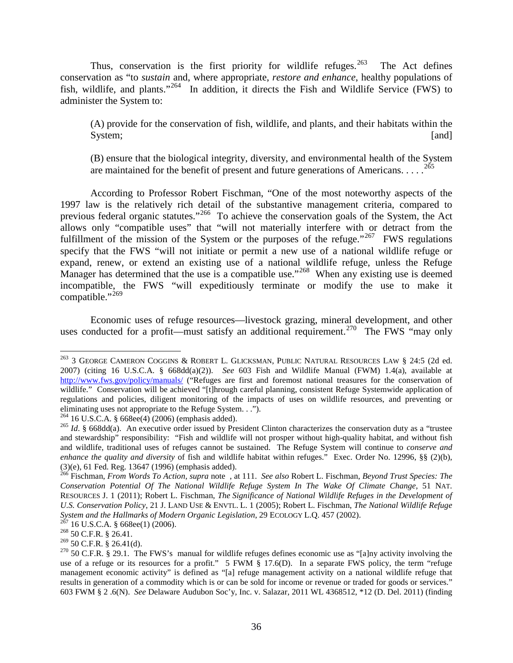Thus, conservation is the first priority for wildlife refuges.<sup>263</sup> The Act defines conservation as "to *sustain* and, where appropriate, *restore and enhance*, healthy populations of fish, wildlife, and plants."<sup>[264](#page-36-1)</sup> In addition, it directs the Fish and Wildlife Service (FWS) to administer the System to:

(A) provide for the conservation of fish, wildlife, and plants, and their habitats within the System; [and]

(B) ensure that the biological integrity, diversity, and environmental health of the System are maintained for the benefit of present and future generations of Americans.  $\dots$ <sup>[265](#page-36-2)</sup>

According to Professor Robert Fischman, "One of the most noteworthy aspects of the 1997 law is the relatively rich detail of the substantive management criteria, compared to previous federal organic statutes."<sup>[266](#page-36-3)</sup> To achieve the conservation goals of the System, the Act allows only "compatible uses" that "will not materially interfere with or detract from the fulfillment of the mission of the System or the purposes of the refuge."<sup>267</sup> FWS regulations specify that the FWS "will not initiate or permit a new use of a national wildlife refuge or expand, renew, or extend an existing use of a national wildlife refuge, unless the Refuge Manager has determined that the use is a compatible use."<sup>[268](#page-36-5)</sup> When any existing use is deemed incompatible, the FWS "will expeditiously terminate or modify the use to make it compatible."<sup>[269](#page-36-6)</sup>

Economic uses of refuge resources—livestock grazing, mineral development, and other uses conducted for a profit—must satisfy an additional requirement.<sup>[270](#page-36-7)</sup> The FWS "may only

<span id="page-36-0"></span><sup>&</sup>lt;sup>263</sup> 3 GEORGE CAMERON COGGINS & ROBERT L. GLICKSMAN, PUBLIC NATURAL RESOURCES LAW § 24:5 (2d ed. 2007) (citing 16 U.S.C.A. § 668dd(a)(2)). *See* 603 Fish and Wildlife Manual (FWM) 1.4(a), available at <http://www.fws.gov/policy/manuals/> ("Refuges are first and foremost national treasures for the conservation of wildlife." Conservation will be achieved "[t]hrough careful planning, consistent Refuge Systemwide application of regulations and policies, diligent monitoring of the impacts of uses on wildlife resources, and preventing or eliminating uses not appropriate to the Refuge System. . .").<br> $^{264}$  16 U.S.C.A. § 668ee(4) (2006) (emphasis added).

<span id="page-36-2"></span><span id="page-36-1"></span><sup>&</sup>lt;sup>265</sup> *Id.* § 668dd(a). An executive order issued by President Clinton characterizes the conservation duty as a "trustee" and stewardship" responsibility: "Fish and wildlife will not prosper without high-quality habitat, and without fish and wildlife, traditional uses of refuges cannot be sustained. The Refuge System will continue to *conserve and enhance the quality and diversity* of fish and wildlife habitat within refuges." Exec. Order No. 12996, §§ (2)(b), (3)(e), 61 Fed. Reg. 13647 (1996) (emphasis added). <sup>266</sup> Fischman, *From Words To Action, supra* note , at 111. *See also* Robert L. Fischman, *Beyond Trust Species: The* 

<span id="page-36-3"></span>*Conservation Potential Of The National Wildlife Refuge System In The Wake Of Climate Change*, 51 NAT. RESOURCES J. 1 (2011); Robert L. Fischman, *The Significance of National Wildlife Refuges in the Development of U.S. Conservation Policy*, 21 J. LAND USE & ENVTL. L. 1 (2005); Robert L. Fischman, *The National Wildlife Refuge System and the Hallmarks of Modern Organic Legislation*, 29 ECOLOGY L.Q. 457 (2002).<br><sup>267</sup> 16 U.S.C.A. § 668ee(1) (2006).<br><sup>268</sup> 50 C.F.R. § 26.41.<br><sup>269</sup> 50 C.F.R. § 26.41(d).

<span id="page-36-4"></span>

<span id="page-36-5"></span>

<span id="page-36-7"></span><span id="page-36-6"></span><sup>&</sup>lt;sup>270</sup> 50 C.F.R. § 29.1. The FWS's manual for wildlife refuges defines economic use as "[a]ny activity involving the use of a refuge or its resources for a profit." 5 FWM  $\S$  17.6(D). In a separate FWS policy, the term "refuge management economic activity" is defined as "[a] refuge management activity on a national wildlife refuge that results in generation of a commodity which is or can be sold for income or revenue or traded for goods or services." 603 FWM § 2 .6(N). *See* Delaware Audubon Soc'y, Inc. v. Salazar, 2011 WL 4368512, \*12 (D. Del. 2011) (finding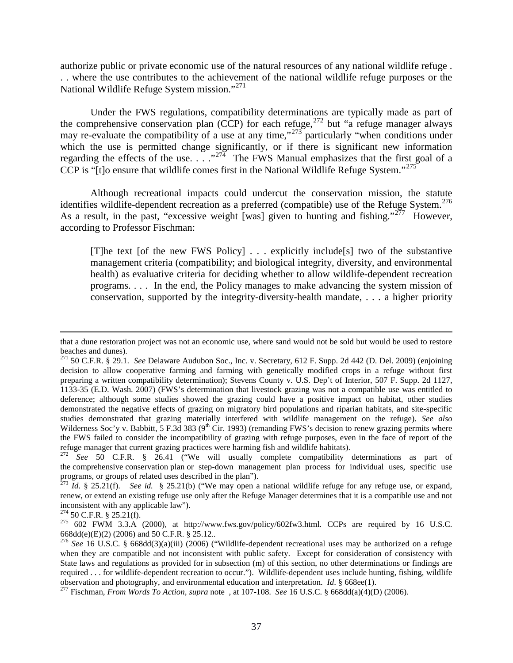authorize public or private economic use of the natural resources of any national wildlife refuge . . . where the use contributes to the achievement of the national wildlife refuge purposes or the National Wildlife Refuge System mission."[271](#page-37-0)

Under the FWS regulations, compatibility determinations are typically made as part of the comprehensive conservation plan (CCP) for each refuge, [272](#page-37-1) but "a refuge manager always may re-evaluate the compatibility of a use at any time," $273^{\circ}$  $273^{\circ}$  particularly "when conditions under which the use is permitted change significantly, or if there is significant new information regarding the effects of the use.  $\ldots$  ."<sup>[274](#page-37-3)</sup> The FWS Manual emphasizes that the first goal of a CCP is "[t]o ensure that wildlife comes first in the National Wildlife Refuge System."<sup>[275](#page-37-4)</sup>

Although recreational impacts could undercut the conservation mission, the statute identifies wildlife-dependent recreation as a preferred (compatible) use of the Refuge System.<sup>[276](#page-37-5)</sup> As a result, in the past, "excessive weight [was] given to hunting and fishing."<sup>277</sup> However, according to Professor Fischman:

[T]he text [of the new FWS Policy]  $\ldots$  explicitly include [s] two of the substantive management criteria (compatibility; and biological integrity, diversity, and environmental health) as evaluative criteria for deciding whether to allow wildlife-dependent recreation programs. . . . In the end, the Policy manages to make advancing the system mission of conservation, supported by the integrity-diversity-health mandate, . . . a higher priority

 $\overline{a}$ 

that a dune restoration project was not an economic use, where sand would not be sold but would be used to restore beaches and dunes).

<span id="page-37-0"></span><sup>271</sup> 50 C.F.R. § 29.1. *See* Delaware Audubon Soc., Inc. v. Secretary, 612 F. Supp. 2d 442 (D. Del. 2009) (enjoining decision to allow cooperative farming and farming with genetically modified crops in a refuge without first preparing a written compatibility determination); Stevens County v. U.S. Dep't of Interior, 507 F. Supp. 2d 1127, 1133-35 (E.D. Wash. 2007) (FWS's determination that livestock grazing was not a compatible use was entitled to deference; although some studies showed the grazing could have a positive impact on habitat, other studies demonstrated the negative effects of grazing on migratory bird populations and riparian habitats, and site-specific studies demonstrated that grazing materially interfered with wildlife management on the refuge). *See also*  Wilderness Soc'y v. Babbitt, 5 F.3d 383 ( $9<sup>th</sup>$  Cir. 1993) (remanding FWS's decision to renew grazing permits where the FWS failed to consider the incompatibility of grazing with refuge purposes, even in the face of report of the refuge manager that current grazing practices were harming fish and wildlife habitats). <sup>272</sup> *See* 50 C.F.R. § 26.41 ("We will usually complete compatibility determinations as part of

<span id="page-37-1"></span>the comprehensive conservation plan or step-down management plan process for individual uses, specific use programs, or groups of related uses described in the plan").<br><sup>273</sup> *Id.* § 25.21(f). *See id.* § 25.21(b) ("We may open a national wildlife refuge for any refuge use, or expand,

<span id="page-37-2"></span>renew, or extend an existing refuge use only after the Refuge Manager determines that it is a compatible use and not

<span id="page-37-4"></span>

<span id="page-37-3"></span>inconsistent with any applicable law").<br><sup>274</sup> 50 C.F.R. § 25.21(f).<br><sup>275</sup> 602 FWM 3.3.A (2000), at http://www.fws.gov/policy/602fw3.html. CCPs are required by 16 U.S.C.<br>668dd(e)(E)(2) (2006) and 50 C.F.R. § 25.12..

<span id="page-37-5"></span><sup>&</sup>lt;sup>276</sup> See 16 U.S.C. § 668dd(3)(a)(iii) (2006) ("Wildlife-dependent recreational uses may be authorized on a refuge when they are compatible and not inconsistent with public safety. Except for consideration of consistency with State laws and regulations as provided for in subsection (m) of this section, no other determinations or findings are required ... for wildlife-dependent recreation to occur."). Wildlife-dependent uses include hunting, fishing, wildlife observation and photography, and environmental education and interpretation. *Id.*  $\S 668ee(1)$ .

<span id="page-37-6"></span><sup>&</sup>lt;sup>277</sup> Fischman, *From Words To Action, supra* note , at 107-108. *See* 16 U.S.C. § 668dd(a)(4)(D) (2006).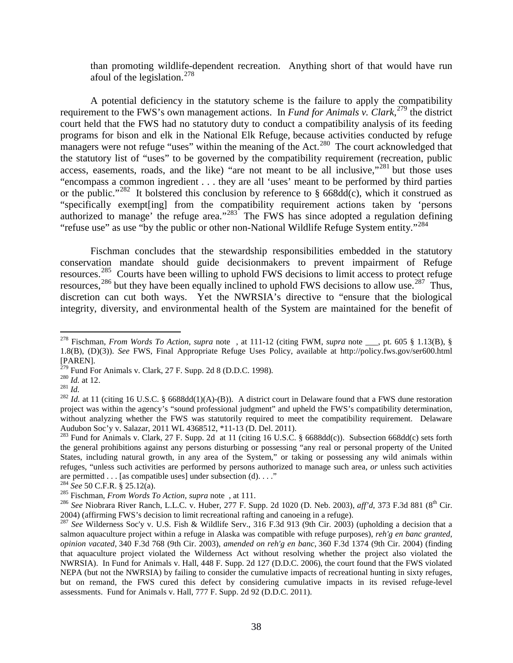than promoting wildlife-dependent recreation. Anything short of that would have run afoul of the legislation.  $278$ 

A potential deficiency in the statutory scheme is the failure to apply the compatibility requirement to the FWS's own management actions. In *Fund for Animals v. Clark*<sup>[279](#page-38-1)</sup> the district court held that the FWS had no statutory duty to conduct a compatibility analysis of its feeding programs for bison and elk in the National Elk Refuge, because activities conducted by refuge managers were not refuge "uses" within the meaning of the Act.<sup>[280](#page-38-2)</sup> The court acknowledged that the statutory list of "uses" to be governed by the compatibility requirement (recreation, public access, easements, roads, and the like) "are not meant to be all inclusive,"<sup>[281](#page-38-3)</sup> but those uses "encompass a common ingredient . . . they are all 'uses' meant to be performed by third parties or the public."<sup>[282](#page-38-4)</sup> It bolstered this conclusion by reference to  $\S$  668dd(c), which it construed as "specifically exempt[ing] from the compatibility requirement actions taken by 'persons authorized to manage' the refuge area." $283$ <sup>\*</sup> The FWS has since adopted a regulation defining "refuse use" as use "by the public or other non-National Wildlife Refuge System entity."<sup>[284](#page-38-6)</sup>

Fischman concludes that the stewardship responsibilities embedded in the statutory conservation mandate should guide decisionmakers to prevent impairment of Refuge resources.[285](#page-38-7) Courts have been willing to uphold FWS decisions to limit access to protect refuge resources,  $^{286}$  $^{286}$  $^{286}$  but they have been equally inclined to uphold FWS decisions to allow use.<sup>[287](#page-38-9)</sup> Thus, discretion can cut both ways. Yet the NWRSIA's directive to "ensure that the biological integrity, diversity, and environmental health of the System are maintained for the benefit of

<span id="page-38-0"></span> <sup>278</sup> Fischman, *From Words To Action, supra* note , at 111-12 (citing FWM, *supra* note \_\_\_, pt. 605 § 1.13(B), § 1.8(B), (D)(3)). *See* FWS, Final Appropriate Refuge Uses Policy, available at http://policy.fws.gov/ser600.html [PAREN].<br><sup>279</sup> Fund For Animals v. Clark, 27 F. Supp. 2d 8 (D.D.C. 1998).

<span id="page-38-4"></span><span id="page-38-3"></span>

<span id="page-38-2"></span><span id="page-38-1"></span><sup>&</sup>lt;sup>280</sup> *Id.* at 12.<br><sup>281</sup> *Id.*  $\frac{1}{281}$  *Id.* at 11 (citing 16 U.S.C. § 6688dd(1)(A)-(B)). A district court in Delaware found that a FWS dune restoration project was within the agency's "sound professional judgment" and upheld the FWS's compatibility determination, without analyzing whether the FWS was statutorily required to meet the compatibility requirement. Delaware Audubon Soc'y v. Salazar, 2011 WL 4368512, \*11-13 (D. Del. 2011).

<span id="page-38-5"></span><sup>&</sup>lt;sup>283</sup> Fund for Animals v. Clark, 27 F. Supp. 2d at 11 (citing 16 U.S.C. § 6688dd(c)). Subsection 668dd(c) sets forth the general prohibitions against any persons disturbing or possessing "any real or personal property of the United States, including natural growth, in any area of the System," or taking or possessing any wild animals within refuges, "unless such activities are performed by persons authorized to manage such area, *or* unless such activities are permitted . . . [as compatible uses] under subsection (d). . . ."<br><sup>284</sup> See 50 C.F.R. § 25.12(a).

<span id="page-38-8"></span><span id="page-38-7"></span><span id="page-38-6"></span><sup>&</sup>lt;sup>285</sup> Fischman, *From Words To Action*, *supra* note, at 111.<br><sup>286</sup> See Niobrara River Ranch, L.L.C. v. Huber, 277 F. Supp. 2d 1020 (D. Neb. 2003), *aff'd*, 373 F.3d 881 (8<sup>th</sup> Cir.<br>2004) (affirming FWS's decision to limi

<span id="page-38-9"></span> $287$  See Wilderness Soc'y v. U.S. Fish & Wildlife Serv., 316 F.3d 913 (9th Cir. 2003) (upholding a decision that a salmon aquaculture project within a refuge in Alaska was compatible with refuge purposes), *reh'g en banc granted*, *opinion vacated*, 340 F.3d 768 (9th Cir. 2003), *amended on reh'g en banc*, 360 F.3d 1374 (9th Cir. 2004) (finding that aquaculture project violated the Wilderness Act without resolving whether the project also violated the NWRSIA). In Fund for Animals v. Hall, 448 F. Supp. 2d 127 (D.D.C. 2006), the court found that the FWS violated NEPA (but not the NWRSIA) by failing to consider the cumulative impacts of recreational hunting in sixty refuges, but on remand, the FWS cured this defect by considering cumulative impacts in its revised refuge-level assessments. Fund for Animals v. Hall, 777 F. Supp. 2d 92 (D.D.C. 2011).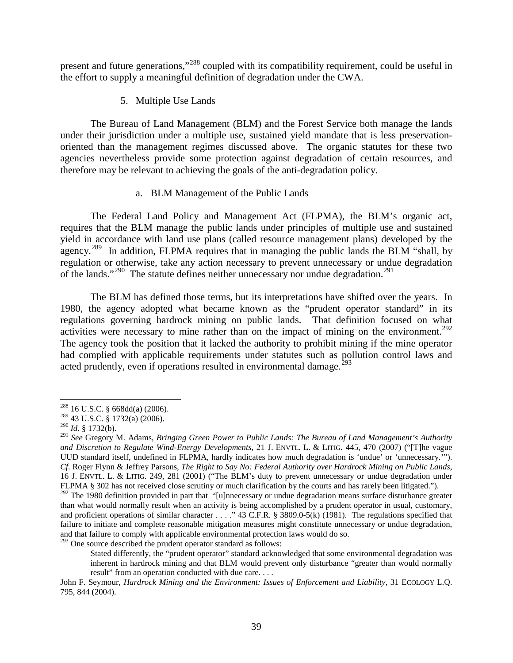present and future generations,"[288](#page-39-0) coupled with its compatibility requirement, could be useful in the effort to supply a meaningful definition of degradation under the CWA.

5. Multiple Use Lands

The Bureau of Land Management (BLM) and the Forest Service both manage the lands under their jurisdiction under a multiple use, sustained yield mandate that is less preservationoriented than the management regimes discussed above. The organic statutes for these two agencies nevertheless provide some protection against degradation of certain resources, and therefore may be relevant to achieving the goals of the anti-degradation policy.

#### a. BLM Management of the Public Lands

The Federal Land Policy and Management Act (FLPMA), the BLM's organic act, requires that the BLM manage the public lands under principles of multiple use and sustained yield in accordance with land use plans (called resource management plans) developed by the agency.<sup>289</sup> In addition, FLPMA requires that in managing the public lands the BLM "shall, by regulation or otherwise, take any action necessary to prevent unnecessary or undue degradation of the lands."<sup>[290](#page-39-2)</sup> The statute defines neither unnecessary nor undue degradation.<sup>[291](#page-39-3)</sup>

The BLM has defined those terms, but its interpretations have shifted over the years. In 1980, the agency adopted what became known as the "prudent operator standard" in its regulations governing hardrock mining on public lands. That definition focused on what activities were necessary to mine rather than on the impact of mining on the environment.<sup>[292](#page-39-4)</sup> The agency took the position that it lacked the authority to prohibit mining if the mine operator had complied with applicable requirements under statutes such as pollution control laws and acted prudently, even if operations resulted in environmental damage.<sup>[293](#page-39-5)</sup>

<span id="page-39-5"></span> $293$  One source described the prudent operator standard as follows:

<span id="page-39-1"></span><span id="page-39-0"></span><sup>288</sup> 16 U.S.C. § 668dd(a) (2006). 289 43 U.S.C. § 1732(a) (2006). <sup>290</sup> *Id*. § 1732(b).

<span id="page-39-3"></span><span id="page-39-2"></span><sup>291</sup> *See* Gregory M. Adams, *Bringing Green Power to Public Lands: The Bureau of Land Management's Authority and Discretion to Regulate Wind-Energy Developments*, 21 J. ENVTL. L. & LITIG. 445, 470 (2007) ("[T]he vague UUD standard itself, undefined in FLPMA, hardly indicates how much degradation is 'undue' or 'unnecessary.'"). *Cf*. Roger Flynn & Jeffrey Parsons, *The Right to Say No: Federal Authority over Hardrock Mining on Public Lands*, 16 J. ENVTL. L. & LITIG. 249, 281 (2001) ("The BLM's duty to prevent unnecessary or undue degradation under FLPMA § 302 has not received close scrutiny or much clarification by the courts and has rarely been litigated.").

<span id="page-39-4"></span> $292$  The 1980 definition provided in part that "[u]nnecessary or undue degradation means surface disturbance greater than what would normally result when an activity is being accomplished by a prudent operator in usual, customary, and proficient operations of similar character . . . ." 43 C.F.R. § 3809.0-5(k) (1981). The regulations specified that failure to initiate and complete reasonable mitigation measures might constitute unnecessary or undue degradation, and that failure to comply with applicable environmental protection laws would do so.

Stated differently, the "prudent operator" standard acknowledged that some environmental degradation was inherent in hardrock mining and that BLM would prevent only disturbance "greater than would normally result" from an operation conducted with due care....

John F. Seymour, *Hardrock Mining and the Environment: Issues of Enforcement and Liability*, 31 ECOLOGY L.Q. 795, 844 (2004).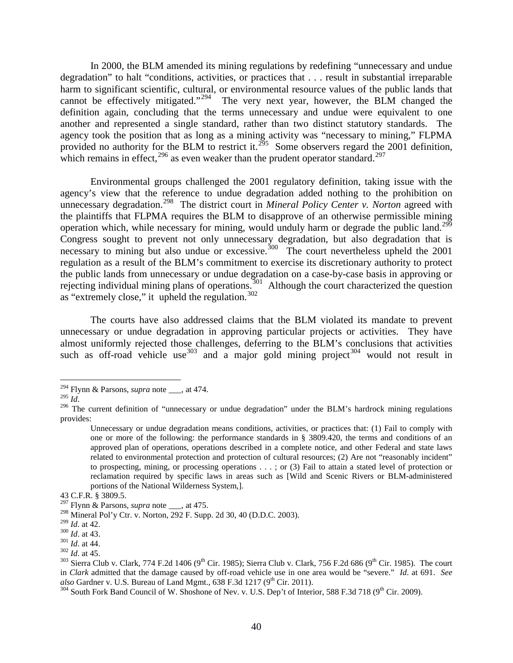In 2000, the BLM amended its mining regulations by redefining "unnecessary and undue degradation" to halt "conditions, activities, or practices that . . . result in substantial irreparable harm to significant scientific, cultural, or environmental resource values of the public lands that cannot be effectively mitigated."<sup>[294](#page-40-0)</sup> The very next year, however, the BLM changed the definition again, concluding that the terms unnecessary and undue were equivalent to one another and represented a single standard, rather than two distinct statutory standards. The agency took the position that as long as a mining activity was "necessary to mining," FLPMA provided no authority for the BLM to restrict it.<sup>295</sup> Some observers regard the 2001 definition, which remains in effect,  $296$  as even weaker than the prudent operator standard.  $297$ 

Environmental groups challenged the 2001 regulatory definition, taking issue with the agency's view that the reference to undue degradation added nothing to the prohibition on unnecessary degradation.[298](#page-40-4) The district court in *Mineral Policy Center v. Norton* agreed with the plaintiffs that FLPMA requires the BLM to disapprove of an otherwise permissible mining operation which, while necessary for mining, would unduly harm or degrade the public land.[299](#page-40-5) Congress sought to prevent not only unnecessary degradation, but also degradation that is necessary to mining but also undue or excessive.<sup>[300](#page-40-6)</sup> The court nevertheless upheld the 2001 regulation as a result of the BLM's commitment to exercise its discretionary authority to protect the public lands from unnecessary or undue degradation on a case-by-case basis in approving or rejecting individual mining plans of operations.<sup>301</sup> Although the court characterized the question as "extremely close," it upheld the regulation.<sup>[302](#page-40-8)</sup>

The courts have also addressed claims that the BLM violated its mandate to prevent unnecessary or undue degradation in approving particular projects or activities. They have almost uniformly rejected those challenges, deferring to the BLM's conclusions that activities such as off-road vehicle use  $303$  and a major gold mining project  $304$  would not result in

<span id="page-40-0"></span><sup>&</sup>lt;sup>294</sup> Flynn & Parsons, *supra* note <sub>\_\_\_</sub>, at 474.

<span id="page-40-1"></span>

<span id="page-40-2"></span><sup>&</sup>lt;sup>296</sup> The current definition of "unnecessary or undue degradation" under the BLM's hardrock mining regulations provides:

Unnecessary or undue degradation means conditions, activities, or practices that: (1) Fail to comply with one or more of the following: the performance standards in § 3809.420, the terms and conditions of an approved plan of operations, operations described in a complete notice, and other Federal and state laws related to environmental protection and protection of cultural resources; (2) Are not "reasonably incident" to prospecting, mining, or processing operations . . . ; or (3) Fail to attain a stated level of protection or reclamation required by specific laws in areas such as [Wild and Scenic Rivers or BLM-administered portions of the National Wilderness System,].

<sup>43</sup> C.F.R. § 3809.5.

<sup>297</sup> Flynn & Parsons, *supra* note \_\_\_, at 475.

<span id="page-40-4"></span><span id="page-40-3"></span><sup>&</sup>lt;sup>298</sup> Mineral Pol'y Ctr. v. Norton, 292 F. Supp. 2d 30, 40 (D.D.C. 2003).<br><sup>299</sup> Id. at 42.

<span id="page-40-9"></span><span id="page-40-8"></span>

<span id="page-40-7"></span><span id="page-40-6"></span><span id="page-40-5"></span><sup>&</sup>lt;sup>300</sup> *Id.* at 43.<br><sup>301</sup> *Id.* at 44.<br><sup>302</sup> *Id.* at 45.<br><sup>303</sup> Sierra Club v. Clark, 774 F.2d 1406 (9<sup>th</sup> Cir. 1985); Sierra Club v. Clark, 756 F.2d 686 (9<sup>th</sup> Cir. 1985). The court in *Clark* admitted that the damage caused by off-road vehicle use in one area would be "severe." *Id.* at 691. *See also* Gardner v. U.S. Bureau of Land Mgmt., 638 F.3d 1217 (9<sup>th</sup> Cir. 2011).

<span id="page-40-10"></span><sup>&</sup>lt;sup>304</sup> South Fork Band Council of W. Shoshone of Nev. v. U.S. Dep't of Interior, 588 F.3d 718 (9<sup>th</sup> Cir. 2009).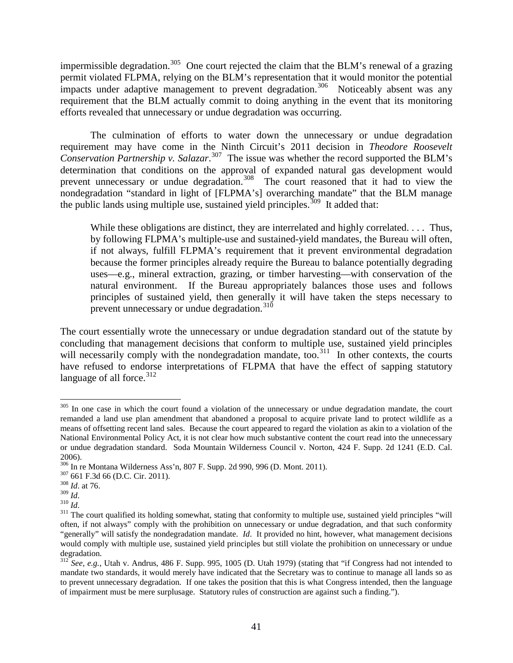impermissible degradation.<sup>305</sup> One court rejected the claim that the BLM's renewal of a grazing permit violated FLPMA, relying on the BLM's representation that it would monitor the potential impacts under adaptive management to prevent degradation.<sup>306</sup> Noticeably absent was any requirement that the BLM actually commit to doing anything in the event that its monitoring efforts revealed that unnecessary or undue degradation was occurring.

The culmination of efforts to water down the unnecessary or undue degradation requirement may have come in the Ninth Circuit's 2011 decision in *Theodore Roosevelt Conservation Partnership v. Salazar*. [307](#page-41-2) The issue was whether the record supported the BLM's determination that conditions on the approval of expanded natural gas development would prevent unnecessary or undue degradation.<sup>[308](#page-41-3)</sup> The court reasoned that it had to view the nondegradation "standard in light of [FLPMA's] overarching mandate" that the BLM manage the public lands using multiple use, sustained yield principles.<sup>309</sup> It added that:

While these obligations are distinct, they are interrelated and highly correlated. . . . Thus, by following FLPMA's multiple-use and sustained-yield mandates, the Bureau will often, if not always, fulfill FLPMA's requirement that it prevent environmental degradation because the former principles already require the Bureau to balance potentially degrading uses—e.g., mineral extraction, grazing, or timber harvesting—with conservation of the natural environment. If the Bureau appropriately balances those uses and follows principles of sustained yield, then generally it will have taken the steps necessary to prevent unnecessary or undue degradation.<sup>[310](#page-41-5)</sup>

The court essentially wrote the unnecessary or undue degradation standard out of the statute by concluding that management decisions that conform to multiple use, sustained yield principles will necessarily comply with the nondegradation mandate, too.<sup>311</sup> In other contexts, the courts have refused to endorse interpretations of FLPMA that have the effect of sapping statutory language of all force. $312$ 

<span id="page-41-0"></span><sup>&</sup>lt;sup>305</sup> In one case in which the court found a violation of the unnecessary or undue degradation mandate, the court remanded a land use plan amendment that abandoned a proposal to acquire private land to protect wildlife as a means of offsetting recent land sales. Because the court appeared to regard the violation as akin to a violation of the National Environmental Policy Act, it is not clear how much substantive content the court read into the unnecessary or undue degradation standard. Soda Mountain Wilderness Council v. Norton, 424 F. Supp. 2d 1241 (E.D. Cal. 2006).

<span id="page-41-1"></span><sup>&</sup>lt;sup>306</sup> In re Montana Wilderness Ass'n, 807 F. Supp. 2d 990, 996 (D. Mont. 2011).<br><sup>307</sup> 661 F.3d 66 (D.C. Cir. 2011).<br><sup>308</sup> *Id.* at 76.<br>*Id.* <sup>309</sup> *Id.* 

<span id="page-41-2"></span>

<span id="page-41-6"></span><span id="page-41-5"></span><span id="page-41-4"></span><span id="page-41-3"></span><sup>&</sup>lt;sup>310</sup> *Id*.<br><sup>310</sup> *Id*. <br><sup>311</sup> The court qualified its holding somewhat, stating that conformity to multiple use, sustained yield principles "will often, if not always" comply with the prohibition on unnecessary or undue degradation, and that such conformity "generally" will satisfy the nondegradation mandate. *Id*. It provided no hint, however, what management decisions would comply with multiple use, sustained yield principles but still violate the prohibition on unnecessary or undue degradation.

<span id="page-41-7"></span><sup>312</sup> *See, e.g.*, Utah v. Andrus, 486 F. Supp. 995, 1005 (D. Utah 1979) (stating that "if Congress had not intended to mandate two standards, it would merely have indicated that the Secretary was to continue to manage all lands so as to prevent unnecessary degradation. If one takes the position that this is what Congress intended, then the language of impairment must be mere surplusage. Statutory rules of construction are against such a finding.").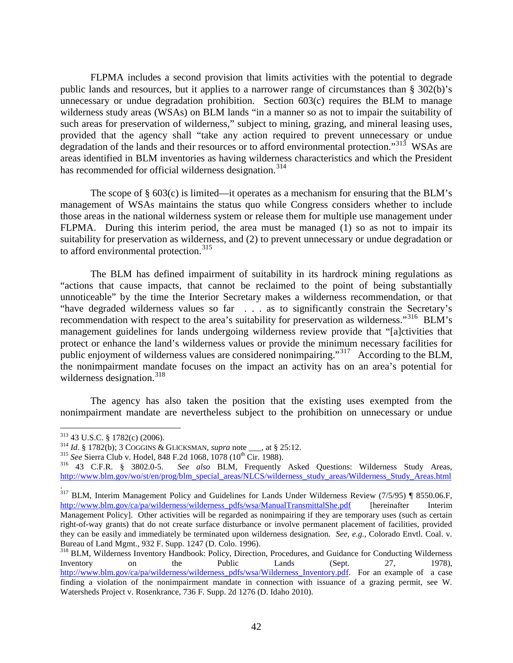FLPMA includes a second provision that limits activities with the potential to degrade public lands and resources, but it applies to a narrower range of circumstances than § 302(b)'s unnecessary or undue degradation prohibition. Section 603(c) requires the BLM to manage wilderness study areas (WSAs) on BLM lands "in a manner so as not to impair the suitability of such areas for preservation of wilderness," subject to mining, grazing, and mineral leasing uses, provided that the agency shall "take any action required to prevent unnecessary or undue degradation of the lands and their resources or to afford environmental protection."<sup>[313](#page-42-0)</sup> WSAs are areas identified in BLM inventories as having wilderness characteristics and which the President has recommended for official wilderness designation.<sup>[314](#page-42-1)</sup>

The scope of  $\S$  603(c) is limited—it operates as a mechanism for ensuring that the BLM's management of WSAs maintains the status quo while Congress considers whether to include those areas in the national wilderness system or release them for multiple use management under FLPMA. During this interim period, the area must be managed (1) so as not to impair its suitability for preservation as wilderness, and (2) to prevent unnecessary or undue degradation or to afford environmental protection.<sup>[315](#page-42-2)</sup>

The BLM has defined impairment of suitability in its hardrock mining regulations as "actions that cause impacts, that cannot be reclaimed to the point of being substantially unnoticeable" by the time the Interior Secretary makes a wilderness recommendation, or that "have degraded wilderness values so far . . . as to significantly constrain the Secretary's recommendation with respect to the area's suitability for preservation as wilderness."<sup>316</sup> BLM's management guidelines for lands undergoing wilderness review provide that "[a]ctivities that protect or enhance the land's wilderness values or provide the minimum necessary facilities for public enjoyment of wilderness values are considered nonimpairing."<sup>[317](#page-42-4)</sup> According to the BLM, the nonimpairment mandate focuses on the impact an activity has on an area's potential for wilderness designation. $318$ 

The agency has also taken the position that the existing uses exempted from the nonimpairment mandate are nevertheless subject to the prohibition on unnecessary or undue

<span id="page-42-1"></span>

<span id="page-42-3"></span><span id="page-42-2"></span>

<span id="page-42-0"></span><sup>&</sup>lt;sup>313</sup> 43 U.S.C. § 1782(c) (2006).<br><sup>314</sup> *Id.* § 1782(b); 3 COGGINS & GLICKSMAN, *supra* note <sub>\_\_\_</sub>, at § 25:12.<br><sup>315</sup> *See* Sierra Club v. Hodel, 848 F.2d 1068, 1078 (10<sup>th</sup> Cir. 1988).<br><sup>316</sup> 43 C.F.R. § 3802.0-5. *See al* [http://www.blm.gov/wo/st/en/prog/blm\\_special\\_areas/NLCS/wilderness\\_study\\_areas/Wilderness\\_Study\\_Areas.html](http://www.blm.gov/wo/st/en/prog/blm_special_areas/NLCS/wilderness_study_areas/Wilderness_Study_Areas.html)

<span id="page-42-4"></span><sup>.</sup>  $317$  BLM, Interim Management Policy and Guidelines for Lands Under Wilderness Review (7/5/95) ¶ 8550.06.F, [http://www.blm.gov/ca/pa/wilderness/wilderness\\_pdfs/wsa/ManualTransmittalShe.pdf](http://www.blm.gov/ca/pa/wilderness/wilderness_pdfs/wsa/ManualTransmittalShe.pdf) [hereinafter Interim Management Policy]. Other activities will be regarded as nonimpairing if they are temporary uses (such as certain right-of-way grants) that do not create surface disturbance or involve permanent placement of facilities, provided they can be easily and immediately be terminated upon wilderness designation. *See, e.g.,* Colorado Envtl. Coal. v.

<span id="page-42-5"></span><sup>&</sup>lt;sup>318</sup> BLM, Wilderness Inventory Handbook: Policy, Direction, Procedures, and Guidance for Conducting Wilderness Inventory on the Public Lands (Sept. 27, 1978), [http://www.blm.gov/ca/pa/wilderness/wilderness\\_pdfs/wsa/Wilderness\\_Inventory.pdf.](http://www.blm.gov/ca/pa/wilderness/wilderness_pdfs/wsa/Wilderness_Inventory.pdf) For an example of a case finding a violation of the nonimpairment mandate in connection with issuance of a grazing permit, see W. Watersheds Project v. Rosenkrance, 736 F. Supp. 2d 1276 (D. Idaho 2010).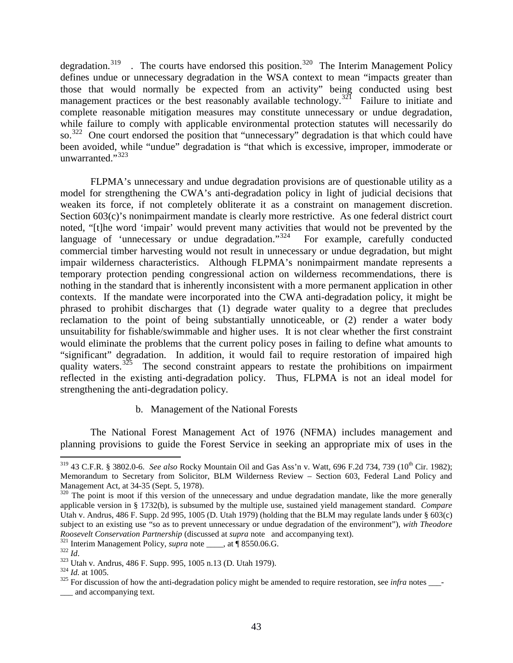degradation.<sup>[319](#page-43-0)</sup> . The courts have endorsed this position.<sup>[320](#page-43-1)</sup> The Interim Management Policy defines undue or unnecessary degradation in the WSA context to mean "impacts greater than those that would normally be expected from an activity" being conducted using best management practices or the best reasonably available technology.<sup>[321](#page-43-2)</sup> Failure to initiate and complete reasonable mitigation measures may constitute unnecessary or undue degradation, while failure to comply with applicable environmental protection statutes will necessarily do so.<sup>[322](#page-43-3)</sup> One court endorsed the position that "unnecessary" degradation is that which could have been avoided, while "undue" degradation is "that which is excessive, improper, immoderate or unwarranted."<sup>[323](#page-43-4)</sup>

FLPMA's unnecessary and undue degradation provisions are of questionable utility as a model for strengthening the CWA's anti-degradation policy in light of judicial decisions that weaken its force, if not completely obliterate it as a constraint on management discretion. Section 603(c)'s nonimpairment mandate is clearly more restrictive. As one federal district court noted, "[t]he word 'impair' would prevent many activities that would not be prevented by the language of 'unnecessary or undue degradation."<sup>324</sup> For example, carefully conducted commercial timber harvesting would not result in unnecessary or undue degradation, but might impair wilderness characteristics. Although FLPMA's nonimpairment mandate represents a temporary protection pending congressional action on wilderness recommendations, there is nothing in the standard that is inherently inconsistent with a more permanent application in other contexts. If the mandate were incorporated into the CWA anti-degradation policy, it might be phrased to prohibit discharges that (1) degrade water quality to a degree that precludes reclamation to the point of being substantially unnoticeable, or (2) render a water body unsuitability for fishable/swimmable and higher uses. It is not clear whether the first constraint would eliminate the problems that the current policy poses in failing to define what amounts to "significant" degradation. In addition, it would fail to require restoration of impaired high quality waters.<sup>[325](#page-43-6)</sup> The second constraint appears to restate the prohibitions on impairment reflected in the existing anti-degradation policy. Thus, FLPMA is not an ideal model for strengthening the anti-degradation policy.

#### b. Management of the National Forests

The National Forest Management Act of 1976 (NFMA) includes management and planning provisions to guide the Forest Service in seeking an appropriate mix of uses in the

<span id="page-43-0"></span><sup>&</sup>lt;sup>319</sup> 43 C.F.R. § 3802.0-6. *See also* Rocky Mountain Oil and Gas Ass'n v. Watt, 696 F.2d 734, 739 (10<sup>th</sup> Cir. 1982); Memorandum to Secretary from Solicitor, BLM Wilderness Review – Section 603, Federal Land Policy and Management Act, at 34-35 (Sept. 5, 1978).

<span id="page-43-1"></span> $320$  The point is moot if this version of the unnecessary and undue degradation mandate, like the more generally applicable version in § 1732(b), is subsumed by the multiple use, sustained yield management standard. *Compare* Utah v. Andrus, 486 F. Supp. 2d 995, 1005 (D. Utah 1979) (holding that the BLM may regulate lands under § 603(c) subject to an existing use "so as to prevent unnecessary or undue degradation of the environment"), *with Theodore*<br>Roosevelt Conservation Partnership (discussed at *supra* note and accompanying text).

<span id="page-43-4"></span>

<span id="page-43-6"></span><span id="page-43-5"></span>

<span id="page-43-3"></span><span id="page-43-2"></span><sup>&</sup>lt;sup>321</sup> Interim Management Policy, *supra* note \_\_\_\_, at  $\P$  8550.06.G.<br><sup>322</sup> Id.<br><sup>323</sup> Utah v. Andrus, 486 F. Supp. 995, 1005 n.13 (D. Utah 1979).<br><sup>324</sup> Id. at 1005.<br><sup>325</sup> For discussion of how the anti-degradation policy \_\_\_ and accompanying text.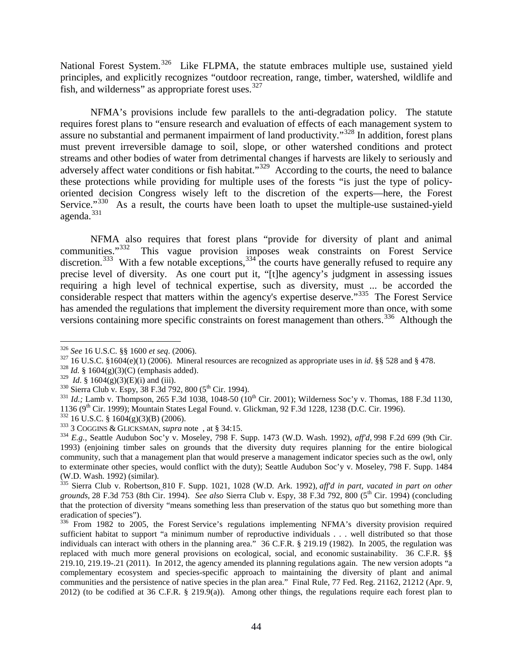National Forest System.<sup>326</sup> Like FLPMA, the statute embraces multiple use, sustained yield principles, and explicitly recognizes "outdoor recreation, range, timber, watershed, wildlife and fish, and wilderness" as appropriate forest uses.<sup>[327](#page-44-1)</sup>

NFMA's provisions include few parallels to the anti-degradation policy. The statute requires forest plans to "ensure research and evaluation of effects of each management system to assure no substantial and permanent impairment of land productivity."[328](#page-44-2) In addition, forest plans must prevent irreversible damage to soil, slope, or other watershed conditions and protect streams and other bodies of water from detrimental changes if harvests are likely to seriously and adversely affect water conditions or fish habitat."<sup>[329](#page-44-3)</sup> According to the courts, the need to balance these protections while providing for multiple uses of the forests "is just the type of policyoriented decision Congress wisely left to the discretion of the experts—here, the Forest Service."<sup>[330](#page-44-4)</sup> As a result, the courts have been loath to upset the multiple-use sustained-yield agenda. $331$ 

NFMA also requires that forest plans "provide for diversity of plant and animal communities."[332](#page-44-6) This vague provision imposes weak constraints on Forest Service discretion.<sup>[333](#page-44-7)</sup> With a few notable exceptions,<sup>[334](#page-44-8)</sup> the courts have generally refused to require any precise level of diversity. As one court put it, "[t]he agency's judgment in assessing issues requiring a high level of technical expertise, such as diversity, must ... be accorded the considerable respect that matters within the agency's expertise deserve."[335](#page-44-9) The Forest Service has amended the regulations that implement the diversity requirement more than once, with some versions containing more specific constraints on forest management than others.<sup>[336](#page-44-10)</sup> Although the

<span id="page-44-2"></span>

<span id="page-44-3"></span>

<span id="page-44-5"></span><span id="page-44-4"></span>

<span id="page-44-1"></span><span id="page-44-0"></span><sup>&</sup>lt;sup>326</sup> See 16 U.S.C. §§ 1600 et seq. (2006).<br><sup>327</sup> 16 U.S.C. §1604(e)(1) (2006). Mineral resources are recognized as appropriate uses in *id*. §§ 528 and § 478.<br><sup>328</sup> *Id.* § 1604(g)(3)(C) (emphasis added).<br><sup>329</sup> *Id.* § 1

<span id="page-44-8"></span>

<span id="page-44-7"></span><span id="page-44-6"></span><sup>&</sup>lt;sup>332</sup> 16 U.S.C. § 1604(g)(3)(B) (2006).<br><sup>333</sup> 3 COGGINS & GLICKSMAN, *supra* note, at § 34:15.<br><sup>334</sup> E.g., Seattle Audubon Soc'y v. Moseley, 798 F. Supp. 1473 (W.D. Wash. 1992), *aff'd*, 998 F.2d 699 (9th Cir. 1993) (enjoining timber sales on grounds that the diversity duty requires planning for the entire biological community, such that a management plan that would preserve a management indicator species such as the owl, only to exterminate other species, would conflict with the duty); Seattle Audubon Soc'y v. Moseley, 798 F. Supp. 1484 (W.D. Wash. 1992) (similar).

<span id="page-44-9"></span><sup>335</sup> Sierra Club v. Robertson, 810 F. Supp. 1021, 1028 (W.D. Ark. 1992), *aff'd in part, vacated in part on other grounds,* 28 F.3d 753 (8th Cir. 1994). *See also* Sierra Club v. Espy, 38 F.3d 792, 800 (5th Cir. 1994) (concluding that the protection of diversity "means something less than preservation of the status quo but something more than eradication of species").<br><sup>336</sup> From 1982 to 2005, the Forest Service's regulations implementing NFMA's diversity provision required

<span id="page-44-10"></span>sufficient habitat to support "a minimum number of reproductive individuals . . . well distributed so that those individuals can interact with others in the planning area." 36 C.F.R. § 219.19 (1982). In 2005, the regulation was replaced with much more general provisions on ecological, social, and economic sustainability. 36 C.F.R. §§ 219.10, 219.19-.21 (2011). In 2012, the agency amended its planning regulations again. The new version adopts "a complementary ecosystem and species-specific approach to maintaining the diversity of plant and animal communities and the persistence of native species in the plan area." Final Rule, 77 Fed. Reg. 21162, 21212 (Apr. 9, 2012) (to be codified at 36 C.F.R. § 219.9(a)). Among other things, the regulations require each forest plan to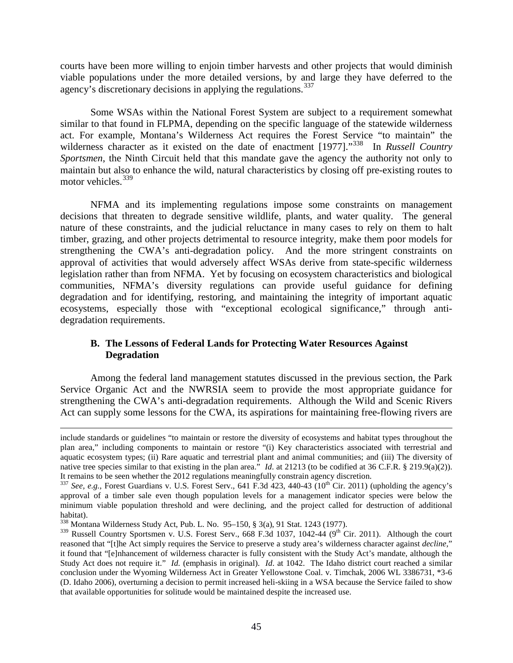courts have been more willing to enjoin timber harvests and other projects that would diminish viable populations under the more detailed versions, by and large they have deferred to the agency's discretionary decisions in applying the regulations.<sup>[337](#page-45-0)</sup>

Some WSAs within the National Forest System are subject to a requirement somewhat similar to that found in FLPMA, depending on the specific language of the statewide wilderness act. For example, Montana's Wilderness Act requires the Forest Service "to maintain" the wilderness character as it existed on the date of enactment [1977]."<sup>338</sup> In *Russell Country Sportsmen*, the Ninth Circuit held that this mandate gave the agency the authority not only to maintain but also to enhance the wild, natural characteristics by closing off pre-existing routes to motor vehicles.<sup>[339](#page-45-2)</sup>

NFMA and its implementing regulations impose some constraints on management decisions that threaten to degrade sensitive wildlife, plants, and water quality. The general nature of these constraints, and the judicial reluctance in many cases to rely on them to halt timber, grazing, and other projects detrimental to resource integrity, make them poor models for strengthening the CWA's anti-degradation policy. And the more stringent constraints on approval of activities that would adversely affect WSAs derive from state-specific wilderness legislation rather than from NFMA. Yet by focusing on ecosystem characteristics and biological communities, NFMA's diversity regulations can provide useful guidance for defining degradation and for identifying, restoring, and maintaining the integrity of important aquatic ecosystems, especially those with "exceptional ecological significance," through antidegradation requirements.

#### **B. The Lessons of Federal Lands for Protecting Water Resources Against Degradation**

Among the federal land management statutes discussed in the previous section, the Park Service Organic Act and the NWRSIA seem to provide the most appropriate guidance for strengthening the CWA's anti-degradation requirements. Although the Wild and Scenic Rivers Act can supply some lessons for the CWA, its aspirations for maintaining free-flowing rivers are

 $\overline{a}$ 

include standards or guidelines "to maintain or restore the diversity of ecosystems and habitat types throughout the plan area," including components to maintain or restore "(i) Key characteristics associated with terrestrial and aquatic ecosystem types; (ii) Rare aquatic and terrestrial plant and animal communities; and (iii) The diversity of native tree species similar to that existing in the plan area." *Id*. at 21213 (to be codified at 36 C.F.R. § 219.9(a)(2)). It remains to be seen whether the 2012 regulations meaningfully constrain agency discretion.

<span id="page-45-0"></span> $337$  *See, e.g., Forest Guardians v. U.S. Forest Serv., 641 F.3d 423, 440-43 (10<sup>th</sup> Cir. 2011) (upholding the agency's* approval of a timber sale even though population levels for a management indicator species were below the minimum viable population threshold and were declining, and the project called for destruction of additional habitat).<br><sup>338</sup> Montana Wilderness Study Act, Pub. L. No. 95–150, § 3(a), 91 Stat. 1243 (1977).

<span id="page-45-2"></span><span id="page-45-1"></span> $339$  Russell Country Sportsmen v. U.S. Forest Serv., 668 F.3d 1037, 1042-44 (9<sup>th</sup> Cir. 2011). Although the court reasoned that "[t]he Act simply requires the Service to preserve a study area's wilderness character against *decline,*" it found that "[e]nhancement of wilderness character is fully consistent with the Study Act's mandate, although the Study Act does not require it." *Id.* (emphasis in original). *Id.* at 1042. The Idaho district court reached a similar conclusion under the Wyoming Wilderness Act in Greater Yellowstone Coal. v. Timchak, 2006 WL 3386731, \*3-6 (D. Idaho 2006), overturning a decision to permit increased heli-skiing in a WSA because the Service failed to show that available opportunities for solitude would be maintained despite the increased use.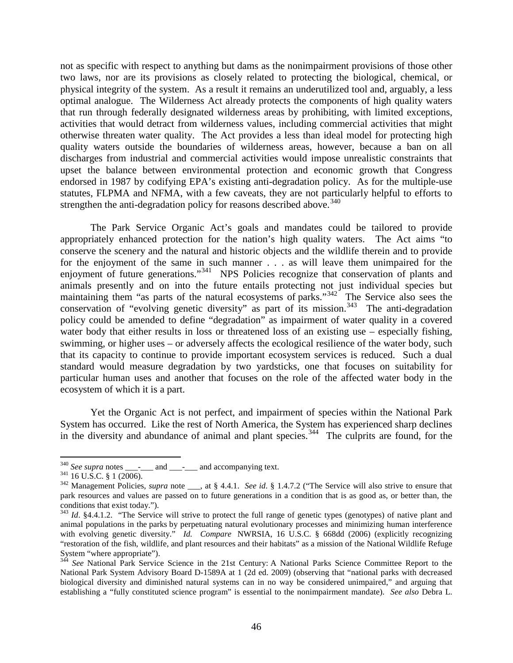not as specific with respect to anything but dams as the nonimpairment provisions of those other two laws, nor are its provisions as closely related to protecting the biological, chemical, or physical integrity of the system. As a result it remains an underutilized tool and, arguably, a less optimal analogue. The Wilderness Act already protects the components of high quality waters that run through federally designated wilderness areas by prohibiting, with limited exceptions, activities that would detract from wilderness values, including commercial activities that might otherwise threaten water quality. The Act provides a less than ideal model for protecting high quality waters outside the boundaries of wilderness areas, however, because a ban on all discharges from industrial and commercial activities would impose unrealistic constraints that upset the balance between environmental protection and economic growth that Congress endorsed in 1987 by codifying EPA's existing anti-degradation policy. As for the multiple-use statutes, FLPMA and NFMA, with a few caveats, they are not particularly helpful to efforts to strengthen the anti-degradation policy for reasons described above.<sup>[340](#page-46-0)</sup>

The Park Service Organic Act's goals and mandates could be tailored to provide appropriately enhanced protection for the nation's high quality waters. The Act aims "to conserve the scenery and the natural and historic objects and the wildlife therein and to provide for the enjoyment of the same in such manner . . . as will leave them unimpaired for the enjoyment of future generations."[341](#page-46-1) NPS Policies recognize that conservation of plants and animals presently and on into the future entails protecting not just individual species but maintaining them "as parts of the natural ecosystems of parks."<sup>342</sup> The Service also sees the conservation of "evolving genetic diversity" as part of its mission.<sup>[343](#page-46-3)</sup> The anti-degradation policy could be amended to define "degradation" as impairment of water quality in a covered water body that either results in loss or threatened loss of an existing use – especially fishing, swimming, or higher uses – or adversely affects the ecological resilience of the water body, such that its capacity to continue to provide important ecosystem services is reduced. Such a dual standard would measure degradation by two yardsticks, one that focuses on suitability for particular human uses and another that focuses on the role of the affected water body in the ecosystem of which it is a part.

Yet the Organic Act is not perfect, and impairment of species within the National Park System has occurred. Like the rest of North America, the System has experienced sharp declines in the diversity and abundance of animal and plant species.<sup>[344](#page-46-4)</sup> The culprits are found, for the

<span id="page-46-2"></span>

<span id="page-46-1"></span><span id="page-46-0"></span><sup>&</sup>lt;sup>340</sup> See supra notes \_\_\_\_\_\_ and \_\_\_\_\_\_ and accompanying text.<br><sup>341</sup> 16 U.S.C. § 1 (2006).<br><sup>342</sup> Management Policies, *supra* note , at § 4.4.1. *See id.* § 1.4.7.2 ("The Service will also strive to ensure that park resources and values are passed on to future generations in a condition that is as good as, or better than, the conditions that exist today.").<br><sup>343</sup> *Id.* §4.4.1.2. "The Service will strive to protect the full range of genetic types (genotypes) of native plant and

<span id="page-46-3"></span>animal populations in the parks by perpetuating natural evolutionary processes and minimizing human interference with evolving genetic diversity." *Id. Compare* NWRSIA, 16 U.S.C. § 668dd (2006) (explicitly recognizing "restoration of the fish, wildlife, and [plant](http://web2.westlaw.com/result/result.aspx?cnt=DOC&cfid=1&referencepositiontype=T&eq=Welcome%2fLawSchool&rlti=1&rp=%2fWelcome%2fLawSchool%2fdefault.wl&method=TNC&origin=Search&rltdb=CLID_DB79201415716271&db=JLR&referenceposition=SR%3b26491&utid=1&n=6&sri=98&fn=_top&fmqv=s&service=Search&query=PARK+%2fS+NATIONAL+SERVICE+%2fS+CONSERV!+NONIMPAIR!+IMPAIR!+%2fS+RESTOR!+%2fS+RESOURCES+PLANT+SPECIES+ANIMAL+ECOSYSTEM&sskey=CLID_SSSA95201415716271&sv=Split&scxt=WL&rlt=CLID_QRYRLT67716415716271&rs=WLW12.01&ss=CNT&vr=2.0&mt=LawSchool) [resources](http://web2.westlaw.com/result/result.aspx?cnt=DOC&cfid=1&referencepositiontype=T&eq=Welcome%2fLawSchool&rlti=1&rp=%2fWelcome%2fLawSchool%2fdefault.wl&method=TNC&origin=Search&rltdb=CLID_DB79201415716271&db=JLR&referenceposition=SR%3b26492&utid=1&n=6&sri=98&fn=_top&fmqv=s&service=Search&query=PARK+%2fS+NATIONAL+SERVICE+%2fS+CONSERV!+NONIMPAIR!+IMPAIR!+%2fS+RESTOR!+%2fS+RESOURCES+PLANT+SPECIES+ANIMAL+ECOSYSTEM&sskey=CLID_SSSA95201415716271&sv=Split&scxt=WL&rlt=CLID_QRYRLT67716415716271&rs=WLW12.01&ss=CNT&vr=2.0&mt=LawSchool) and their habitats" as a mission of the National Wildlife Refuge System "where appropriate").<br> $344 \text{ So} N$ 

<span id="page-46-4"></span><sup>344</sup> *See* National Park Service Science in the 21st Century: A National Parks Science Committee Report to the National Park System Advisory Board D-1589A at 1 (2d ed. 2009) (observing that "national parks with decreased biological diversity and diminished natural systems can in no way be considered unimpaired," and arguing that establishing a "fully constituted science program" is essential to the nonimpairment mandate). *See also* Debra L.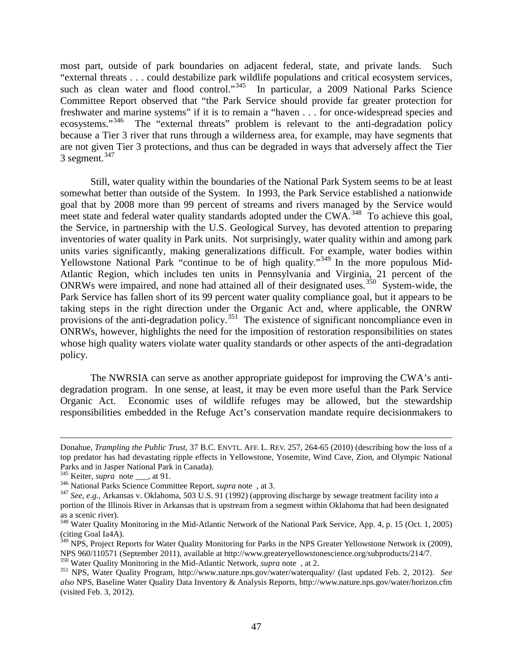most part, outside of park boundaries on adjacent federal, state, and private lands. Such "external threats . . . could destabilize park wildlife populations and critical ecosystem services, such as clean water and flood control."<sup>345</sup> In particular, a 2009 National Parks Science Committee Report observed that "the Park Service should provide far greater protection for freshwater and marine systems" if it is to remain a "haven . . . for once-widespread species and ecosystems."<sup>346</sup> The "external threats" problem is relevant to the anti-degradation policy because a Tier 3 river that runs through a wilderness area, for example, may have segments that are not given Tier 3 protections, and thus can be degraded in ways that adversely affect the Tier 3 segment. $347$ 

Still, water quality within the boundaries of the National Park System seems to be at least somewhat better than outside of the System. In 1993, the Park Service established a nationwide goal that by 2008 more than 99 percent of streams and rivers managed by the Service would meet state and federal water quality standards adopted under the CWA.<sup>348</sup> To achieve this goal, the Service, in partnership with the U.S. Geological Survey, has devoted attention to preparing inventories of water quality in Park units. Not surprisingly, water quality within and among park units varies significantly, making generalizations difficult. For example, water bodies within Yellowstone National Park "continue to be of high quality."<sup>[349](#page-47-4)</sup> In the more populous Mid-Atlantic Region, which includes ten units in Pennsylvania and Virginia, 21 percent of the ONRWs were impaired, and none had attained all of their designated uses.<sup>[350](#page-47-5)</sup> System-wide, the Park Service has fallen short of its 99 percent water quality compliance goal, but it appears to be taking steps in the right direction under the Organic Act and, where applicable, the ONRW provisions of the anti-degradation policy.<sup>[351](#page-47-6)</sup> The existence of significant noncompliance even in ONRWs, however, highlights the need for the imposition of restoration responsibilities on states whose high quality waters violate water quality standards or other aspects of the anti-degradation policy.

The NWRSIA can serve as another appropriate guidepost for improving the CWA's antidegradation program. In one sense, at least, it may be even more useful than the Park Service Organic Act. Economic uses of wildlife refuges may be allowed, but the stewardship responsibilities embedded in the Refuge Act's conservation mandate require decisionmakers to

 $\overline{a}$ 

Donahue, *Trampling the Public Trust*, 37 B.C. ENVTL. AFF. L. REV. 257, 264-65 (2010) (describing how the loss of a top predator has had devastating ripple effects in Yellowstone, Yosemite, Wind Cave, Zion, and Olympic National Parks and in Jasper National Park in Canada).<br>
<sup>345</sup> Keiter, *supra* note <sub>\_\_\_</sub>, at 91.<br>
<sup>346</sup> National Parks Science Committee Report, *supra* note , at 3.<br>
<sup>347</sup> See, e.g., Arkansas v. Oklahoma, 503 U.S. 91 (1992) (appro

<span id="page-47-0"></span>

<span id="page-47-1"></span>

<span id="page-47-2"></span>portion of the Illinois River in Arkansas that is upstream from a segment within Oklahoma that had been designated as a scenic river).

<span id="page-47-3"></span><sup>&</sup>lt;sup>348</sup> Water Quality Monitoring in the Mid-Atlantic Network of the National Park Service, App. 4, p. 15 (Oct. 1, 2005) (citing Goal Ia4A).

<span id="page-47-4"></span><sup>&</sup>lt;sup>349</sup> NPS, Project Reports for Water Quality Monitoring for Parks in the NPS Greater Yellowstone Network ix (2009), NPS 960/110571 (September 2011), available at http://www.greateryellowstonescience.org/subproducts/214/7.<br><sup>350</sup> Water Quality Monitoring in the Mid-Atlantic Network, *supra* note, at 2.<br><sup>351</sup> NPS, Water Quality Program, ht

<span id="page-47-6"></span><span id="page-47-5"></span>*also* NPS, Baseline Water Quality Data Inventory & Analysis Reports, http://www.nature.nps.gov/water/horizon.cfm (visited Feb. 3, 2012).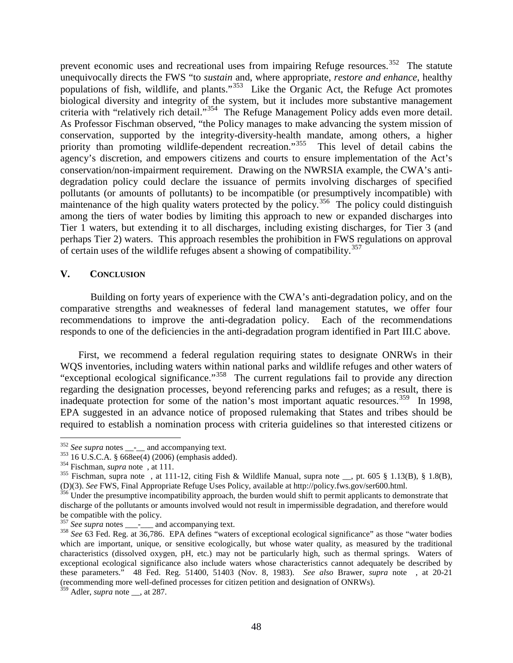prevent economic uses and recreational uses from impairing Refuge resources.<sup>352</sup> The statute unequivocally directs the FWS "to *sustain* and, where appropriate, *restore and enhance*, healthy populations of fish, wildlife, and plants."[353](#page-48-1) Like the Organic Act, the Refuge Act promotes biological diversity and integrity of the system, but it includes more substantive management criteria with "relatively rich detail."<sup>354</sup> The Refuge Management Policy adds even more detail. As Professor Fischman observed, "the Policy manages to make advancing the system mission of conservation, supported by the integrity-diversity-health mandate, among others, a higher priority than promoting wildlife-dependent recreation."<sup>[355](#page-48-3)</sup> This level of detail cabins the agency's discretion, and empowers citizens and courts to ensure implementation of the Act's conservation/non-impairment requirement. Drawing on the NWRSIA example, the CWA's antidegradation policy could declare the issuance of permits involving discharges of specified pollutants (or amounts of pollutants) to be incompatible (or presumptively incompatible) with maintenance of the high quality waters protected by the policy.<sup>[356](#page-48-4)</sup> The policy could distinguish among the tiers of water bodies by limiting this approach to new or expanded discharges into Tier 1 waters, but extending it to all discharges, including existing discharges, for Tier 3 (and perhaps Tier 2) waters. This approach resembles the prohibition in FWS regulations on approval of certain uses of the wildlife refuges absent a showing of compatibility.<sup>[357](#page-48-5)</sup>

#### **V. CONCLUSION**

Building on forty years of experience with the CWA's anti-degradation policy, and on the comparative strengths and weaknesses of federal land management statutes, we offer four recommendations to improve the anti-degradation policy. Each of the recommendations responds to one of the deficiencies in the anti-degradation program identified in Part III.C above.

First, we recommend a federal regulation requiring states to designate ONRWs in their WQS inventories, including waters within national parks and wildlife refuges and other waters of "exceptional ecological significance."[358](#page-48-6) The current regulations fail to provide any direction regarding the designation processes, beyond referencing parks and refuges; as a result, there is inadequate protection for some of the nation's most important aquatic resources.<sup>[359](#page-48-7)</sup> In 1998, EPA suggested in an advance notice of proposed rulemaking that States and tribes should be required to establish a nomination process with criteria guidelines so that interested citizens or

<span id="page-48-3"></span><span id="page-48-2"></span>

<span id="page-48-1"></span><span id="page-48-0"></span><sup>&</sup>lt;sup>352</sup> See supra notes \_\_-\_\_ and accompanying text.<br><sup>353</sup> 16 U.S.C.A. § 668ee(4) (2006) (emphasis added).<br><sup>354</sup> Fischman, *supra* note , at 111.<br><sup>354</sup> Fischman, supra note , at 111-12, citing Fish & Wildlife Manual, supra

<span id="page-48-4"></span><sup>356</sup> Under the presumptive incompatibility approach, the burden would shift to permit applicants to demonstrate that discharge of the pollutants or amounts involved would not result in impermissible degradation, and therefore would<br>be compatible with the policy.

<span id="page-48-6"></span><span id="page-48-5"></span><sup>&</sup>lt;sup>357</sup> See supra notes \_\_\_-\_\_ and accompanying text.<br><sup>358</sup> See 63 Fed. Reg. at 36,786. EPA defines "waters of exceptional ecological significance" as those "water bodies which are important, unique, or sensitive ecologically, but whose water quality, as measured by the traditional characteristics (dissolved oxygen, pH, etc.) may not be particularly high, such as thermal springs. Waters of exceptional ecological significance also include waters whose characteristics cannot adequately be described by these parameters." 48 Fed. Reg. 51400, 51403 (Nov. 8, 1983). *See also* Brawer, *supra* note , at 20-21 (recommending more well-defined processes for citizen petition and designation of ONRWs).

<span id="page-48-7"></span> $359$  Adler, *supra* note \_\_, at 287.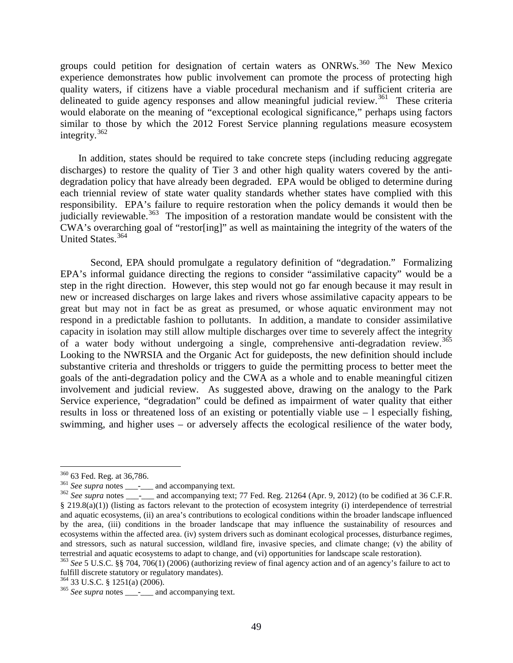groups could petition for designation of certain waters as  $ONRWs$ <sup>[360](#page-49-0)</sup>. The New Mexico experience demonstrates how public involvement can promote the process of protecting high quality waters, if citizens have a viable procedural mechanism and if sufficient criteria are delineated to guide agency responses and allow meaningful judicial review.<sup>[361](#page-49-1)</sup> These criteria would elaborate on the meaning of "exceptional ecological significance," perhaps using factors similar to those by which the 2012 Forest Service planning regulations measure ecosystem integrity.[362](#page-49-2)

In addition, states should be required to take concrete steps (including reducing aggregate discharges) to restore the quality of Tier 3 and other high quality waters covered by the antidegradation policy that have already been degraded. EPA would be obliged to determine during each triennial review of state water quality standards whether states have complied with this responsibility. EPA's failure to require restoration when the policy demands it would then be judicially reviewable.<sup>363</sup> The imposition of a restoration mandate would be consistent with the CWA's overarching goal of "restor[ing]" as well as maintaining the integrity of the waters of the United States.<sup>[364](#page-49-4)</sup>

Second, EPA should promulgate a regulatory definition of "degradation." Formalizing EPA's informal guidance directing the regions to consider "assimilative capacity" would be a step in the right direction. However, this step would not go far enough because it may result in new or increased discharges on large lakes and rivers whose assimilative capacity appears to be great but may not in fact be as great as presumed, or whose aquatic environment may not respond in a predictable fashion to pollutants. In addition, a mandate to consider assimilative capacity in isolation may still allow multiple discharges over time to severely affect the integrity of a water body without undergoing a single, comprehensive anti-degradation review.<sup>[365](#page-49-5)</sup> Looking to the NWRSIA and the Organic Act for guideposts, the new definition should include substantive criteria and thresholds or triggers to guide the permitting process to better meet the goals of the anti-degradation policy and the CWA as a whole and to enable meaningful citizen involvement and judicial review. As suggested above, drawing on the analogy to the Park Service experience, "degradation" could be defined as impairment of water quality that either results in loss or threatened loss of an existing or potentially viable use – l especially fishing, swimming, and higher uses – or adversely affects the ecological resilience of the water body,

<span id="page-49-2"></span><span id="page-49-1"></span>

<span id="page-49-0"></span><sup>&</sup>lt;sup>360</sup> 63 Fed. Reg. at 36,786.<br><sup>361</sup> *See supra* notes \_\_\_-\_\_\_ and accompanying text. 77 Fed. Reg. 21264 (Apr. 9, 2012) (to be codified at 36 C.F.R. § 219.8(a)(1)) (listing as factors relevant to the protection of ecosystem integrity (i) interdependence of terrestrial and aquatic ecosystems, (ii) an area's contributions to ecological conditions within the broader landscape influenced by the area, (iii) conditions in the broader landscape that may influence the sustainability of resources and ecosystems within the affected area. (iv) system drivers such as dominant ecological processes, disturbance regimes, and stressors, such as natural succession, wildland fire, invasive species, and climate change; (v) the ability of terrestrial and aquatic ecosystems to adapt to change, and (vi) opportunities for landscape scale restorati

<span id="page-49-3"></span> $363$  See 5 U.S.C. §§ 704, 706(1) (2006) (authorizing review of final agency action and of an agency's failure to act to fulfill discrete statutory or regulatory mandates).

<span id="page-49-5"></span><span id="page-49-4"></span>

<sup>&</sup>lt;sup>364</sup> 33 U.S.C. § 1251(a) (2006). <sup>365</sup> *See supra* notes \_\_\_\_\_ and accompanying text.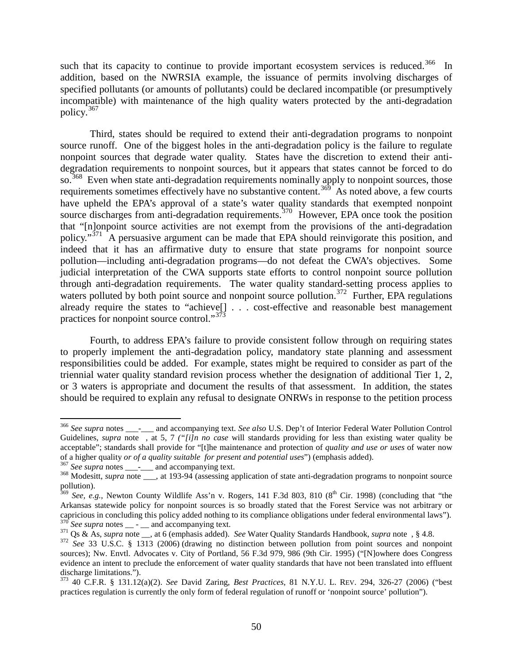such that its capacity to continue to provide important ecosystem services is reduced.<sup>366</sup> In addition, based on the NWRSIA example, the issuance of permits involving discharges of specified pollutants (or amounts of pollutants) could be declared incompatible (or presumptively incompatible) with maintenance of the high quality waters protected by the anti-degradation policy.[367](#page-50-1)

Third, states should be required to extend their anti-degradation programs to nonpoint source runoff. One of the biggest holes in the anti-degradation policy is the failure to regulate nonpoint sources that degrade water quality. States have the discretion to extend their antidegradation requirements to nonpoint sources, but it appears that states cannot be forced to do so.<sup>[368](#page-50-2)</sup> Even when state anti-degradation requirements nominally apply to nonpoint sources, those requirements sometimes effectively have no substantive content.<sup>[369](#page-50-3)</sup> As noted above, a few courts have upheld the EPA's approval of a state's water quality standards that exempted nonpoint source discharges from anti-degradation requirements.<sup>[370](#page-50-4)</sup> However, EPA once took the position that "[n]onpoint source activities are not exempt from the provisions of the anti-degradation policy."<sup>[371](#page-50-5)</sup> A persuasive argument can be made that EPA should reinvigorate this position, and indeed that it has an affirmative duty to ensure that state programs for nonpoint source pollution—including anti-degradation programs—do not defeat the CWA's objectives. Some judicial interpretation of the CWA supports state efforts to control nonpoint source pollution through anti-degradation requirements. The water quality standard-setting process applies to waters polluted by both point source and nonpoint source pollution.<sup>[372](#page-50-6)</sup> Further, EPA regulations already require the states to "achieve[] . . . cost-effective and reasonable best management practices for nonpoint source control."<sup>[373](#page-50-7)</sup>

Fourth, to address EPA's failure to provide consistent follow through on requiring states to properly implement the anti-degradation policy, mandatory state planning and assessment responsibilities could be added. For example, states might be required to consider as part of the triennial water quality standard revision process whether the designation of additional Tier 1, 2, or 3 waters is appropriate and document the results of that assessment. In addition, the states should be required to explain any refusal to designate ONRWs in response to the petition process

<span id="page-50-0"></span> <sup>366</sup> *See supra* notes \_\_\_-\_\_\_ and accompanying text. *See also* U.S. Dep't of Interior Federal Water Pollution Control Guidelines, *supra* note , at 5, 7 *("[i]n no case* will standards providing for less than existing water quality be acceptable"; standards shall provide for "[t]he maintenance and protection of *quality and use or uses* of water now<br>of a higher quality *or of a quality suitable for present and potential uses"*) (emphasis added).

<span id="page-50-2"></span><span id="page-50-1"></span><sup>&</sup>lt;sup>367</sup> See supra notes \_\_\_\_\_\_\_ and accompanying text.<br><sup>368</sup> Modesitt, *supra* note \_\_\_, at 193-94 (assessing application of state anti-degradation programs to nonpoint source pollution).

<span id="page-50-3"></span> $369$  *See, e.g.*, Newton County Wildlife Ass'n v. Rogers, 141 F.3d 803, 810 (8<sup>th</sup> Cir. 1998) (concluding that "the Arkansas statewide policy for nonpoint sources is so broadly stated that the Forest Service was not arbitrary or capricious in concluding this policy added nothing to its compliance obligations under federal environmental capricious in concluding this policy added nothing to its compliance obligations under federal environmental laws"). <sup>370</sup> *See supra* notes \_\_ - \_\_ and accompanying text. <sup>371</sup> Qs & As, *supra* note \_\_, at 6 (emphasis added). *See* Water Quality Standards Handbook, *supra* note , § 4.8. <sup>372</sup> *See* [33 U.S.C. § 1313](http://web2.westlaw.com/find/default.wl?tc=-1&docname=33USCAS1313&rp=%2ffind%2fdefault.wl&sv=Split&utid=1&rs=WLW11.07&db=1000546&tf=-1&findtype=L&fn=_top&mt=LawSchool&vr=2.0&pbc=2AB5E157&ordoc=2001685607) (2006) (drawing no distinction between pollution from point sources and nonpoint

<span id="page-50-5"></span><span id="page-50-4"></span>

<span id="page-50-6"></span>sources); Nw. Envtl. Advocates v. City of Portland, 56 F.3d 979, 986 (9th Cir. 1995) ("[N]owhere does Congress evidence an intent to preclude the enforcement of water quality standards that have not been translated into effluent discharge limitations.").

<span id="page-50-7"></span><sup>373</sup> [40 C.F.R. § 131.12\(a\)\(2\).](http://web2.westlaw.com/find/default.wl?referencepositiontype=T&docname=40CFRS131.12&rp=%2ffind%2fdefault.wl&sv=Split&utid=1&rs=WLW11.07&db=1000547&tf=-1&findtype=L&fn=_top&mt=LawSchool&vr=2.0&referenceposition=SP%3bd86d0000be040&pbc=2AB5E157&tc=-1&ordoc=2001685607) *See* David Zaring, *Best Practices*, 81 N.Y.U. L. REV. 294, 326-27 (2006) ("best practices regulation is currently the only form of federal regulation of runoff or 'nonpoint source' pollution").